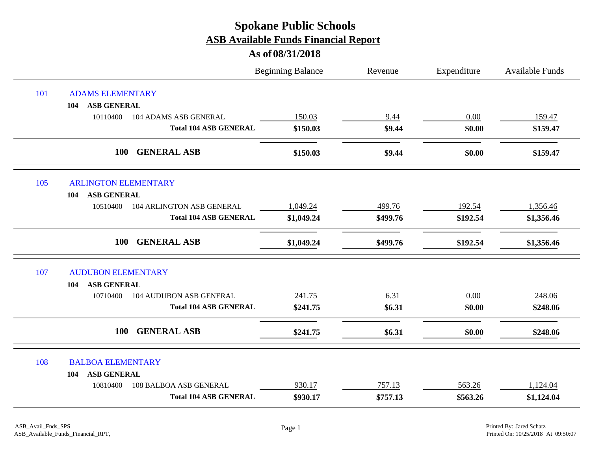|     |                                            | <b>Beginning Balance</b> | Revenue  | Expenditure | <b>Available Funds</b> |
|-----|--------------------------------------------|--------------------------|----------|-------------|------------------------|
| 101 | <b>ADAMS ELEMENTARY</b>                    |                          |          |             |                        |
|     | <b>ASB GENERAL</b><br>104                  |                          |          |             |                        |
|     | 10110400<br>104 ADAMS ASB GENERAL          | 150.03                   | 9.44     | 0.00        | 159.47                 |
|     | <b>Total 104 ASB GENERAL</b>               | \$150.03                 | \$9.44   | \$0.00      | \$159.47               |
|     | <b>GENERAL ASB</b><br>100                  | \$150.03                 | \$9.44   | \$0.00      | \$159.47               |
| 105 | <b>ARLINGTON ELEMENTARY</b>                |                          |          |             |                        |
|     | <b>ASB GENERAL</b><br>104                  |                          |          |             |                        |
|     | 104 ARLINGTON ASB GENERAL<br>10510400      | 1,049.24                 | 499.76   | 192.54      | 1,356.46               |
|     | <b>Total 104 ASB GENERAL</b>               | \$1,049.24               | \$499.76 | \$192.54    | \$1,356.46             |
|     | <b>100</b><br><b>GENERAL ASB</b>           | \$1,049.24               | \$499.76 | \$192.54    | \$1,356.46             |
| 107 | <b>AUDUBON ELEMENTARY</b>                  |                          |          |             |                        |
|     | <b>ASB GENERAL</b><br>104                  |                          |          |             |                        |
|     | <b>104 AUDUBON ASB GENERAL</b><br>10710400 | 241.75                   | 6.31     | 0.00        | 248.06                 |
|     | <b>Total 104 ASB GENERAL</b>               | \$241.75                 | \$6.31   | \$0.00      | \$248.06               |
|     | <b>GENERAL ASB</b><br><b>100</b>           | \$241.75                 | \$6.31   | \$0.00      | \$248.06               |
| 108 | <b>BALBOA ELEMENTARY</b>                   |                          |          |             |                        |
|     | <b>ASB GENERAL</b><br>104                  |                          |          |             |                        |
|     | 10810400<br>108 BALBOA ASB GENERAL         | 930.17                   | 757.13   | 563.26      | 1,124.04               |
|     | <b>Total 104 ASB GENERAL</b>               | \$930.17                 | \$757.13 | \$563.26    | \$1,124.04             |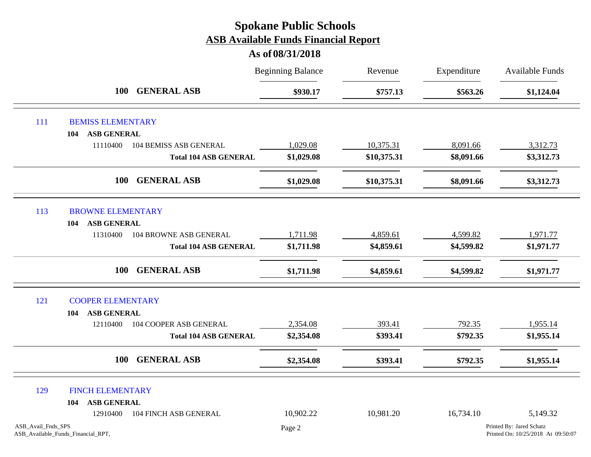|                    |                                    |                               | <b>Beginning Balance</b> | Revenue     | Expenditure | <b>Available Funds</b>                                         |
|--------------------|------------------------------------|-------------------------------|--------------------------|-------------|-------------|----------------------------------------------------------------|
|                    | <b>100</b>                         | <b>GENERAL ASB</b>            | \$930.17                 | \$757.13    | \$563.26    | \$1,124.04                                                     |
| 111                | <b>BEMISS ELEMENTARY</b>           |                               |                          |             |             |                                                                |
|                    | <b>ASB GENERAL</b><br>104          |                               |                          |             |             |                                                                |
|                    | 11110400                           | <b>104 BEMISS ASB GENERAL</b> | 1,029.08                 | 10,375.31   | 8,091.66    | 3,312.73                                                       |
|                    |                                    | <b>Total 104 ASB GENERAL</b>  | \$1,029.08               | \$10,375.31 | \$8,091.66  | \$3,312.73                                                     |
|                    | <b>100</b>                         | <b>GENERAL ASB</b>            | \$1,029.08               | \$10,375.31 | \$8,091.66  | \$3,312.73                                                     |
| 113                | <b>BROWNE ELEMENTARY</b>           |                               |                          |             |             |                                                                |
|                    | <b>ASB GENERAL</b><br>104          |                               |                          |             |             |                                                                |
|                    | 11310400                           | 104 BROWNE ASB GENERAL        | 1,711.98                 | 4,859.61    | 4,599.82    | 1,971.77                                                       |
|                    |                                    | <b>Total 104 ASB GENERAL</b>  | \$1,711.98               | \$4,859.61  | \$4,599.82  | \$1,971.77                                                     |
|                    | <b>100</b>                         | <b>GENERAL ASB</b>            | \$1,711.98               | \$4,859.61  | \$4,599.82  | \$1,971.77                                                     |
| 121                | <b>COOPER ELEMENTARY</b>           |                               |                          |             |             |                                                                |
|                    | <b>ASB GENERAL</b><br>104          |                               |                          |             |             |                                                                |
|                    | 12110400                           | 104 COOPER ASB GENERAL        | 2,354.08                 | 393.41      | 792.35      | 1,955.14                                                       |
|                    |                                    | <b>Total 104 ASB GENERAL</b>  | \$2,354.08               | \$393.41    | \$792.35    | \$1,955.14                                                     |
|                    | <b>100</b>                         | <b>GENERAL ASB</b>            | \$2,354.08               | \$393.41    | \$792.35    | \$1,955.14                                                     |
| 129                | <b>FINCH ELEMENTARY</b>            |                               |                          |             |             |                                                                |
|                    | <b>ASB GENERAL</b><br>104          |                               |                          |             |             |                                                                |
|                    | 12910400                           | 104 FINCH ASB GENERAL         | 10,902.22                | 10,981.20   | 16,734.10   | 5,149.32                                                       |
| ASB_Avail_Fnds_SPS | ASB_Available_Funds_Financial_RPT, |                               | Page 2                   |             |             | Printed By: Jared Schatz<br>Printed On: 10/25/2018 At 09:50:07 |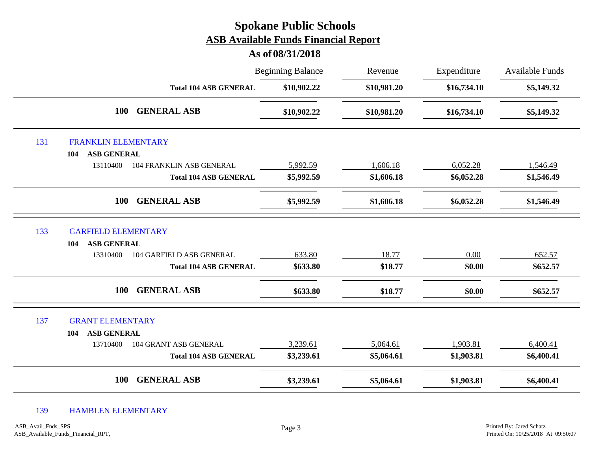|     |                                             | <b>Spokane Public Schools</b><br><b>ASB Available Funds Financial Report</b><br>As of 08/31/2018 |             |             |                        |
|-----|---------------------------------------------|--------------------------------------------------------------------------------------------------|-------------|-------------|------------------------|
|     |                                             | <b>Beginning Balance</b>                                                                         | Revenue     | Expenditure | <b>Available Funds</b> |
|     | <b>Total 104 ASB GENERAL</b>                | \$10,902.22                                                                                      | \$10,981.20 | \$16,734.10 | \$5,149.32             |
|     | 100<br><b>GENERAL ASB</b>                   | \$10,902.22                                                                                      | \$10,981.20 | \$16,734.10 | \$5,149.32             |
| 131 | <b>FRANKLIN ELEMENTARY</b>                  |                                                                                                  |             |             |                        |
|     | <b>ASB GENERAL</b><br>104                   |                                                                                                  |             |             |                        |
|     | 13110400<br><b>104 FRANKLIN ASB GENERAL</b> | 5,992.59                                                                                         | 1,606.18    | 6,052.28    | 1,546.49               |
|     | <b>Total 104 ASB GENERAL</b>                | \$5,992.59                                                                                       | \$1,606.18  | \$6,052.28  | \$1,546.49             |
|     | <b>GENERAL ASB</b><br>100                   | \$5,992.59                                                                                       | \$1,606.18  | \$6,052.28  | \$1,546.49             |
| 133 | <b>GARFIELD ELEMENTARY</b>                  |                                                                                                  |             |             |                        |
|     | <b>ASB GENERAL</b><br>104                   |                                                                                                  |             |             |                        |
|     | <b>104 GARFIELD ASB GENERAL</b><br>13310400 | 633.80                                                                                           | 18.77       | 0.00        | 652.57                 |
|     | <b>Total 104 ASB GENERAL</b>                | \$633.80                                                                                         | \$18.77     | \$0.00      | \$652.57               |
|     | <b>GENERAL ASB</b><br><b>100</b>            | \$633.80                                                                                         | \$18.77     | \$0.00      | \$652.57               |
| 137 | <b>GRANT ELEMENTARY</b>                     |                                                                                                  |             |             |                        |
|     | <b>ASB GENERAL</b><br>104                   |                                                                                                  |             |             |                        |
|     | 13710400<br>104 GRANT ASB GENERAL           | 3,239.61                                                                                         | 5,064.61    | 1,903.81    | 6,400.41               |
|     | <b>Total 104 ASB GENERAL</b>                | \$3,239.61                                                                                       | \$5,064.61  | \$1,903.81  | \$6,400.41             |
|     | <b>GENERAL ASB</b><br><b>100</b>            | \$3,239.61                                                                                       | \$5,064.61  | \$1,903.81  | \$6,400.41             |

#### 139 HAMBLEN ELEMENTARY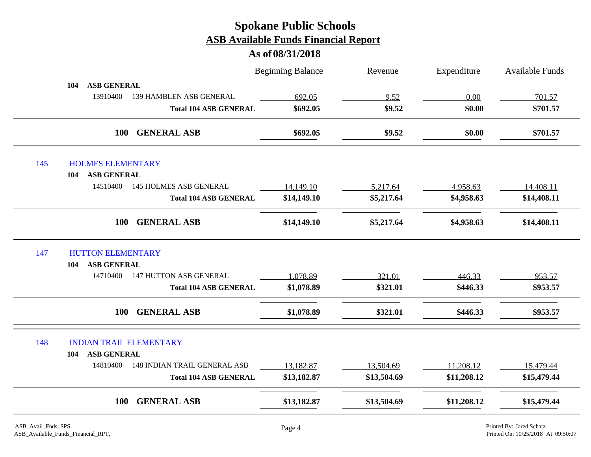|                                 |                                     | <b>Beginning Balance</b> | Revenue     | Expenditure | <b>Available Funds</b> |
|---------------------------------|-------------------------------------|--------------------------|-------------|-------------|------------------------|
| <b>ASB GENERAL</b><br>104       |                                     |                          |             |             |                        |
| 13910400                        | 139 HAMBLEN ASB GENERAL             | 692.05                   | 9.52        | 0.00        | 701.57                 |
|                                 | <b>Total 104 ASB GENERAL</b>        | \$692.05                 | \$9.52      | \$0.00      | \$701.57               |
|                                 | <b>GENERAL ASB</b><br><b>100</b>    | \$692.05                 | \$9.52      | \$0.00      | \$701.57               |
| 145<br><b>HOLMES ELEMENTARY</b> |                                     |                          |             |             |                        |
| <b>ASB GENERAL</b><br>104       |                                     |                          |             |             |                        |
| 14510400                        | <b>145 HOLMES ASB GENERAL</b>       | 14,149.10                | 5,217.64    | 4,958.63    | 14,408.11              |
|                                 | <b>Total 104 ASB GENERAL</b>        | \$14,149.10              | \$5,217.64  | \$4,958.63  | \$14,408.11            |
|                                 | <b>GENERAL ASB</b><br><b>100</b>    | \$14,149.10              | \$5,217.64  | \$4,958.63  | \$14,408.11            |
| 147<br><b>HUTTON ELEMENTARY</b> |                                     |                          |             |             |                        |
| <b>ASB GENERAL</b><br>104       |                                     |                          |             |             |                        |
| 14710400                        | <b>147 HUTTON ASB GENERAL</b>       | 1,078.89                 | 321.01      | 446.33      | 953.57                 |
|                                 | <b>Total 104 ASB GENERAL</b>        | \$1,078.89               | \$321.01    | \$446.33    | \$953.57               |
|                                 | <b>GENERAL ASB</b><br><b>100</b>    | \$1,078.89               | \$321.01    | \$446.33    | \$953.57               |
| 148                             | <b>INDIAN TRAIL ELEMENTARY</b>      |                          |             |             |                        |
| <b>ASB GENERAL</b><br>104       |                                     |                          |             |             |                        |
| 14810400                        | <b>148 INDIAN TRAIL GENERAL ASB</b> | 13,182.87                | 13,504.69   | 11,208.12   | 15,479.44              |
|                                 | <b>Total 104 ASB GENERAL</b>        | \$13,182.87              | \$13,504.69 | \$11,208.12 | \$15,479.44            |
|                                 | <b>GENERAL ASB</b><br><b>100</b>    | \$13,182.87              | \$13,504.69 | \$11,208.12 | \$15,479.44            |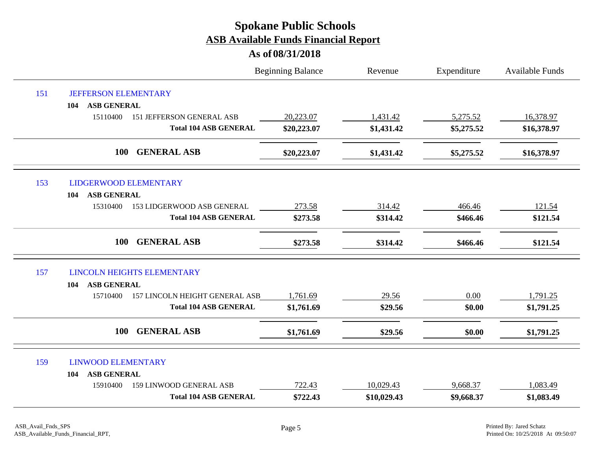|     |                                              | <b>Beginning Balance</b> | Revenue     | Expenditure | Available Funds |
|-----|----------------------------------------------|--------------------------|-------------|-------------|-----------------|
| 151 | <b>JEFFERSON ELEMENTARY</b>                  |                          |             |             |                 |
|     | <b>ASB GENERAL</b><br>104                    |                          |             |             |                 |
|     | 15110400<br><b>151 JEFFERSON GENERAL ASB</b> | 20,223.07                | 1,431.42    | 5,275.52    | 16,378.97       |
|     | <b>Total 104 ASB GENERAL</b>                 | \$20,223.07              | \$1,431.42  | \$5,275.52  | \$16,378.97     |
|     | 100<br><b>GENERAL ASB</b>                    | \$20,223.07              | \$1,431.42  | \$5,275.52  | \$16,378.97     |
| 153 | <b>LIDGERWOOD ELEMENTARY</b>                 |                          |             |             |                 |
|     | <b>ASB GENERAL</b><br>104                    |                          |             |             |                 |
|     | 15310400<br>153 LIDGERWOOD ASB GENERAL       | 273.58                   | 314.42      | 466.46      | 121.54          |
|     | <b>Total 104 ASB GENERAL</b>                 | \$273.58                 | \$314.42    | \$466.46    | \$121.54        |
|     | <b>GENERAL ASB</b><br><b>100</b>             | \$273.58                 | \$314.42    | \$466.46    | \$121.54        |
| 157 | <b>LINCOLN HEIGHTS ELEMENTARY</b>            |                          |             |             |                 |
|     | <b>ASB GENERAL</b><br>104                    |                          |             |             |                 |
|     | 157 LINCOLN HEIGHT GENERAL ASB<br>15710400   | 1,761.69                 | 29.56       | 0.00        | 1,791.25        |
|     | <b>Total 104 ASB GENERAL</b>                 | \$1,761.69               | \$29.56     | \$0.00      | \$1,791.25      |
|     | 100<br><b>GENERAL ASB</b>                    | \$1,761.69               | \$29.56     | \$0.00      | \$1,791.25      |
| 159 | <b>LINWOOD ELEMENTARY</b>                    |                          |             |             |                 |
|     | <b>ASB GENERAL</b><br>104                    |                          |             |             |                 |
|     | 159 LINWOOD GENERAL ASB<br>15910400          | 722.43                   | 10,029.43   | 9,668.37    | 1,083.49        |
|     | <b>Total 104 ASB GENERAL</b>                 | \$722.43                 | \$10,029.43 | \$9,668.37  | \$1,083.49      |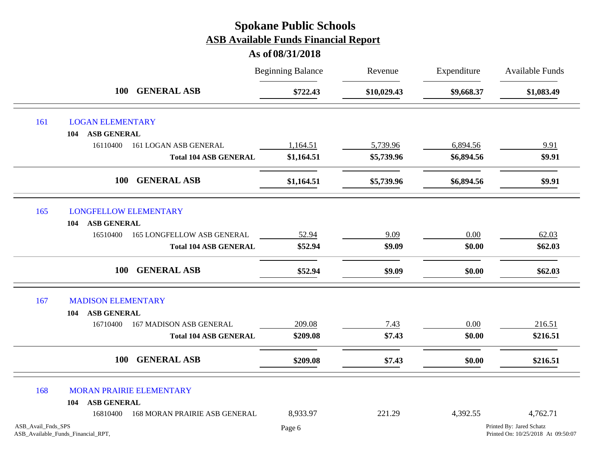|                    |                                    |                                      | <b>Beginning Balance</b> | Revenue     | Expenditure | Available Funds                                                |
|--------------------|------------------------------------|--------------------------------------|--------------------------|-------------|-------------|----------------------------------------------------------------|
|                    | <b>100</b>                         | <b>GENERAL ASB</b>                   | \$722.43                 | \$10,029.43 | \$9,668.37  | \$1,083.49                                                     |
| 161                | <b>LOGAN ELEMENTARY</b>            |                                      |                          |             |             |                                                                |
|                    | <b>ASB GENERAL</b><br>104          |                                      |                          |             |             |                                                                |
|                    | 16110400                           | 161 LOGAN ASB GENERAL                | 1,164.51                 | 5,739.96    | 6,894.56    | 9.91                                                           |
|                    |                                    | <b>Total 104 ASB GENERAL</b>         | \$1,164.51               | \$5,739.96  | \$6,894.56  | \$9.91                                                         |
|                    | <b>100</b>                         | <b>GENERAL ASB</b>                   | \$1,164.51               | \$5,739.96  | \$6,894.56  | \$9.91                                                         |
| 165                | <b>LONGFELLOW ELEMENTARY</b>       |                                      |                          |             |             |                                                                |
|                    | ASB GENERAL<br>104                 |                                      |                          |             |             |                                                                |
|                    | 16510400                           | <b>165 LONGFELLOW ASB GENERAL</b>    | 52.94                    | 9.09        | $0.00\,$    | 62.03                                                          |
|                    |                                    | <b>Total 104 ASB GENERAL</b>         | \$52.94                  | \$9.09      | \$0.00      | \$62.03                                                        |
|                    | <b>100</b>                         | <b>GENERAL ASB</b>                   | \$52.94                  | \$9.09      | \$0.00      | \$62.03                                                        |
| 167                | <b>MADISON ELEMENTARY</b>          |                                      |                          |             |             |                                                                |
|                    | ASB GENERAL<br>104                 |                                      |                          |             |             |                                                                |
|                    | 16710400                           | <b>167 MADISON ASB GENERAL</b>       | 209.08                   | 7.43        | 0.00        | 216.51                                                         |
|                    |                                    | <b>Total 104 ASB GENERAL</b>         | \$209.08                 | \$7.43      | \$0.00      | \$216.51                                                       |
|                    | 100                                | <b>GENERAL ASB</b>                   | \$209.08                 | \$7.43      | \$0.00      | \$216.51                                                       |
| 168                | <b>MORAN PRAIRIE ELEMENTARY</b>    |                                      |                          |             |             |                                                                |
|                    | <b>ASB GENERAL</b><br>104          |                                      |                          |             |             |                                                                |
|                    | 16810400                           | <b>168 MORAN PRAIRIE ASB GENERAL</b> | 8,933.97                 | 221.29      | 4,392.55    | 4,762.71                                                       |
| ASB_Avail_Fnds_SPS | ASB_Available_Funds_Financial_RPT, |                                      | Page 6                   |             |             | Printed By: Jared Schatz<br>Printed On: 10/25/2018 At 09:50:07 |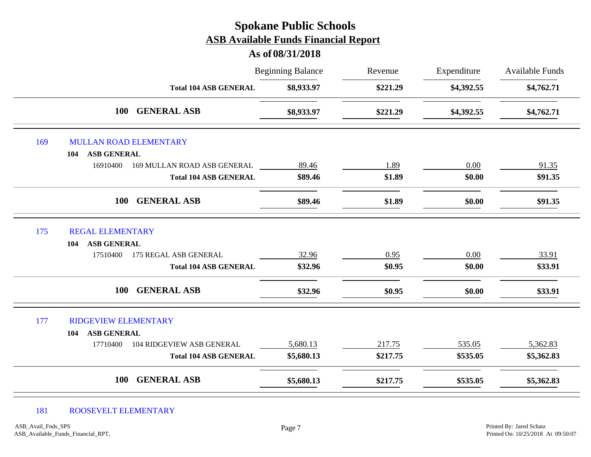#### **As of 08/31/2018**

|     |                                              | <b>Beginning Balance</b> | Revenue  | Expenditure | Available Funds<br>\$4,762.71 |
|-----|----------------------------------------------|--------------------------|----------|-------------|-------------------------------|
|     | <b>Total 104 ASB GENERAL</b>                 | \$8,933.97               | \$221.29 | \$4,392.55  |                               |
|     | <b>100</b><br><b>GENERAL ASB</b>             | \$8,933.97               | \$221.29 | \$4,392.55  | \$4,762.71                    |
| 169 | <b>MULLAN ROAD ELEMENTARY</b>                |                          |          |             |                               |
|     | <b>ASB GENERAL</b><br>104                    |                          |          |             |                               |
|     | 16910400<br>169 MULLAN ROAD ASB GENERAL      | 89.46                    | 1.89     | 0.00        | 91.35                         |
|     | <b>Total 104 ASB GENERAL</b>                 | \$89.46                  | \$1.89   | \$0.00      | \$91.35                       |
|     | <b>GENERAL ASB</b><br><b>100</b>             | \$89.46                  | \$1.89   | \$0.00      | \$91.35                       |
| 175 | <b>REGAL ELEMENTARY</b>                      |                          |          |             |                               |
|     | ASB GENERAL<br>104                           |                          |          |             |                               |
|     | 17510400<br>175 REGAL ASB GENERAL            | 32.96                    | 0.95     | 0.00        | 33.91                         |
|     | <b>Total 104 ASB GENERAL</b>                 | \$32.96                  | \$0.95   | \$0.00      | \$33.91                       |
|     | <b>GENERAL ASB</b><br><b>100</b>             | \$32.96                  | \$0.95   | \$0.00      | \$33.91                       |
| 177 | <b>RIDGEVIEW ELEMENTARY</b>                  |                          |          |             |                               |
|     | ASB GENERAL<br>104                           |                          |          |             |                               |
|     | <b>104 RIDGEVIEW ASB GENERAL</b><br>17710400 | 5,680.13                 | 217.75   | 535.05      | 5,362.83                      |
|     | <b>Total 104 ASB GENERAL</b>                 | \$5,680.13               | \$217.75 | \$535.05    | \$5,362.83                    |
|     | <b>GENERAL ASB</b><br><b>100</b>             | \$5,680.13               | \$217.75 | \$535.05    | \$5,362.83                    |

#### 181 ROOSEVELT ELEMENTARY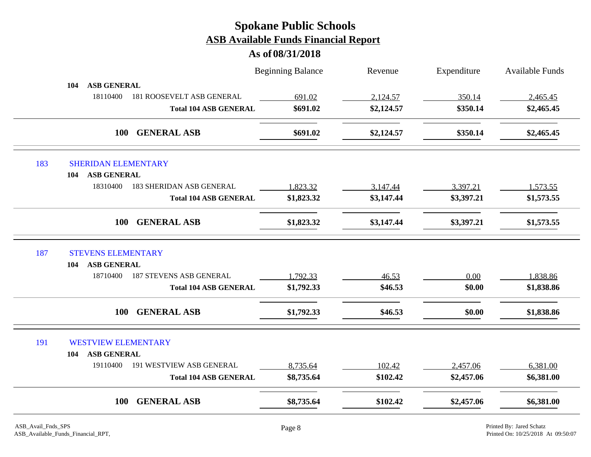|     |                                             | <b>Beginning Balance</b> | Revenue    | Expenditure | <b>Available Funds</b> |
|-----|---------------------------------------------|--------------------------|------------|-------------|------------------------|
|     | <b>ASB GENERAL</b><br>104                   |                          |            |             |                        |
|     | 18110400<br>181 ROOSEVELT ASB GENERAL       | 691.02                   | 2,124.57   | 350.14      | 2,465.45               |
|     | <b>Total 104 ASB GENERAL</b>                | \$691.02                 | \$2,124.57 | \$350.14    | \$2,465.45             |
|     | <b>GENERAL ASB</b><br><b>100</b>            | \$691.02                 | \$2,124.57 | \$350.14    | \$2,465.45             |
| 183 | <b>SHERIDAN ELEMENTARY</b>                  |                          |            |             |                        |
|     | <b>ASB GENERAL</b><br>104                   |                          |            |             |                        |
|     | 18310400<br><b>183 SHERIDAN ASB GENERAL</b> | 1,823.32                 | 3,147.44   | 3,397.21    | 1,573.55               |
|     | <b>Total 104 ASB GENERAL</b>                | \$1,823.32               | \$3,147.44 | \$3,397.21  | \$1,573.55             |
|     | <b>GENERAL ASB</b><br><b>100</b>            | \$1,823.32               | \$3,147.44 | \$3,397.21  | \$1,573.55             |
| 187 | <b>STEVENS ELEMENTARY</b>                   |                          |            |             |                        |
|     | <b>ASB GENERAL</b><br>104                   |                          |            |             |                        |
|     | <b>187 STEVENS ASB GENERAL</b><br>18710400  | 1,792.33                 | 46.53      | 0.00        | 1,838.86               |
|     | <b>Total 104 ASB GENERAL</b>                | \$1,792.33               | \$46.53    | \$0.00      | \$1,838.86             |
|     | <b>GENERAL ASB</b><br>100                   | \$1,792.33               | \$46.53    | \$0.00      | \$1,838.86             |
| 191 | <b>WESTVIEW ELEMENTARY</b>                  |                          |            |             |                        |
|     | <b>ASB GENERAL</b><br>104                   |                          |            |             |                        |
|     | 19110400<br><b>191 WESTVIEW ASB GENERAL</b> | 8,735.64                 | 102.42     | 2,457.06    | 6,381.00               |
|     | <b>Total 104 ASB GENERAL</b>                | \$8,735.64               | \$102.42   | \$2,457.06  | \$6,381.00             |
|     | <b>GENERAL ASB</b><br><b>100</b>            | \$8,735.64               | \$102.42   | \$2,457.06  | \$6,381.00             |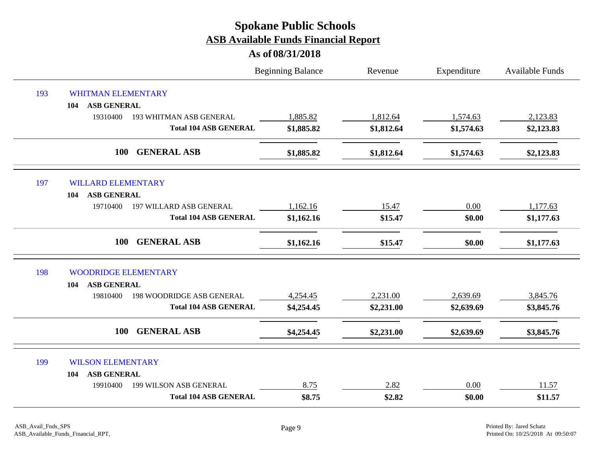|     |                                              | <b>Beginning Balance</b> | Revenue    | Expenditure | <b>Available Funds</b> |
|-----|----------------------------------------------|--------------------------|------------|-------------|------------------------|
| 193 | <b>WHITMAN ELEMENTARY</b>                    |                          |            |             |                        |
|     | <b>ASB GENERAL</b><br>104                    |                          |            |             |                        |
|     | 19310400<br><b>193 WHITMAN ASB GENERAL</b>   | 1,885.82                 | 1,812.64   | 1,574.63    | 2,123.83               |
|     | <b>Total 104 ASB GENERAL</b>                 | \$1,885.82               | \$1,812.64 | \$1,574.63  | \$2,123.83             |
|     | 100<br><b>GENERAL ASB</b>                    | \$1,885.82               | \$1,812.64 | \$1,574.63  | \$2,123.83             |
| 197 | <b>WILLARD ELEMENTARY</b>                    |                          |            |             |                        |
|     | <b>ASB GENERAL</b><br>104                    |                          |            |             |                        |
|     | 19710400<br>197 WILLARD ASB GENERAL          | 1,162.16                 | 15.47      | 0.00        | 1,177.63               |
|     | <b>Total 104 ASB GENERAL</b>                 | \$1,162.16               | \$15.47    | \$0.00      | \$1,177.63             |
|     | <b>GENERAL ASB</b><br>100                    | \$1,162.16               | \$15.47    | \$0.00      | \$1,177.63             |
| 198 | <b>WOODRIDGE ELEMENTARY</b>                  |                          |            |             |                        |
|     | <b>ASB GENERAL</b><br>104                    |                          |            |             |                        |
|     | <b>198 WOODRIDGE ASB GENERAL</b><br>19810400 | 4,254.45                 | 2,231.00   | 2,639.69    | 3,845.76               |
|     | <b>Total 104 ASB GENERAL</b>                 | \$4,254.45               | \$2,231.00 | \$2,639.69  | \$3,845.76             |
|     | <b>GENERAL ASB</b><br>100                    | \$4,254.45               | \$2,231.00 | \$2,639.69  | \$3,845.76             |
| 199 | <b>WILSON ELEMENTARY</b>                     |                          |            |             |                        |
|     | <b>ASB GENERAL</b><br>104                    |                          |            |             |                        |
|     | 19910400<br>199 WILSON ASB GENERAL           | 8.75                     | 2.82       | 0.00        | 11.57                  |
|     | <b>Total 104 ASB GENERAL</b>                 | \$8.75                   | \$2.82     | \$0.00      | \$11.57                |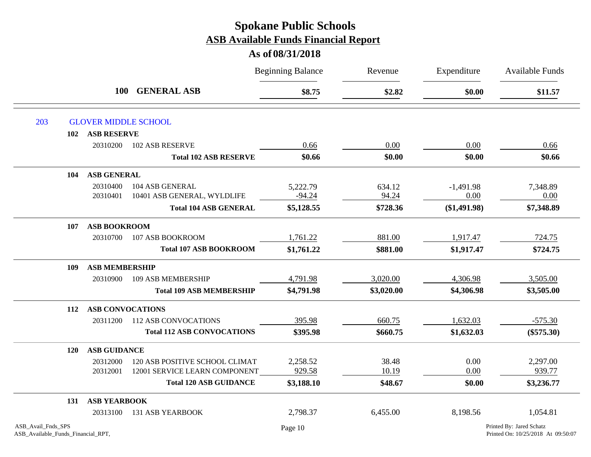|                                                          |                         |                                   | <b>Beginning Balance</b> | Revenue    | Expenditure    | <b>Available Funds</b>                                         |
|----------------------------------------------------------|-------------------------|-----------------------------------|--------------------------|------------|----------------|----------------------------------------------------------------|
|                                                          | <b>100</b>              | <b>GENERAL ASB</b>                | \$8.75                   | \$2.82     | \$0.00         | \$11.57                                                        |
| 203                                                      |                         | <b>GLOVER MIDDLE SCHOOL</b>       |                          |            |                |                                                                |
| 102                                                      | <b>ASB RESERVE</b>      |                                   |                          |            |                |                                                                |
|                                                          | 20310200                | 102 ASB RESERVE                   | 0.66                     | 0.00       | 0.00           | 0.66                                                           |
|                                                          |                         | <b>Total 102 ASB RESERVE</b>      | \$0.66                   | \$0.00     | \$0.00         | \$0.66                                                         |
| 104                                                      | <b>ASB GENERAL</b>      |                                   |                          |            |                |                                                                |
|                                                          | 20310400                | 104 ASB GENERAL                   | 5,222.79                 | 634.12     | $-1,491.98$    | 7,348.89                                                       |
|                                                          | 20310401                | 10401 ASB GENERAL, WYLDLIFE       | $-94.24$                 | 94.24      | 0.00           | 0.00                                                           |
|                                                          |                         | <b>Total 104 ASB GENERAL</b>      | \$5,128.55               | \$728.36   | $(\$1,491.98)$ | \$7,348.89                                                     |
| 107                                                      | <b>ASB BOOKROOM</b>     |                                   |                          |            |                |                                                                |
|                                                          | 20310700                | 107 ASB BOOKROOM                  | 1,761.22                 | 881.00     | 1,917.47       | 724.75                                                         |
|                                                          |                         | <b>Total 107 ASB BOOKROOM</b>     | \$1,761.22               | \$881.00   | \$1,917.47     | \$724.75                                                       |
| 109                                                      | <b>ASB MEMBERSHIP</b>   |                                   |                          |            |                |                                                                |
|                                                          | 20310900                | 109 ASB MEMBERSHIP                | 4,791.98                 | 3,020.00   | 4,306.98       | 3,505.00                                                       |
|                                                          |                         | <b>Total 109 ASB MEMBERSHIP</b>   | \$4,791.98               | \$3,020.00 | \$4,306.98     | \$3,505.00                                                     |
| 112                                                      | <b>ASB CONVOCATIONS</b> |                                   |                          |            |                |                                                                |
|                                                          | 20311200                | <b>112 ASB CONVOCATIONS</b>       | 395.98                   | 660.75     | 1,632.03       | $-575.30$                                                      |
|                                                          |                         | <b>Total 112 ASB CONVOCATIONS</b> | \$395.98                 | \$660.75   | \$1,632.03     | $(\$575.30)$                                                   |
| 120                                                      | <b>ASB GUIDANCE</b>     |                                   |                          |            |                |                                                                |
|                                                          | 20312000                | 120 ASB POSITIVE SCHOOL CLIMAT    | 2,258.52                 | 38.48      | 0.00           | 2,297.00                                                       |
|                                                          | 20312001                | 12001 SERVICE LEARN COMPONENT     | 929.58                   | 10.19      | 0.00           | 939.77                                                         |
|                                                          |                         | <b>Total 120 ASB GUIDANCE</b>     | \$3,188.10               | \$48.67    | \$0.00         | \$3,236.77                                                     |
| 131                                                      | <b>ASB YEARBOOK</b>     |                                   |                          |            |                |                                                                |
|                                                          | 20313100                | <b>131 ASB YEARBOOK</b>           | 2,798.37                 | 6,455.00   | 8,198.56       | 1,054.81                                                       |
| ASB Avail Fnds SPS<br>ASB_Available_Funds_Financial_RPT, |                         |                                   | Page 10                  |            |                | Printed By: Jared Schatz<br>Printed On: 10/25/2018 At 09:50:07 |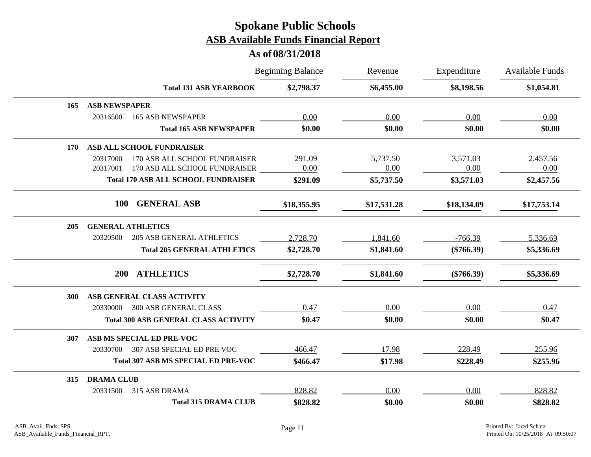|     |                                              | <b>Beginning Balance</b> | Revenue     | Expenditure  | Available Funds |
|-----|----------------------------------------------|--------------------------|-------------|--------------|-----------------|
|     | <b>Total 131 ASB YEARBOOK</b>                | \$2,798.37               | \$6,455.00  | \$8,198.56   | \$1,054.81      |
| 165 | <b>ASB NEWSPAPER</b>                         |                          |             |              |                 |
|     | 20316500<br><b>165 ASB NEWSPAPER</b>         | 0.00                     | 0.00        | 0.00         | 0.00            |
|     | <b>Total 165 ASB NEWSPAPER</b>               | \$0.00                   | \$0.00      | \$0.00       | \$0.00          |
| 170 | ASB ALL SCHOOL FUNDRAISER                    |                          |             |              |                 |
|     | 170 ASB ALL SCHOOL FUNDRAISER<br>20317000    | 291.09                   | 5,737.50    | 3,571.03     | 2,457.56        |
|     | 20317001<br>170 ASB ALL SCHOOL FUNDRAISER    | 0.00                     | 0.00        | 0.00         | 0.00            |
|     | <b>Total 170 ASB ALL SCHOOL FUNDRAISER</b>   | \$291.09                 | \$5,737.50  | \$3,571.03   | \$2,457.56      |
|     | <b>GENERAL ASB</b><br><b>100</b>             | \$18,355.95              | \$17,531.28 | \$18,134.09  | \$17,753.14     |
| 205 | <b>GENERAL ATHLETICS</b>                     |                          |             |              |                 |
|     | 20320500<br><b>205 ASB GENERAL ATHLETICS</b> | 2,728.70                 | 1,841.60    | $-766.39$    | 5,336.69        |
|     | <b>Total 205 GENERAL ATHLETICS</b>           | \$2,728.70               | \$1,841.60  | $(\$766.39)$ | \$5,336.69      |
|     | <b>ATHLETICS</b><br>200                      | \$2,728.70               | \$1,841.60  | $(\$766.39)$ | \$5,336.69      |
| 300 | ASB GENERAL CLASS ACTIVITY                   |                          |             |              |                 |
|     | <b>300 ASB GENERAL CLASS</b><br>20330000     | 0.47                     | 0.00        | 0.00         | 0.47            |
|     | <b>Total 300 ASB GENERAL CLASS ACTIVITY</b>  | \$0.47                   | \$0.00      | \$0.00       | \$0.47          |
| 307 | ASB MS SPECIAL ED PRE-VOC                    |                          |             |              |                 |
|     | 307 ASB SPECIAL ED PRE VOC<br>20330700       | 466.47                   | 17.98       | 228.49       | 255.96          |
|     | <b>Total 307 ASB MS SPECIAL ED PRE-VOC</b>   | \$466.47                 | \$17.98     | \$228.49     | \$255.96        |
| 315 | <b>DRAMA CLUB</b>                            |                          |             |              |                 |
|     | 315 ASB DRAMA<br>20331500                    | 828.82                   | 0.00        | 0.00         | 828.82          |
|     | <b>Total 315 DRAMA CLUB</b>                  | \$828.82                 | \$0.00      | \$0.00       | \$828.82        |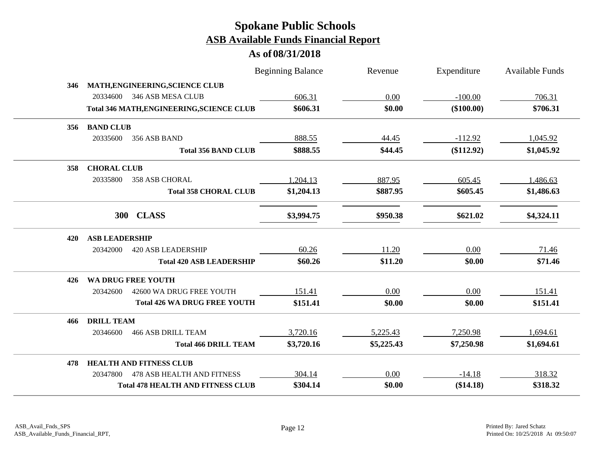|     |                       |                                                  | <b>Beginning Balance</b> | Revenue    | Expenditure | <b>Available Funds</b> |
|-----|-----------------------|--------------------------------------------------|--------------------------|------------|-------------|------------------------|
| 346 |                       | MATH, ENGINEERING, SCIENCE CLUB                  |                          |            |             |                        |
|     |                       | 20334600 346 ASB MESA CLUB                       | 606.31                   | 0.00       | $-100.00$   | 706.31                 |
|     |                       | <b>Total 346 MATH, ENGINEERING, SCIENCE CLUB</b> | \$606.31                 | \$0.00     | (\$100.00)  | \$706.31               |
| 356 | <b>BAND CLUB</b>      |                                                  |                          |            |             |                        |
|     | 20335600              | 356 ASB BAND                                     | 888.55                   | 44.45      | $-112.92$   | 1,045.92               |
|     |                       | <b>Total 356 BAND CLUB</b>                       | \$888.55                 | \$44.45    | (\$112.92)  | \$1,045.92             |
| 358 | <b>CHORAL CLUB</b>    |                                                  |                          |            |             |                        |
|     | 20335800              | 358 ASB CHORAL                                   | 1,204.13                 | 887.95     | 605.45      | 1,486.63               |
|     |                       | <b>Total 358 CHORAL CLUB</b>                     | \$1,204.13               | \$887.95   | \$605.45    | \$1,486.63             |
|     | <b>300</b>            | <b>CLASS</b>                                     | \$3,994.75               | \$950.38   | \$621.02    | \$4,324.11             |
| 420 | <b>ASB LEADERSHIP</b> |                                                  |                          |            |             |                        |
|     | 20342000              | <b>420 ASB LEADERSHIP</b>                        | 60.26                    | 11.20      | 0.00        | 71.46                  |
|     |                       | <b>Total 420 ASB LEADERSHIP</b>                  | \$60.26                  | \$11.20    | \$0.00      | \$71.46                |
| 426 |                       | <b>WA DRUG FREE YOUTH</b>                        |                          |            |             |                        |
|     | 20342600              | 42600 WA DRUG FREE YOUTH                         | 151.41                   | 0.00       | 0.00        | 151.41                 |
|     |                       | <b>Total 426 WA DRUG FREE YOUTH</b>              | \$151.41                 | \$0.00     | \$0.00      | \$151.41               |
| 466 | <b>DRILL TEAM</b>     |                                                  |                          |            |             |                        |
|     | 20346600              | <b>466 ASB DRILL TEAM</b>                        | 3,720.16                 | 5,225.43   | 7,250.98    | 1,694.61               |
|     |                       | <b>Total 466 DRILL TEAM</b>                      | \$3,720.16               | \$5,225.43 | \$7,250.98  | \$1,694.61             |
| 478 |                       | <b>HEALTH AND FITNESS CLUB</b>                   |                          |            |             |                        |
|     | 20347800              | <b>478 ASB HEALTH AND FITNESS</b>                | 304.14                   | 0.00       | $-14.18$    | 318.32                 |
|     |                       | <b>Total 478 HEALTH AND FITNESS CLUB</b>         | \$304.14                 | \$0.00     | (\$14.18)   | \$318.32               |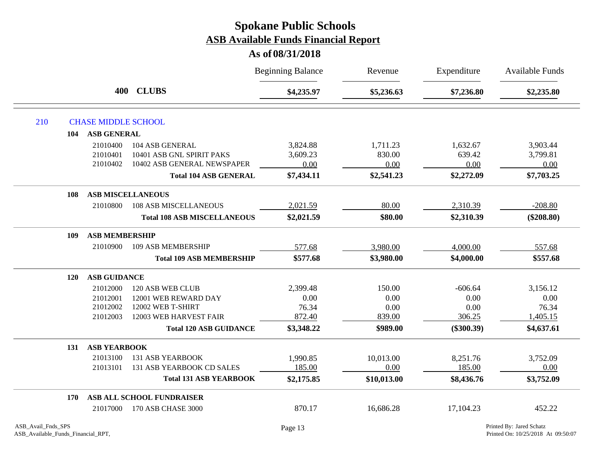|     |          |                                    | <b>Beginning Balance</b> | Revenue     | Expenditure  | Available Funds |
|-----|----------|------------------------------------|--------------------------|-------------|--------------|-----------------|
|     |          | 400 CLUBS                          | \$4,235.97               | \$5,236.63  | \$7,236.80   | \$2,235.80      |
| 210 |          | <b>CHASE MIDDLE SCHOOL</b>         |                          |             |              |                 |
|     | 104      | <b>ASB GENERAL</b>                 |                          |             |              |                 |
|     | 21010400 | 104 ASB GENERAL                    | 3,824.88                 | 1,711.23    | 1,632.67     | 3,903.44        |
|     | 21010401 | 10401 ASB GNL SPIRIT PAKS          | 3,609.23                 | 830.00      | 639.42       | 3,799.81        |
|     | 21010402 | 10402 ASB GENERAL NEWSPAPER        | 0.00                     | 0.00        | 0.00         | 0.00            |
|     |          | <b>Total 104 ASB GENERAL</b>       | \$7,434.11               | \$2,541.23  | \$2,272.09   | \$7,703.25      |
|     | 108      | <b>ASB MISCELLANEOUS</b>           |                          |             |              |                 |
|     | 21010800 | <b>108 ASB MISCELLANEOUS</b>       | 2,021.59                 | 80.00       | 2,310.39     | $-208.80$       |
|     |          | <b>Total 108 ASB MISCELLANEOUS</b> | \$2,021.59               | \$80.00     | \$2,310.39   | $(\$208.80)$    |
|     | 109      | <b>ASB MEMBERSHIP</b>              |                          |             |              |                 |
|     | 21010900 | 109 ASB MEMBERSHIP                 | 577.68                   | 3,980.00    | 4,000.00     | 557.68          |
|     |          | <b>Total 109 ASB MEMBERSHIP</b>    | \$577.68                 | \$3,980.00  | \$4,000.00   | \$557.68        |
|     | 120      | <b>ASB GUIDANCE</b>                |                          |             |              |                 |
|     | 21012000 | 120 ASB WEB CLUB                   | 2,399.48                 | 150.00      | $-606.64$    | 3,156.12        |
|     | 21012001 | 12001 WEB REWARD DAY               | 0.00                     | 0.00        | 0.00         | 0.00            |
|     | 21012002 | 12002 WEB T-SHIRT                  | 76.34                    | 0.00        | 0.00         | 76.34           |
|     | 21012003 | 12003 WEB HARVEST FAIR             | 872.40                   | 839.00      | 306.25       | 1,405.15        |
|     |          | <b>Total 120 ASB GUIDANCE</b>      | \$3,348.22               | \$989.00    | $(\$300.39)$ | \$4,637.61      |
|     | 131      | <b>ASB YEARBOOK</b>                |                          |             |              |                 |
|     | 21013100 | <b>131 ASB YEARBOOK</b>            | 1,990.85                 | 10,013.00   | 8,251.76     | 3,752.09        |
|     | 21013101 | 131 ASB YEARBOOK CD SALES          | 185.00                   | 0.00        | 185.00       | 0.00            |
|     |          | <b>Total 131 ASB YEARBOOK</b>      | \$2,175.85               | \$10,013.00 | \$8,436.76   | \$3,752.09      |
|     | 170      | ASB ALL SCHOOL FUNDRAISER          |                          |             |              |                 |
|     | 21017000 | 170 ASB CHASE 3000                 | 870.17                   | 16,686.28   | 17,104.23    | 452.22          |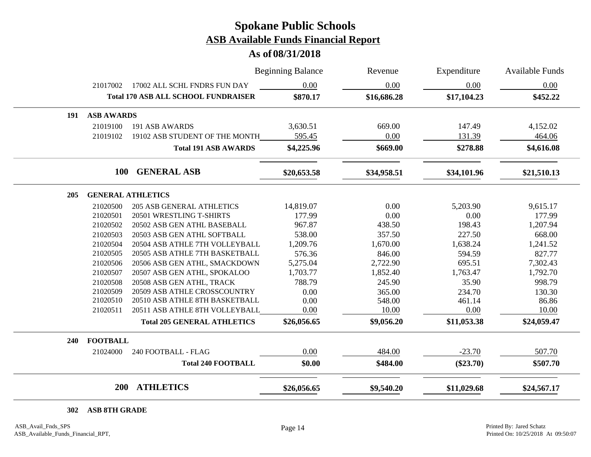**As of 08/31/2018**

|     |                   |                                            | <b>Beginning Balance</b> | Revenue     | Expenditure | <b>Available Funds</b> |
|-----|-------------------|--------------------------------------------|--------------------------|-------------|-------------|------------------------|
|     | 21017002          | 17002 ALL SCHL FNDRS FUN DAY               | 0.00                     | 0.00        | 0.00        | 0.00                   |
|     |                   | <b>Total 170 ASB ALL SCHOOL FUNDRAISER</b> | \$870.17                 | \$16,686.28 | \$17,104.23 | \$452.22               |
| 191 | <b>ASB AWARDS</b> |                                            |                          |             |             |                        |
|     | 21019100          | 191 ASB AWARDS                             | 3,630.51                 | 669.00      | 147.49      | 4,152.02               |
|     | 21019102          | 19102 ASB STUDENT OF THE MONTH             | 595.45                   | 0.00        | 131.39      | 464.06                 |
|     |                   | <b>Total 191 ASB AWARDS</b>                | \$4,225.96               | \$669.00    | \$278.88    | \$4,616.08             |
|     | <b>100</b>        | <b>GENERAL ASB</b>                         | \$20,653.58              | \$34,958.51 | \$34,101.96 | \$21,510.13            |
| 205 |                   | <b>GENERAL ATHLETICS</b>                   |                          |             |             |                        |
|     | 21020500          | <b>205 ASB GENERAL ATHLETICS</b>           | 14,819.07                | 0.00        | 5,203.90    | 9,615.17               |
|     | 21020501          | 20501 WRESTLING T-SHIRTS                   | 177.99                   | 0.00        | 0.00        | 177.99                 |
|     | 21020502          | 20502 ASB GEN ATHL BASEBALL                | 967.87                   | 438.50      | 198.43      | 1,207.94               |
|     | 21020503          | 20503 ASB GEN ATHL SOFTBALL                | 538.00                   | 357.50      | 227.50      | 668.00                 |
|     | 21020504          | 20504 ASB ATHLE 7TH VOLLEYBALL             | 1,209.76                 | 1,670.00    | 1,638.24    | 1,241.52               |
|     | 21020505          | 20505 ASB ATHLE 7TH BASKETBALL             | 576.36                   | 846.00      | 594.59      | 827.77                 |
|     | 21020506          | 20506 ASB GEN ATHL, SMACKDOWN              | 5,275.04                 | 2,722.90    | 695.51      | 7,302.43               |
|     | 21020507          | 20507 ASB GEN ATHL, SPOKALOO               | 1,703.77                 | 1,852.40    | 1,763.47    | 1,792.70               |
|     | 21020508          | 20508 ASB GEN ATHL, TRACK                  | 788.79                   | 245.90      | 35.90       | 998.79                 |
|     | 21020509          | 20509 ASB ATHLE CROSSCOUNTRY               | 0.00                     | 365.00      | 234.70      | 130.30                 |
|     | 21020510          | 20510 ASB ATHLE 8TH BASKETBALL             | 0.00                     | 548.00      | 461.14      | 86.86                  |
|     | 21020511          | 20511 ASB ATHLE 8TH VOLLEYBALL             | 0.00                     | 10.00       | 0.00        | 10.00                  |
|     |                   | <b>Total 205 GENERAL ATHLETICS</b>         | \$26,056.65              | \$9,056.20  | \$11,053.38 | \$24,059.47            |
| 240 | <b>FOOTBALL</b>   |                                            |                          |             |             |                        |
|     | 21024000          | 240 FOOTBALL - FLAG                        | 0.00                     | 484.00      | $-23.70$    | 507.70                 |
|     |                   | <b>Total 240 FOOTBALL</b>                  | \$0.00                   | \$484.00    | $(\$23.70)$ | \$507.70               |
|     | <b>200</b>        | <b>ATHLETICS</b>                           | \$26,056.65              | \$9,540.20  | \$11,029.68 | \$24,567.17            |

**ASB 8TH GRADE**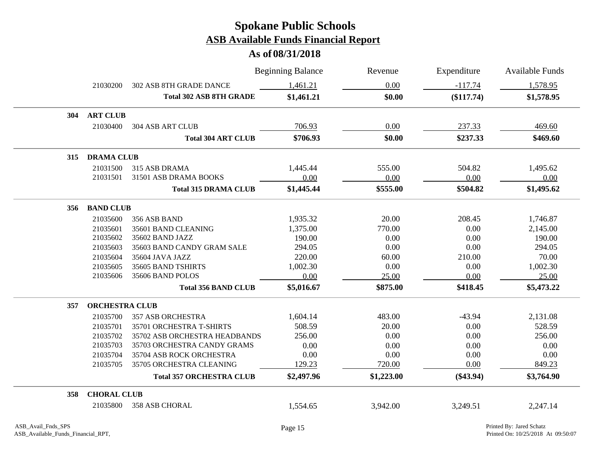|     |                       |                                 | <b>Beginning Balance</b> | Revenue    | Expenditure | <b>Available Funds</b> |
|-----|-----------------------|---------------------------------|--------------------------|------------|-------------|------------------------|
|     | 21030200              | <b>302 ASB 8TH GRADE DANCE</b>  | 1,461.21                 | 0.00       | $-117.74$   | 1,578.95               |
|     |                       | <b>Total 302 ASB 8TH GRADE</b>  | \$1,461.21               | \$0.00     | (\$117.74)  | \$1,578.95             |
| 304 | <b>ART CLUB</b>       |                                 |                          |            |             |                        |
|     | 21030400              | <b>304 ASB ART CLUB</b>         | 706.93                   | 0.00       | 237.33      | 469.60                 |
|     |                       | <b>Total 304 ART CLUB</b>       | \$706.93                 | \$0.00     | \$237.33    | \$469.60               |
| 315 | <b>DRAMA CLUB</b>     |                                 |                          |            |             |                        |
|     | 21031500              | 315 ASB DRAMA                   | 1,445.44                 | 555.00     | 504.82      | 1,495.62               |
|     | 21031501              | 31501 ASB DRAMA BOOKS           | 0.00                     | 0.00       | 0.00        | 0.00                   |
|     |                       | <b>Total 315 DRAMA CLUB</b>     | \$1,445.44               | \$555.00   | \$504.82    | \$1,495.62             |
| 356 | <b>BAND CLUB</b>      |                                 |                          |            |             |                        |
|     | 21035600              | 356 ASB BAND                    | 1,935.32                 | 20.00      | 208.45      | 1,746.87               |
|     | 21035601              | 35601 BAND CLEANING             | 1,375.00                 | 770.00     | 0.00        | 2,145.00               |
|     | 21035602              | 35602 BAND JAZZ                 | 190.00                   | 0.00       | 0.00        | 190.00                 |
|     | 21035603              | 35603 BAND CANDY GRAM SALE      | 294.05                   | 0.00       | 0.00        | 294.05                 |
|     | 21035604              | 35604 JAVA JAZZ                 | 220.00                   | 60.00      | 210.00      | 70.00                  |
|     | 21035605              | 35605 BAND TSHIRTS              | 1,002.30                 | 0.00       | 0.00        | 1,002.30               |
|     | 21035606              | 35606 BAND POLOS                | 0.00                     | 25.00      | 0.00        | 25.00                  |
|     |                       | <b>Total 356 BAND CLUB</b>      | \$5,016.67               | \$875.00   | \$418.45    | \$5,473.22             |
| 357 | <b>ORCHESTRA CLUB</b> |                                 |                          |            |             |                        |
|     | 21035700              | <b>357 ASB ORCHESTRA</b>        | 1,604.14                 | 483.00     | $-43.94$    | 2,131.08               |
|     | 21035701              | 35701 ORCHESTRA T-SHIRTS        | 508.59                   | 20.00      | 0.00        | 528.59                 |
|     | 21035702              | 35702 ASB ORCHESTRA HEADBANDS   | 256.00                   | 0.00       | 0.00        | 256.00                 |
|     | 21035703              | 35703 ORCHESTRA CANDY GRAMS     | 0.00                     | 0.00       | 0.00        | 0.00                   |
|     | 21035704              | 35704 ASB ROCK ORCHESTRA        | 0.00                     | 0.00       | 0.00        | 0.00                   |
|     | 21035705              | 35705 ORCHESTRA CLEANING        | 129.23                   | 720.00     | 0.00        | 849.23                 |
|     |                       | <b>Total 357 ORCHESTRA CLUB</b> | \$2,497.96               | \$1,223.00 | $(\$43.94)$ | \$3,764.90             |
| 358 | <b>CHORAL CLUB</b>    |                                 |                          |            |             |                        |
|     | 21035800              | <b>358 ASB CHORAL</b>           | 1,554.65                 | 3,942.00   | 3,249.51    | 2,247.14               |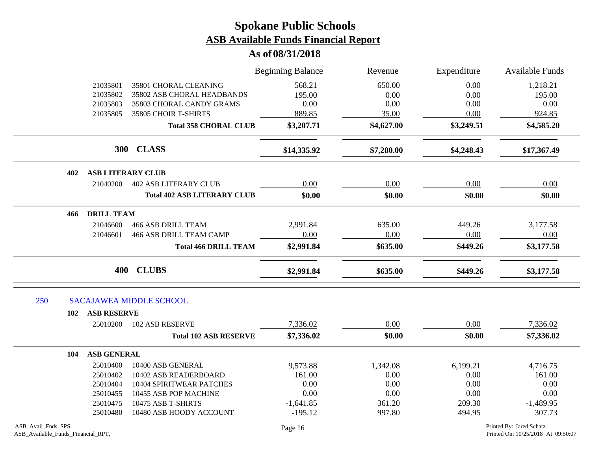|                                                          |                    |                                    | <b>Beginning Balance</b> | Revenue    | Expenditure | <b>Available Funds</b>                                         |
|----------------------------------------------------------|--------------------|------------------------------------|--------------------------|------------|-------------|----------------------------------------------------------------|
|                                                          | 21035801           | 35801 CHORAL CLEANING              | 568.21                   | 650.00     | 0.00        | 1,218.21                                                       |
|                                                          | 21035802           | 35802 ASB CHORAL HEADBANDS         | 195.00                   | 0.00       | 0.00        | 195.00                                                         |
|                                                          | 21035803           | 35803 CHORAL CANDY GRAMS           | 0.00                     | 0.00       | 0.00        | 0.00                                                           |
|                                                          | 21035805           | 35805 CHOIR T-SHIRTS               | 889.85                   | 35.00      | 0.00        | 924.85                                                         |
|                                                          |                    | <b>Total 358 CHORAL CLUB</b>       | \$3,207.71               | \$4,627.00 | \$3,249.51  | \$4,585.20                                                     |
|                                                          |                    | 300 CLASS                          | \$14,335.92              | \$7,280.00 | \$4,248.43  | \$17,367.49                                                    |
| 402                                                      |                    | <b>ASB LITERARY CLUB</b>           |                          |            |             |                                                                |
|                                                          | 21040200           | <b>402 ASB LITERARY CLUB</b>       | 0.00                     | 0.00       | 0.00        | 0.00                                                           |
|                                                          |                    | <b>Total 402 ASB LITERARY CLUB</b> | \$0.00                   | \$0.00     | \$0.00      | \$0.00                                                         |
| 466                                                      | <b>DRILL TEAM</b>  |                                    |                          |            |             |                                                                |
|                                                          | 21046600           | <b>466 ASB DRILL TEAM</b>          | 2,991.84                 | 635.00     | 449.26      | 3,177.58                                                       |
|                                                          | 21046601           | 466 ASB DRILL TEAM CAMP            | 0.00                     | 0.00       | 0.00        | 0.00                                                           |
|                                                          |                    | <b>Total 466 DRILL TEAM</b>        | \$2,991.84               | \$635.00   | \$449.26    | \$3,177.58                                                     |
|                                                          | 400                | <b>CLUBS</b>                       | \$2,991.84               | \$635.00   | \$449.26    | \$3,177.58                                                     |
| 250                                                      |                    | <b>SACAJAWEA MIDDLE SCHOOL</b>     |                          |            |             |                                                                |
| 102                                                      | <b>ASB RESERVE</b> |                                    |                          |            |             |                                                                |
|                                                          | 25010200           | <b>102 ASB RESERVE</b>             | 7,336.02                 | 0.00       | 0.00        | 7,336.02                                                       |
|                                                          |                    | <b>Total 102 ASB RESERVE</b>       | \$7,336.02               | \$0.00     | \$0.00      | \$7,336.02                                                     |
| 104                                                      | <b>ASB GENERAL</b> |                                    |                          |            |             |                                                                |
|                                                          | 25010400           | 10400 ASB GENERAL                  | 9,573.88                 | 1,342.08   | 6,199.21    | 4,716.75                                                       |
|                                                          | 25010402           | 10402 ASB READERBOARD              | 161.00                   | 0.00       | 0.00        | 161.00                                                         |
|                                                          | 25010404           | 10404 SPIRITWEAR PATCHES           | 0.00                     | 0.00       | 0.00        | 0.00                                                           |
|                                                          | 25010455           | 10455 ASB POP MACHINE              | 0.00                     | 0.00       | 0.00        | 0.00                                                           |
|                                                          | 25010475           | 10475 ASB T-SHIRTS                 | $-1,641.85$              | 361.20     | 209.30      | $-1,489.95$                                                    |
|                                                          | 25010480           | 10480 ASB HOODY ACCOUNT            | $-195.12$                | 997.80     | 494.95      | 307.73                                                         |
| ASB Avail Fnds SPS<br>ASB_Available_Funds_Financial_RPT, |                    |                                    | Page 16                  |            |             | Printed By: Jared Schatz<br>Printed On: 10/25/2018 At 09:50:07 |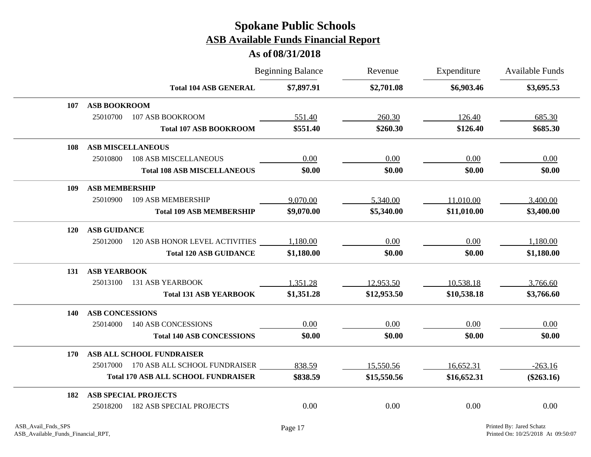|            |                        |                                            | <b>Beginning Balance</b> | Revenue     | Expenditure | Available Funds |  |
|------------|------------------------|--------------------------------------------|--------------------------|-------------|-------------|-----------------|--|
|            |                        | <b>Total 104 ASB GENERAL</b>               | \$7,897.91               | \$2,701.08  | \$6,903.46  | \$3,695.53      |  |
| 107        | <b>ASB BOOKROOM</b>    |                                            |                          |             |             |                 |  |
|            | 25010700               | 107 ASB BOOKROOM                           | 551.40                   | 260.30      | 126.40      | 685.30          |  |
|            |                        | <b>Total 107 ASB BOOKROOM</b>              | \$551.40                 | \$260.30    | \$126.40    | \$685.30        |  |
| 108        |                        | <b>ASB MISCELLANEOUS</b>                   |                          |             |             |                 |  |
|            | 25010800               | <b>108 ASB MISCELLANEOUS</b>               | 0.00                     | 0.00        | 0.00        | 0.00            |  |
|            |                        | <b>Total 108 ASB MISCELLANEOUS</b>         | \$0.00                   | \$0.00      | \$0.00      | \$0.00          |  |
| 109        | <b>ASB MEMBERSHIP</b>  |                                            |                          |             |             |                 |  |
|            | 25010900               | 109 ASB MEMBERSHIP                         | 9,070.00                 | 5,340.00    | 11,010.00   | 3,400.00        |  |
|            |                        | <b>Total 109 ASB MEMBERSHIP</b>            | \$9,070.00               | \$5,340.00  | \$11,010.00 | \$3,400.00      |  |
| <b>120</b> | <b>ASB GUIDANCE</b>    |                                            |                          |             |             |                 |  |
|            |                        | 25012000 120 ASB HONOR LEVEL ACTIVITIES    | 1,180.00                 | 0.00        | 0.00        | 1,180.00        |  |
|            |                        | <b>Total 120 ASB GUIDANCE</b>              | \$1,180.00               | \$0.00      | \$0.00      | \$1,180.00      |  |
| 131        | <b>ASB YEARBOOK</b>    |                                            |                          |             |             |                 |  |
|            | 25013100               | <b>131 ASB YEARBOOK</b>                    | 1,351.28                 | 12,953.50   | 10,538.18   | 3,766.60        |  |
|            |                        | <b>Total 131 ASB YEARBOOK</b>              | \$1,351.28               | \$12,953.50 | \$10,538.18 | \$3,766.60      |  |
| 140        | <b>ASB CONCESSIONS</b> |                                            |                          |             |             |                 |  |
|            | 25014000               | 140 ASB CONCESSIONS                        | 0.00                     | 0.00        | 0.00        | 0.00            |  |
|            |                        | <b>Total 140 ASB CONCESSIONS</b>           | \$0.00                   | \$0.00      | \$0.00      | \$0.00          |  |
| 170        |                        | ASB ALL SCHOOL FUNDRAISER                  |                          |             |             |                 |  |
|            |                        | 25017000 170 ASB ALL SCHOOL FUNDRAISER     | 838.59                   | 15,550.56   | 16,652.31   | $-263.16$       |  |
|            |                        | <b>Total 170 ASB ALL SCHOOL FUNDRAISER</b> | \$838.59                 | \$15,550.56 | \$16,652.31 | $(\$263.16)$    |  |
| 182        |                        | <b>ASB SPECIAL PROJECTS</b>                |                          |             |             |                 |  |
|            | 25018200               | <b>182 ASB SPECIAL PROJECTS</b>            | 0.00                     | 0.00        | 0.00        | 0.00            |  |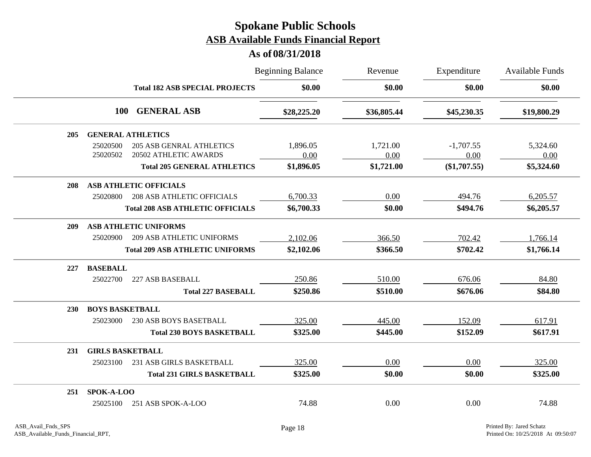|            |                                                                                                                        |  | <b>Beginning Balance</b>       | Revenue                        | Expenditure                           | <b>Available Funds</b>         |  |
|------------|------------------------------------------------------------------------------------------------------------------------|--|--------------------------------|--------------------------------|---------------------------------------|--------------------------------|--|
|            | <b>Total 182 ASB SPECIAL PROJECTS</b>                                                                                  |  | \$0.00                         | \$0.00                         | \$0.00                                | \$0.00                         |  |
|            | <b>GENERAL ASB</b><br><b>100</b>                                                                                       |  | \$28,225.20                    | \$36,805.44                    | \$45,230.35                           | \$19,800.29                    |  |
| 205        | <b>GENERAL ATHLETICS</b>                                                                                               |  |                                |                                |                                       |                                |  |
|            | 25020500<br><b>205 ASB GENRAL ATHLETICS</b><br>20502 ATHLETIC AWARDS<br>25020502<br><b>Total 205 GENERAL ATHLETICS</b> |  | 1,896.05<br>0.00<br>\$1,896.05 | 1,721.00<br>0.00<br>\$1,721.00 | $-1,707.55$<br>0.00<br>$(\$1,707.55)$ | 5,324.60<br>0.00<br>\$5,324.60 |  |
|            |                                                                                                                        |  |                                |                                |                                       |                                |  |
| 208        | <b>ASB ATHLETIC OFFICIALS</b>                                                                                          |  |                                |                                |                                       |                                |  |
|            | <b>208 ASB ATHLETIC OFFICIALS</b><br>25020800                                                                          |  | 6,700.33                       | 0.00                           | 494.76                                | 6,205.57                       |  |
|            | <b>Total 208 ASB ATHLETIC OFFICIALS</b>                                                                                |  | \$6,700.33                     | \$0.00                         | \$494.76                              | \$6,205.57                     |  |
| 209        | <b>ASB ATHLETIC UNIFORMS</b>                                                                                           |  |                                |                                |                                       |                                |  |
|            | 25020900<br><b>209 ASB ATHLETIC UNIFORMS</b>                                                                           |  | 2,102.06                       | 366.50                         | 702.42                                | 1,766.14                       |  |
|            | <b>Total 209 ASB ATHLETIC UNIFORMS</b>                                                                                 |  | \$2,102.06                     | \$366.50                       | \$702.42                              | \$1,766.14                     |  |
| 227        | <b>BASEBALL</b>                                                                                                        |  |                                |                                |                                       |                                |  |
|            | 25022700<br>227 ASB BASEBALL                                                                                           |  | 250.86                         | 510.00                         | 676.06                                | 84.80                          |  |
|            | <b>Total 227 BASEBALL</b>                                                                                              |  | \$250.86                       | \$510.00                       | \$676.06                              | \$84.80                        |  |
| <b>230</b> | <b>BOYS BASKETBALL</b>                                                                                                 |  |                                |                                |                                       |                                |  |
|            | <b>230 ASB BOYS BASETBALL</b><br>25023000                                                                              |  | 325.00                         | 445.00                         | 152.09                                | 617.91                         |  |
|            | <b>Total 230 BOYS BASKETBALL</b>                                                                                       |  | \$325.00                       | \$445.00                       | \$152.09                              | \$617.91                       |  |
| 231        | <b>GIRLS BASKETBALL</b>                                                                                                |  |                                |                                |                                       |                                |  |
|            | 25023100<br>231 ASB GIRLS BASKETBALL                                                                                   |  | 325.00                         | 0.00                           | 0.00                                  | 325.00                         |  |
|            | <b>Total 231 GIRLS BASKETBALL</b>                                                                                      |  | \$325.00                       | \$0.00                         | \$0.00                                | \$325.00                       |  |
| 251        | SPOK-A-LOO                                                                                                             |  |                                |                                |                                       |                                |  |
|            | 251 ASB SPOK-A-LOO<br>25025100                                                                                         |  | 74.88                          | 0.00                           | 0.00                                  | 74.88                          |  |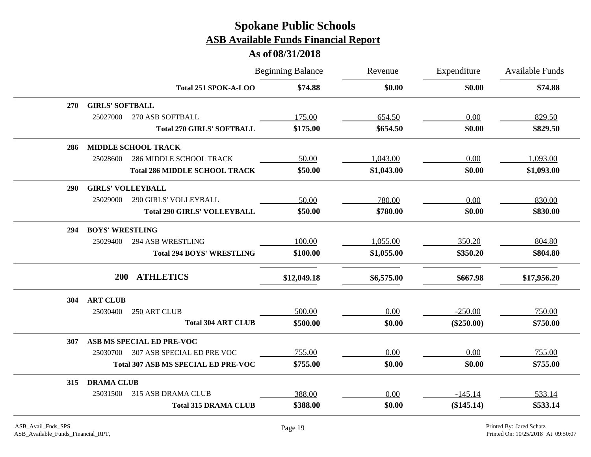|            |                                            | <b>Beginning Balance</b> | Revenue    | Expenditure  | <b>Available Funds</b> |  |
|------------|--------------------------------------------|--------------------------|------------|--------------|------------------------|--|
|            | Total 251 SPOK-A-LOO                       | \$74.88                  | \$0.00     | \$0.00       | \$74.88                |  |
| <b>270</b> | <b>GIRLS' SOFTBALL</b>                     |                          |            |              |                        |  |
|            | 25027000<br>270 ASB SOFTBALL               | 175.00                   | 654.50     | 0.00         | 829.50                 |  |
|            | <b>Total 270 GIRLS' SOFTBALL</b>           | \$175.00                 | \$654.50   | \$0.00       | \$829.50               |  |
| 286        | <b>MIDDLE SCHOOL TRACK</b>                 |                          |            |              |                        |  |
|            | 25028600<br>286 MIDDLE SCHOOL TRACK        | 50.00                    | 1,043.00   | 0.00         | 1,093.00               |  |
|            | <b>Total 286 MIDDLE SCHOOL TRACK</b>       | \$50.00                  | \$1,043.00 | \$0.00       | \$1,093.00             |  |
| <b>290</b> | <b>GIRLS' VOLLEYBALL</b>                   |                          |            |              |                        |  |
|            | 290 GIRLS' VOLLEYBALL<br>25029000          | 50.00                    | 780.00     | 0.00         | 830.00                 |  |
|            | <b>Total 290 GIRLS' VOLLEYBALL</b>         | \$50.00                  | \$780.00   | \$0.00       | \$830.00               |  |
| 294        | <b>BOYS' WRESTLING</b>                     |                          |            |              |                        |  |
|            | <b>294 ASB WRESTLING</b><br>25029400       | 100.00                   | 1,055.00   | 350.20       | 804.80                 |  |
|            | <b>Total 294 BOYS' WRESTLING</b>           | \$100.00                 | \$1,055.00 | \$350.20     | \$804.80               |  |
|            | <b>ATHLETICS</b><br><b>200</b>             | \$12,049.18              | \$6,575.00 | \$667.98     | \$17,956.20            |  |
|            |                                            |                          |            |              |                        |  |
| 304        | <b>ART CLUB</b>                            |                          |            |              |                        |  |
|            | 25030400<br>250 ART CLUB                   | 500.00                   | 0.00       | $-250.00$    | 750.00                 |  |
|            | <b>Total 304 ART CLUB</b>                  | \$500.00                 | \$0.00     | $(\$250.00)$ | \$750.00               |  |
| 307        | ASB MS SPECIAL ED PRE-VOC                  |                          |            |              |                        |  |
|            | 307 ASB SPECIAL ED PRE VOC<br>25030700     | 755.00                   | 0.00       | 0.00         | 755.00                 |  |
|            | <b>Total 307 ASB MS SPECIAL ED PRE-VOC</b> | \$755.00                 | \$0.00     | \$0.00       | \$755.00               |  |
| 315        | <b>DRAMA CLUB</b>                          |                          |            |              |                        |  |
|            | 25031500<br>315 ASB DRAMA CLUB             | 388.00                   | 0.00       | $-145.14$    | 533.14                 |  |
|            | <b>Total 315 DRAMA CLUB</b>                | \$388.00                 | \$0.00     | (\$145.14)   | \$533.14               |  |
|            |                                            |                          |            |              |                        |  |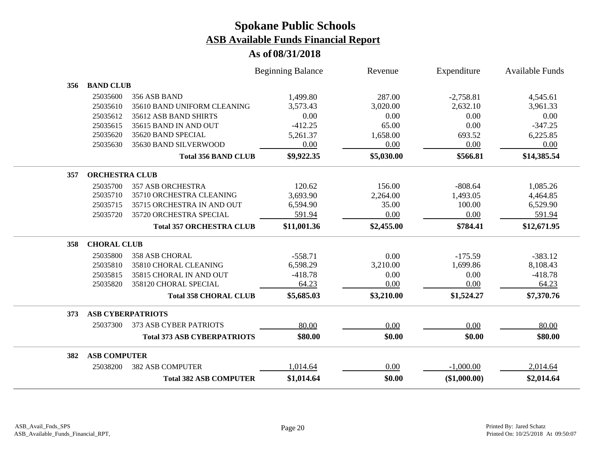|     |                       |                                    | <b>Beginning Balance</b> | Revenue    | Expenditure  | <b>Available Funds</b> |
|-----|-----------------------|------------------------------------|--------------------------|------------|--------------|------------------------|
| 356 | <b>BAND CLUB</b>      |                                    |                          |            |              |                        |
|     | 25035600              | 356 ASB BAND                       | 1,499.80                 | 287.00     | $-2,758.81$  | 4,545.61               |
|     | 25035610              | 35610 BAND UNIFORM CLEANING        | 3,573.43                 | 3,020.00   | 2,632.10     | 3,961.33               |
|     | 25035612              | 35612 ASB BAND SHIRTS              | 0.00                     | 0.00       | 0.00         | 0.00                   |
|     | 25035615              | 35615 BAND IN AND OUT              | $-412.25$                | 65.00      | 0.00         | $-347.25$              |
|     | 25035620              | 35620 BAND SPECIAL                 | 5,261.37                 | 1,658.00   | 693.52       | 6,225.85               |
|     | 25035630              | 35630 BAND SILVERWOOD              | 0.00                     | 0.00       | 0.00         | 0.00                   |
|     |                       | <b>Total 356 BAND CLUB</b>         | \$9,922.35               | \$5,030.00 | \$566.81     | \$14,385.54            |
| 357 | <b>ORCHESTRA CLUB</b> |                                    |                          |            |              |                        |
|     | 25035700              | <b>357 ASB ORCHESTRA</b>           | 120.62                   | 156.00     | $-808.64$    | 1,085.26               |
|     | 25035710              | 35710 ORCHESTRA CLEANING           | 3,693.90                 | 2,264.00   | 1,493.05     | 4,464.85               |
|     | 25035715              | 35715 ORCHESTRA IN AND OUT         | 6,594.90                 | 35.00      | 100.00       | 6,529.90               |
|     | 25035720              | 35720 ORCHESTRA SPECIAL            | 591.94                   | 0.00       | 0.00         | 591.94                 |
|     |                       | <b>Total 357 ORCHESTRA CLUB</b>    | \$11,001.36              | \$2,455.00 | \$784.41     | \$12,671.95            |
| 358 | <b>CHORAL CLUB</b>    |                                    |                          |            |              |                        |
|     | 25035800              | <b>358 ASB CHORAL</b>              | $-558.71$                | 0.00       | $-175.59$    | $-383.12$              |
|     | 25035810              | 35810 CHORAL CLEANING              | 6,598.29                 | 3,210.00   | 1,699.86     | 8,108.43               |
|     | 25035815              | 35815 CHORAL IN AND OUT            | $-418.78$                | 0.00       | 0.00         | $-418.78$              |
|     | 25035820              | 358120 CHORAL SPECIAL              | 64.23                    | 0.00       | 0.00         | 64.23                  |
|     |                       | <b>Total 358 CHORAL CLUB</b>       | \$5,685.03               | \$3,210.00 | \$1,524.27   | \$7,370.76             |
| 373 |                       | <b>ASB CYBERPATRIOTS</b>           |                          |            |              |                        |
|     | 25037300              | 373 ASB CYBER PATRIOTS             | 80.00                    | 0.00       | 0.00         | 80.00                  |
|     |                       | <b>Total 373 ASB CYBERPATRIOTS</b> | \$80.00                  | \$0.00     | \$0.00       | \$80.00                |
| 382 | <b>ASB COMPUTER</b>   |                                    |                          |            |              |                        |
|     | 25038200              | <b>382 ASB COMPUTER</b>            | 1,014.64                 | 0.00       | $-1,000.00$  | 2,014.64               |
|     |                       | <b>Total 382 ASB COMPUTER</b>      | \$1,014.64               | \$0.00     | (\$1,000.00) | \$2,014.64             |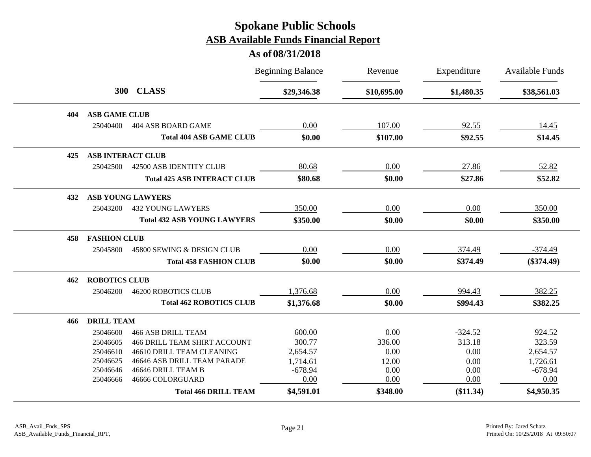|     |                          |                                     | <b>Beginning Balance</b> | Revenue     | Expenditure | <b>Available Funds</b> |
|-----|--------------------------|-------------------------------------|--------------------------|-------------|-------------|------------------------|
|     |                          | 300 CLASS                           | \$29,346.38              | \$10,695.00 | \$1,480.35  | \$38,561.03            |
| 404 | <b>ASB GAME CLUB</b>     |                                     |                          |             |             |                        |
|     | 25040400                 | 404 ASB BOARD GAME                  | 0.00                     | 107.00      | 92.55       | 14.45                  |
|     |                          | <b>Total 404 ASB GAME CLUB</b>      | \$0.00                   | \$107.00    | \$92.55     | \$14.45                |
| 425 | <b>ASB INTERACT CLUB</b> |                                     |                          |             |             |                        |
|     | 25042500                 | 42500 ASB IDENTITY CLUB             | 80.68                    | 0.00        | 27.86       | 52.82                  |
|     |                          | <b>Total 425 ASB INTERACT CLUB</b>  | \$80.68                  | \$0.00      | \$27.86     | \$52.82                |
| 432 |                          | <b>ASB YOUNG LAWYERS</b>            |                          |             |             |                        |
|     | 25043200                 | <b>432 YOUNG LAWYERS</b>            | 350.00                   | 0.00        | 0.00        | 350.00                 |
|     |                          | <b>Total 432 ASB YOUNG LAWYERS</b>  | \$350.00                 | \$0.00      | \$0.00      | \$350.00               |
| 458 | <b>FASHION CLUB</b>      |                                     |                          |             |             |                        |
|     | 25045800                 | 45800 SEWING & DESIGN CLUB          | 0.00                     | 0.00        | 374.49      | $-374.49$              |
|     |                          | <b>Total 458 FASHION CLUB</b>       | \$0.00                   | \$0.00      | \$374.49    | $(\$374.49)$           |
| 462 | <b>ROBOTICS CLUB</b>     |                                     |                          |             |             |                        |
|     | 25046200                 | <b>46200 ROBOTICS CLUB</b>          | 1,376.68                 | 0.00        | 994.43      | 382.25                 |
|     |                          | <b>Total 462 ROBOTICS CLUB</b>      | \$1,376.68               | \$0.00      | \$994.43    | \$382.25               |
| 466 | <b>DRILL TEAM</b>        |                                     |                          |             |             |                        |
|     | 25046600                 | <b>466 ASB DRILL TEAM</b>           | 600.00                   | 0.00        | $-324.52$   | 924.52                 |
|     | 25046605                 | <b>466 DRILL TEAM SHIRT ACCOUNT</b> | 300.77                   | 336.00      | 313.18      | 323.59                 |
|     | 25046610                 | 46610 DRILL TEAM CLEANING           | 2,654.57                 | 0.00        | 0.00        | 2,654.57               |
|     | 25046625                 | 46646 ASB DRILL TEAM PARADE         | 1,714.61                 | 12.00       | 0.00        | 1,726.61               |
|     | 25046646                 | 46646 DRILL TEAM B                  | $-678.94$                | 0.00        | 0.00        | $-678.94$              |
|     | 25046666                 | 46666 COLORGUARD                    | 0.00                     | 0.00        | 0.00        | 0.00                   |
|     |                          | <b>Total 466 DRILL TEAM</b>         | \$4,591.01               | \$348.00    | (\$11.34)   | \$4,950.35             |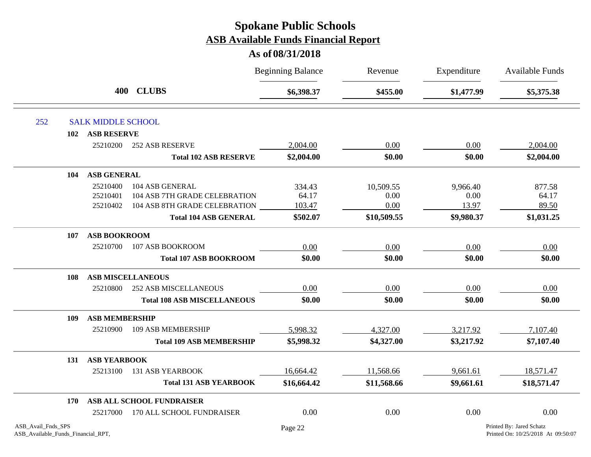|                                                          |                           |                                    | <b>Beginning Balance</b> | Revenue     | Expenditure<br>\$1,477.99 | Available Funds<br>\$5,375.38                                  |
|----------------------------------------------------------|---------------------------|------------------------------------|--------------------------|-------------|---------------------------|----------------------------------------------------------------|
|                                                          |                           | 400 CLUBS                          | \$6,398.37               | \$455.00    |                           |                                                                |
| 252                                                      | <b>SALK MIDDLE SCHOOL</b> |                                    |                          |             |                           |                                                                |
| 102                                                      | <b>ASB RESERVE</b>        |                                    |                          |             |                           |                                                                |
|                                                          | 25210200                  | <b>252 ASB RESERVE</b>             | 2,004.00                 | 0.00        | 0.00                      | 2,004.00                                                       |
|                                                          |                           | <b>Total 102 ASB RESERVE</b>       | \$2,004.00               | \$0.00      | \$0.00                    | \$2,004.00                                                     |
| 104                                                      | <b>ASB GENERAL</b>        |                                    |                          |             |                           |                                                                |
|                                                          | 25210400                  | 104 ASB GENERAL                    | 334.43                   | 10,509.55   | 9,966.40                  | 877.58                                                         |
|                                                          | 25210401                  | 104 ASB 7TH GRADE CELEBRATION      | 64.17                    | 0.00        | 0.00                      | 64.17                                                          |
|                                                          | 25210402                  | 104 ASB 8TH GRADE CELEBRATION      | 103.47                   | 0.00        | 13.97                     | 89.50                                                          |
|                                                          |                           | <b>Total 104 ASB GENERAL</b>       | \$502.07                 | \$10,509.55 | \$9,980.37                | \$1,031.25                                                     |
| 107                                                      | <b>ASB BOOKROOM</b>       |                                    |                          |             |                           |                                                                |
|                                                          | 25210700                  | 107 ASB BOOKROOM                   | 0.00                     | 0.00        | 0.00                      | 0.00                                                           |
|                                                          |                           | <b>Total 107 ASB BOOKROOM</b>      | \$0.00                   | \$0.00      | \$0.00                    | \$0.00                                                         |
| 108                                                      |                           | <b>ASB MISCELLANEOUS</b>           |                          |             |                           |                                                                |
|                                                          | 25210800                  | <b>252 ASB MISCELLANEOUS</b>       | 0.00                     | 0.00        | 0.00                      | 0.00                                                           |
|                                                          |                           | <b>Total 108 ASB MISCELLANEOUS</b> | \$0.00                   | \$0.00      | \$0.00                    | \$0.00                                                         |
| 109                                                      | <b>ASB MEMBERSHIP</b>     |                                    |                          |             |                           |                                                                |
|                                                          | 25210900                  | <b>109 ASB MEMBERSHIP</b>          | 5,998.32                 | 4,327.00    | 3,217.92                  | 7,107.40                                                       |
|                                                          |                           | <b>Total 109 ASB MEMBERSHIP</b>    | \$5,998.32               | \$4,327.00  | \$3,217.92                | \$7,107.40                                                     |
| 131                                                      | <b>ASB YEARBOOK</b>       |                                    |                          |             |                           |                                                                |
|                                                          | 25213100                  | <b>131 ASB YEARBOOK</b>            | 16,664.42                | 11,568.66   | 9,661.61                  | 18,571.47                                                      |
|                                                          |                           | <b>Total 131 ASB YEARBOOK</b>      | \$16,664.42              | \$11,568.66 | \$9,661.61                | \$18,571.47                                                    |
| 170                                                      |                           | ASB ALL SCHOOL FUNDRAISER          |                          |             |                           |                                                                |
|                                                          | 25217000                  | 170 ALL SCHOOL FUNDRAISER          | 0.00                     | 0.00        | 0.00                      | 0.00                                                           |
| ASB Avail Fnds SPS<br>ASB_Available_Funds_Financial_RPT, |                           |                                    | Page 22                  |             |                           | Printed By: Jared Schatz<br>Printed On: 10/25/2018 At 09:50:07 |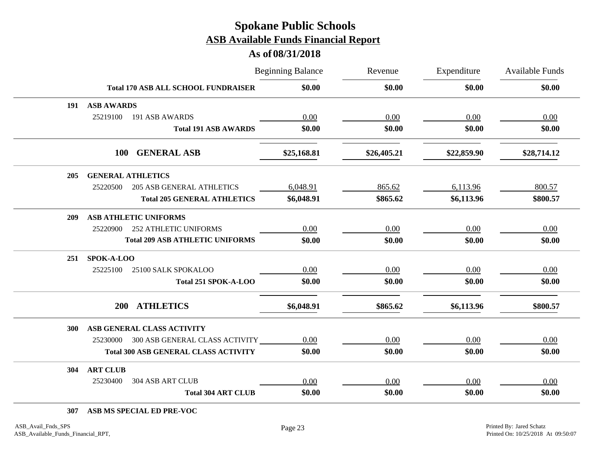#### **As of 08/31/2018**

|     |                                              |                                        | <b>Beginning Balance</b> | Revenue     | Expenditure | <b>Available Funds</b> |
|-----|----------------------------------------------|----------------------------------------|--------------------------|-------------|-------------|------------------------|
|     | <b>Total 170 ASB ALL SCHOOL FUNDRAISER</b>   |                                        | \$0.00                   | \$0.00      | \$0.00      | \$0.00                 |
| 191 | <b>ASB AWARDS</b>                            |                                        |                          |             |             |                        |
|     | 25219100<br>191 ASB AWARDS                   |                                        | 0.00                     | 0.00        | 0.00        | 0.00                   |
|     |                                              | <b>Total 191 ASB AWARDS</b>            | \$0.00                   | \$0.00      | \$0.00      | \$0.00                 |
|     | <b>GENERAL ASB</b><br><b>100</b>             |                                        | \$25,168.81              | \$26,405.21 | \$22,859.90 | \$28,714.12            |
| 205 | <b>GENERAL ATHLETICS</b>                     |                                        |                          |             |             |                        |
|     | 25220500<br><b>205 ASB GENERAL ATHLETICS</b> |                                        | 6,048.91                 | 865.62      | 6,113.96    | 800.57                 |
|     |                                              | <b>Total 205 GENERAL ATHLETICS</b>     | \$6,048.91               | \$865.62    | \$6,113.96  | \$800.57               |
| 209 | <b>ASB ATHLETIC UNIFORMS</b>                 |                                        |                          |             |             |                        |
|     | 25220900<br><b>252 ATHLETIC UNIFORMS</b>     |                                        | 0.00                     | 0.00        | 0.00        | 0.00                   |
|     |                                              | <b>Total 209 ASB ATHLETIC UNIFORMS</b> | \$0.00                   | \$0.00      | \$0.00      | \$0.00                 |
| 251 | SPOK-A-LOO                                   |                                        |                          |             |             |                        |
|     | 25225100<br>25100 SALK SPOKALOO              |                                        | 0.00                     | 0.00        | 0.00        | 0.00                   |
|     |                                              | Total 251 SPOK-A-LOO                   | \$0.00                   | \$0.00      | \$0.00      | \$0.00                 |
|     | <b>ATHLETICS</b><br><b>200</b>               |                                        | \$6,048.91               | \$865.62    | \$6,113.96  | \$800.57               |
| 300 | ASB GENERAL CLASS ACTIVITY                   |                                        |                          |             |             |                        |
|     | 25230000 300 ASB GENERAL CLASS ACTIVITY      |                                        | 0.00                     | 0.00        | 0.00        | 0.00                   |
|     | <b>Total 300 ASB GENERAL CLASS ACTIVITY</b>  |                                        | \$0.00                   | \$0.00      | \$0.00      | \$0.00                 |
| 304 | <b>ART CLUB</b>                              |                                        |                          |             |             |                        |
|     | 25230400<br><b>304 ASB ART CLUB</b>          |                                        | 0.00                     | 0.00        | 0.00        | 0.00                   |
|     |                                              | <b>Total 304 ART CLUB</b>              | \$0.00                   | \$0.00      | \$0.00      | \$0.00                 |

#### **307 ASB MS SPECIAL ED PRE-VOC**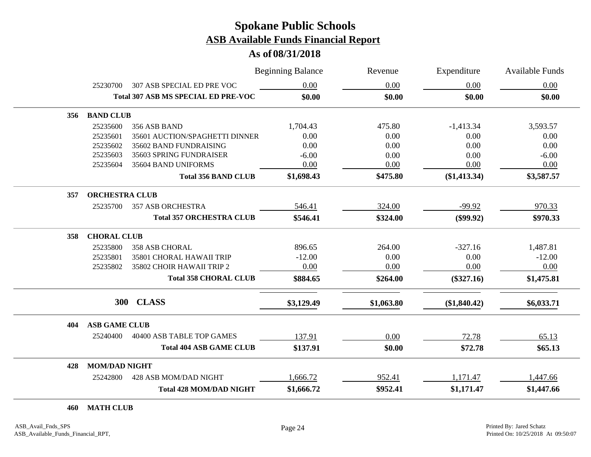**As of 08/31/2018**

|     |                       |                                            | <b>Beginning Balance</b> | Revenue    | Expenditure    | <b>Available Funds</b> |
|-----|-----------------------|--------------------------------------------|--------------------------|------------|----------------|------------------------|
|     | 25230700              | 307 ASB SPECIAL ED PRE VOC                 | 0.00                     | 0.00       | 0.00           | 0.00                   |
|     |                       | <b>Total 307 ASB MS SPECIAL ED PRE-VOC</b> | \$0.00                   | \$0.00     | \$0.00         | \$0.00                 |
| 356 | <b>BAND CLUB</b>      |                                            |                          |            |                |                        |
|     | 25235600              | 356 ASB BAND                               | 1,704.43                 | 475.80     | $-1,413.34$    | 3,593.57               |
|     | 25235601              | 35601 AUCTION/SPAGHETTI DINNER             | 0.00                     | 0.00       | 0.00           | 0.00                   |
|     | 25235602              | 35602 BAND FUNDRAISING                     | 0.00                     | 0.00       | 0.00           | 0.00                   |
|     | 25235603              | 35603 SPRING FUNDRAISER                    | $-6.00$                  | 0.00       | 0.00           | $-6.00$                |
|     | 25235604              | 35604 BAND UNIFORMS                        | 0.00                     | 0.00       | 0.00           | 0.00                   |
|     |                       | <b>Total 356 BAND CLUB</b>                 | \$1,698.43               | \$475.80   | $(\$1,413.34)$ | \$3,587.57             |
| 357 | <b>ORCHESTRA CLUB</b> |                                            |                          |            |                |                        |
|     | 25235700              | <b>357 ASB ORCHESTRA</b>                   | 546.41                   | 324.00     | $-99.92$       | 970.33                 |
|     |                       | <b>Total 357 ORCHESTRA CLUB</b>            | \$546.41                 | \$324.00   | $(\$99.92)$    | \$970.33               |
| 358 | <b>CHORAL CLUB</b>    |                                            |                          |            |                |                        |
|     | 25235800              | <b>358 ASB CHORAL</b>                      | 896.65                   | 264.00     | $-327.16$      | 1,487.81               |
|     | 25235801              | 35801 CHORAL HAWAII TRIP                   | $-12.00$                 | 0.00       | 0.00           | $-12.00$               |
|     | 25235802              | 35802 CHOIR HAWAII TRIP 2                  | 0.00                     | 0.00       | 0.00           | 0.00                   |
|     |                       | <b>Total 358 CHORAL CLUB</b>               | \$884.65                 | \$264.00   | $(\$327.16)$   | \$1,475.81             |
|     |                       |                                            |                          |            |                |                        |
|     | <b>300</b>            | <b>CLASS</b>                               | \$3,129.49               | \$1,063.80 | (\$1,840.42)   | \$6,033.71             |
| 404 | <b>ASB GAME CLUB</b>  |                                            |                          |            |                |                        |
|     | 25240400              | 40400 ASB TABLE TOP GAMES                  | 137.91                   | 0.00       | 72.78          | 65.13                  |
|     |                       | <b>Total 404 ASB GAME CLUB</b>             | \$137.91                 | \$0.00     | \$72.78        | \$65.13                |
| 428 | <b>MOM/DAD NIGHT</b>  |                                            |                          |            |                |                        |
|     | 25242800              | 428 ASB MOM/DAD NIGHT                      | 1,666.72                 | 952.41     | 1,171.47       | 1,447.66               |
|     |                       | <b>Total 428 MOM/DAD NIGHT</b>             | \$1,666.72               | \$952.41   | \$1,171.47     | \$1,447.66             |

#### **460 MATH CLUB**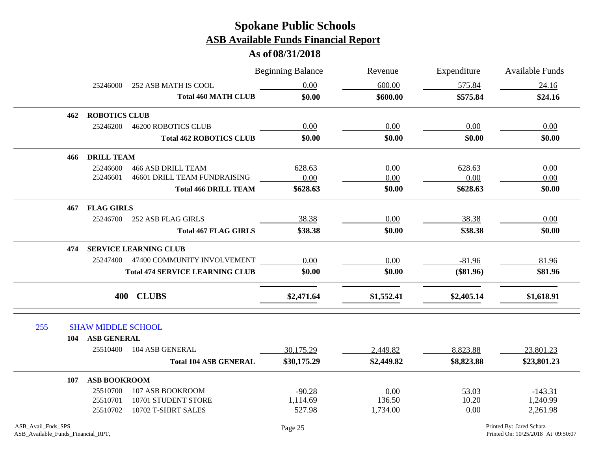|                    |                           |                                        | <b>Beginning Balance</b> | Revenue    | Expenditure | <b>Available Funds</b>   |
|--------------------|---------------------------|----------------------------------------|--------------------------|------------|-------------|--------------------------|
|                    | 25246000                  | 252 ASB MATH IS COOL                   | 0.00                     | 600.00     | 575.84      | 24.16                    |
|                    |                           | <b>Total 460 MATH CLUB</b>             | \$0.00                   | \$600.00   | \$575.84    | \$24.16                  |
| 462                | <b>ROBOTICS CLUB</b>      |                                        |                          |            |             |                          |
|                    | 25246200                  | <b>46200 ROBOTICS CLUB</b>             | 0.00                     | 0.00       | 0.00        | 0.00                     |
|                    |                           | <b>Total 462 ROBOTICS CLUB</b>         | \$0.00                   | \$0.00     | \$0.00      | \$0.00                   |
|                    | <b>466 DRILL TEAM</b>     |                                        |                          |            |             |                          |
|                    | 25246600                  | <b>466 ASB DRILL TEAM</b>              | 628.63                   | 0.00       | 628.63      | 0.00                     |
|                    | 25246601                  | 46601 DRILL TEAM FUNDRAISING           | 0.00                     | 0.00       | 0.00        | 0.00                     |
|                    |                           | <b>Total 466 DRILL TEAM</b>            | \$628.63                 | \$0.00     | \$628.63    | \$0.00                   |
| 467                | <b>FLAG GIRLS</b>         |                                        |                          |            |             |                          |
|                    | 25246700                  | 252 ASB FLAG GIRLS                     | 38.38                    | 0.00       | 38.38       | 0.00                     |
|                    |                           | <b>Total 467 FLAG GIRLS</b>            | \$38.38                  | \$0.00     | \$38.38     | \$0.00                   |
| 474                |                           | <b>SERVICE LEARNING CLUB</b>           |                          |            |             |                          |
|                    |                           | 25247400 47400 COMMUNITY INVOLVEMENT   | 0.00                     | 0.00       | $-81.96$    | 81.96                    |
|                    |                           | <b>Total 474 SERVICE LEARNING CLUB</b> | \$0.00                   | \$0.00     | $(\$81.96)$ | \$81.96                  |
|                    |                           | 400 CLUBS                              | \$2,471.64               | \$1,552.41 | \$2,405.14  | \$1,618.91               |
|                    |                           |                                        |                          |            |             |                          |
| 255                | <b>SHAW MIDDLE SCHOOL</b> |                                        |                          |            |             |                          |
|                    | 104 ASB GENERAL           |                                        |                          |            |             |                          |
|                    | 25510400                  | 104 ASB GENERAL                        | 30,175.29                | 2,449.82   | 8,823.88    | 23,801.23                |
|                    |                           | <b>Total 104 ASB GENERAL</b>           | \$30,175.29              | \$2,449.82 | \$8,823.88  | \$23,801.23              |
| 107                | <b>ASB BOOKROOM</b>       |                                        |                          |            |             |                          |
|                    | 25510700                  | 107 ASB BOOKROOM                       | $-90.28$                 | 0.00       | 53.03       | $-143.31$                |
|                    | 25510701                  | 10701 STUDENT STORE                    | 1,114.69                 | 136.50     | 10.20       | 1,240.99                 |
|                    | 25510702                  | 10702 T-SHIRT SALES                    | 527.98                   | 1,734.00   | 0.00        | 2,261.98                 |
| ASB_Avail_Fnds_SPS |                           |                                        | Page 25                  |            |             | Printed By: Jared Schatz |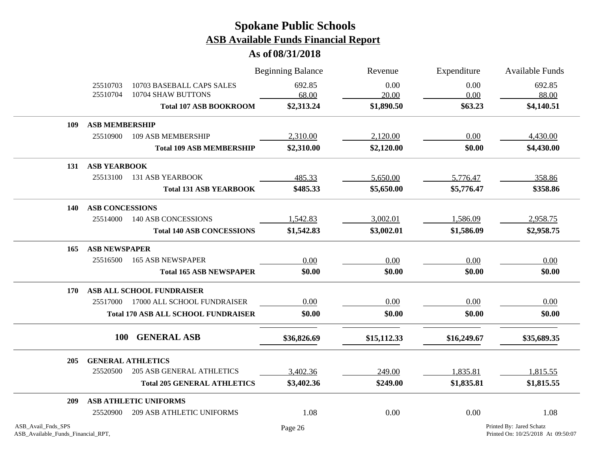|                                                          |                        |                                                 | <b>Beginning Balance</b> | Revenue       | Expenditure  | Available Funds                                                |
|----------------------------------------------------------|------------------------|-------------------------------------------------|--------------------------|---------------|--------------|----------------------------------------------------------------|
|                                                          | 25510703<br>25510704   | 10703 BASEBALL CAPS SALES<br>10704 SHAW BUTTONS | 692.85<br>68.00          | 0.00<br>20.00 | 0.00<br>0.00 | 692.85<br>88.00                                                |
|                                                          |                        | <b>Total 107 ASB BOOKROOM</b>                   | \$2,313.24               | \$1,890.50    | \$63.23      | \$4,140.51                                                     |
| 109                                                      | <b>ASB MEMBERSHIP</b>  |                                                 |                          |               |              |                                                                |
|                                                          | 25510900               | 109 ASB MEMBERSHIP                              | 2,310.00                 | 2,120.00      | 0.00         | 4,430.00                                                       |
|                                                          |                        | <b>Total 109 ASB MEMBERSHIP</b>                 | \$2,310.00               | \$2,120.00    | \$0.00       | \$4,430.00                                                     |
| 131                                                      | <b>ASB YEARBOOK</b>    |                                                 |                          |               |              |                                                                |
|                                                          | 25513100               | <b>131 ASB YEARBOOK</b>                         | 485.33                   | 5,650.00      | 5,776.47     | 358.86                                                         |
|                                                          |                        | <b>Total 131 ASB YEARBOOK</b>                   | \$485.33                 | \$5,650.00    | \$5,776.47   | \$358.86                                                       |
| 140                                                      | <b>ASB CONCESSIONS</b> |                                                 |                          |               |              |                                                                |
|                                                          | 25514000               | <b>140 ASB CONCESSIONS</b>                      | 1,542.83                 | 3,002.01      | 1,586.09     | 2,958.75                                                       |
|                                                          |                        | <b>Total 140 ASB CONCESSIONS</b>                | \$1,542.83               | \$3,002.01    | \$1,586.09   | \$2,958.75                                                     |
| 165                                                      | <b>ASB NEWSPAPER</b>   |                                                 |                          |               |              |                                                                |
|                                                          | 25516500               | <b>165 ASB NEWSPAPER</b>                        | 0.00                     | 0.00          | 0.00         | 0.00                                                           |
|                                                          |                        | <b>Total 165 ASB NEWSPAPER</b>                  | \$0.00                   | \$0.00        | \$0.00       | \$0.00                                                         |
| 170                                                      |                        | ASB ALL SCHOOL FUNDRAISER                       |                          |               |              |                                                                |
|                                                          | 25517000               | 17000 ALL SCHOOL FUNDRAISER                     | 0.00                     | 0.00          | 0.00         | 0.00                                                           |
|                                                          |                        | <b>Total 170 ASB ALL SCHOOL FUNDRAISER</b>      | \$0.00                   | \$0.00        | \$0.00       | \$0.00                                                         |
|                                                          | <b>100</b>             | <b>GENERAL ASB</b>                              | \$36,826.69              | \$15,112.33   | \$16,249.67  | \$35,689.35                                                    |
| 205                                                      |                        | <b>GENERAL ATHLETICS</b>                        |                          |               |              |                                                                |
|                                                          | 25520500               | <b>205 ASB GENERAL ATHLETICS</b>                | 3,402.36                 | 249.00        | 1,835.81     | 1,815.55                                                       |
|                                                          |                        | <b>Total 205 GENERAL ATHLETICS</b>              | \$3,402.36               | \$249.00      | \$1,835.81   | \$1,815.55                                                     |
| 209                                                      |                        | ASB ATHLETIC UNIFORMS                           |                          |               |              |                                                                |
|                                                          | 25520900               | <b>209 ASB ATHLETIC UNIFORMS</b>                | 1.08                     | 0.00          | 0.00         | 1.08                                                           |
| ASB_Avail_Fnds_SPS<br>ASB_Available_Funds_Financial_RPT, |                        |                                                 | Page 26                  |               |              | Printed By: Jared Schatz<br>Printed On: 10/25/2018 At 09:50:07 |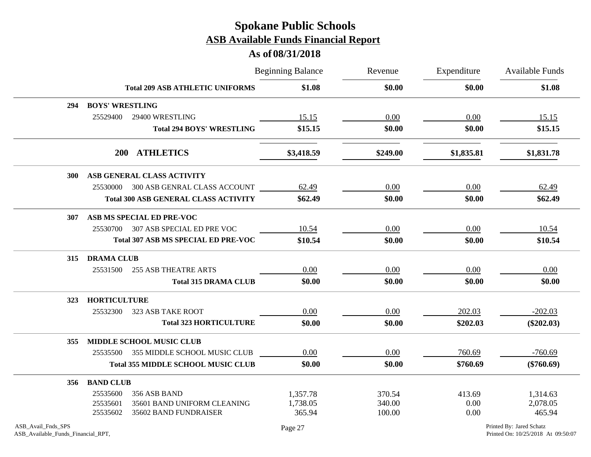|                                                          |                        |                                             | <b>Beginning Balance</b> | Revenue  | Expenditure | Available Funds                                                |
|----------------------------------------------------------|------------------------|---------------------------------------------|--------------------------|----------|-------------|----------------------------------------------------------------|
|                                                          |                        | <b>Total 209 ASB ATHLETIC UNIFORMS</b>      | \$1.08                   | \$0.00   | \$0.00      | \$1.08                                                         |
| 294                                                      | <b>BOYS' WRESTLING</b> |                                             |                          |          |             |                                                                |
|                                                          | 25529400               | 29400 WRESTLING                             | 15.15                    | 0.00     | 0.00        | 15.15                                                          |
|                                                          |                        | <b>Total 294 BOYS' WRESTLING</b>            | \$15.15                  | \$0.00   | \$0.00      | \$15.15                                                        |
|                                                          |                        | 200 ATHLETICS                               | \$3,418.59               | \$249.00 | \$1,835.81  | \$1,831.78                                                     |
| <b>300</b>                                               |                        | ASB GENERAL CLASS ACTIVITY                  |                          |          |             |                                                                |
|                                                          |                        | 25530000 300 ASB GENRAL CLASS ACCOUNT       | 62.49                    | 0.00     | 0.00        | 62.49                                                          |
|                                                          |                        | <b>Total 300 ASB GENERAL CLASS ACTIVITY</b> | \$62.49                  | \$0.00   | \$0.00      | \$62.49                                                        |
| 307                                                      |                        | ASB MS SPECIAL ED PRE-VOC                   |                          |          |             |                                                                |
|                                                          | 25530700               | 307 ASB SPECIAL ED PRE VOC                  | 10.54                    | 0.00     | 0.00        | 10.54                                                          |
|                                                          |                        | <b>Total 307 ASB MS SPECIAL ED PRE-VOC</b>  | \$10.54                  | \$0.00   | \$0.00      | \$10.54                                                        |
| 315                                                      | <b>DRAMA CLUB</b>      |                                             |                          |          |             |                                                                |
|                                                          | 25531500               | <b>255 ASB THEATRE ARTS</b>                 | 0.00                     | 0.00     | 0.00        | 0.00                                                           |
|                                                          |                        | <b>Total 315 DRAMA CLUB</b>                 | \$0.00                   | \$0.00   | \$0.00      | \$0.00                                                         |
| <b>323</b>                                               | <b>HORTICULTURE</b>    |                                             |                          |          |             |                                                                |
|                                                          | 25532300               | 323 ASB TAKE ROOT                           | 0.00                     | 0.00     | 202.03      | $-202.03$                                                      |
|                                                          |                        | <b>Total 323 HORTICULTURE</b>               | \$0.00                   | \$0.00   | \$202.03    | $(\$202.03)$                                                   |
| 355                                                      |                        | <b>MIDDLE SCHOOL MUSIC CLUB</b>             |                          |          |             |                                                                |
|                                                          |                        | 25535500 355 MIDDLE SCHOOL MUSIC CLUB       | 0.00                     | 0.00     | 760.69      | $-760.69$                                                      |
|                                                          |                        | <b>Total 355 MIDDLE SCHOOL MUSIC CLUB</b>   | \$0.00                   | \$0.00   | \$760.69    | $(\$760.69)$                                                   |
| 356                                                      | <b>BAND CLUB</b>       |                                             |                          |          |             |                                                                |
|                                                          | 25535600               | 356 ASB BAND                                | 1,357.78                 | 370.54   | 413.69      | 1,314.63                                                       |
|                                                          | 25535601               | 35601 BAND UNIFORM CLEANING                 | 1,738.05                 | 340.00   | 0.00        | 2,078.05                                                       |
|                                                          | 25535602               | 35602 BAND FUNDRAISER                       | 365.94                   | 100.00   | 0.00        | 465.94                                                         |
| ASB_Avail_Fnds_SPS<br>ASB_Available_Funds_Financial_RPT, |                        |                                             | Page 27                  |          |             | Printed By: Jared Schatz<br>Printed On: 10/25/2018 At 09:50:07 |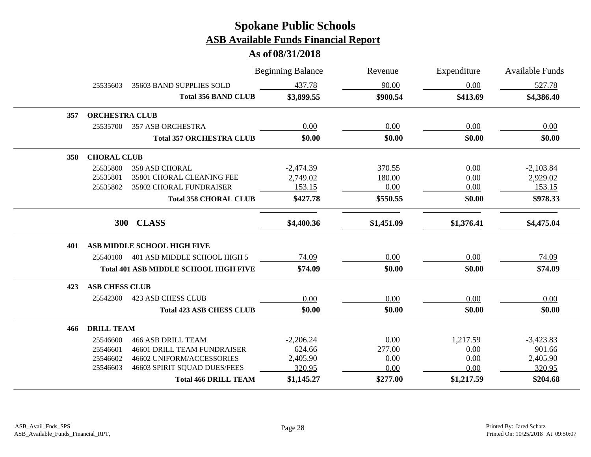|     |                       |                                              | <b>Beginning Balance</b> | Revenue    | Expenditure | <b>Available Funds</b> |
|-----|-----------------------|----------------------------------------------|--------------------------|------------|-------------|------------------------|
|     | 25535603              | 35603 BAND SUPPLIES SOLD                     | 437.78                   | 90.00      | $0.00\,$    | 527.78                 |
|     |                       | <b>Total 356 BAND CLUB</b>                   | \$3,899.55               | \$900.54   | \$413.69    | \$4,386.40             |
| 357 | <b>ORCHESTRA CLUB</b> |                                              |                          |            |             |                        |
|     | 25535700              | <b>357 ASB ORCHESTRA</b>                     | 0.00                     | 0.00       | 0.00        | 0.00                   |
|     |                       | <b>Total 357 ORCHESTRA CLUB</b>              | \$0.00                   | \$0.00     | \$0.00      | \$0.00                 |
| 358 | <b>CHORAL CLUB</b>    |                                              |                          |            |             |                        |
|     | 25535800              | <b>358 ASB CHORAL</b>                        | $-2,474.39$              | 370.55     | 0.00        | $-2,103.84$            |
|     | 25535801              | 35801 CHORAL CLEANING FEE                    | 2,749.02                 | 180.00     | 0.00        | 2,929.02               |
|     | 25535802              | 35802 CHORAL FUNDRAISER                      | 153.15                   | 0.00       | 0.00        | 153.15                 |
|     |                       | <b>Total 358 CHORAL CLUB</b>                 | \$427.78                 | \$550.55   | \$0.00      | \$978.33               |
|     |                       | 300 CLASS                                    | \$4,400.36               | \$1,451.09 | \$1,376.41  | \$4,475.04             |
| 401 |                       | ASB MIDDLE SCHOOL HIGH FIVE                  |                          |            |             |                        |
|     | 25540100              | 401 ASB MIDDLE SCHOOL HIGH 5                 | 74.09                    | 0.00       | 0.00        | 74.09                  |
|     |                       | <b>Total 401 ASB MIDDLE SCHOOL HIGH FIVE</b> | \$74.09                  | \$0.00     | \$0.00      | \$74.09                |
| 423 | <b>ASB CHESS CLUB</b> |                                              |                          |            |             |                        |
|     | 25542300              | <b>423 ASB CHESS CLUB</b>                    | 0.00                     | 0.00       | 0.00        | 0.00                   |
|     |                       | <b>Total 423 ASB CHESS CLUB</b>              | \$0.00                   | \$0.00     | \$0.00      | \$0.00                 |
| 466 | <b>DRILL TEAM</b>     |                                              |                          |            |             |                        |
|     | 25546600              | <b>466 ASB DRILL TEAM</b>                    | $-2,206.24$              | 0.00       | 1,217.59    | $-3,423.83$            |
|     | 25546601              | <b>46601 DRILL TEAM FUNDRAISER</b>           | 624.66                   | 277.00     | 0.00        | 901.66                 |
|     | 25546602              | 46602 UNIFORM/ACCESSORIES                    | 2,405.90                 | 0.00       | 0.00        | 2,405.90               |
|     | 25546603              | 46603 SPIRIT SQUAD DUES/FEES                 | 320.95                   | 0.00       | 0.00        | 320.95                 |
|     |                       | <b>Total 466 DRILL TEAM</b>                  | \$1,145.27               | \$277.00   | \$1,217.59  | \$204.68               |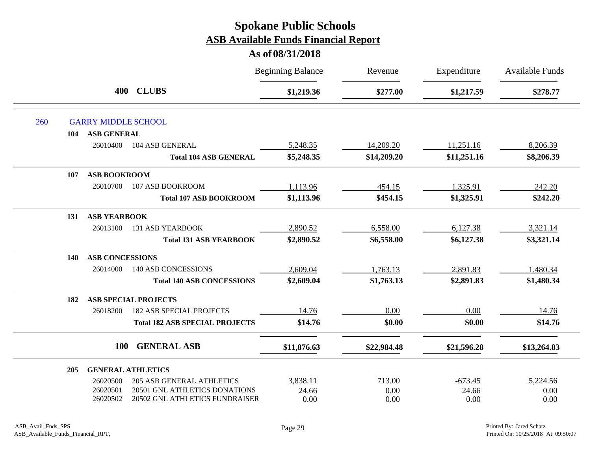|     |                               |                                       | <b>Beginning Balance</b> | Revenue     | Expenditure | <b>Available Funds</b> |
|-----|-------------------------------|---------------------------------------|--------------------------|-------------|-------------|------------------------|
|     | 400                           | <b>CLUBS</b>                          | \$1,219.36               | \$277.00    | \$1,217.59  | \$278.77               |
| 260 | <b>GARRY MIDDLE SCHOOL</b>    |                                       |                          |             |             |                        |
|     | <b>ASB GENERAL</b><br>104     |                                       |                          |             |             |                        |
|     | 26010400                      | 104 ASB GENERAL                       | 5,248.35                 | 14,209.20   | 11,251.16   | 8,206.39               |
|     |                               | <b>Total 104 ASB GENERAL</b>          | \$5,248.35               | \$14,209.20 | \$11,251.16 | \$8,206.39             |
|     | <b>ASB BOOKROOM</b><br>107    |                                       |                          |             |             |                        |
|     | 26010700                      | 107 ASB BOOKROOM                      | 1,113.96                 | 454.15      | 1,325.91    | 242.20                 |
|     |                               | <b>Total 107 ASB BOOKROOM</b>         | \$1,113.96               | \$454.15    | \$1,325.91  | \$242.20               |
|     | <b>ASB YEARBOOK</b><br>131    |                                       |                          |             |             |                        |
|     | 26013100                      | <b>131 ASB YEARBOOK</b>               | 2,890.52                 | 6,558.00    | 6,127.38    | 3,321.14               |
|     |                               | <b>Total 131 ASB YEARBOOK</b>         | \$2,890.52               | \$6,558.00  | \$6,127.38  | \$3,321.14             |
|     | <b>ASB CONCESSIONS</b><br>140 |                                       |                          |             |             |                        |
|     | 26014000                      | <b>140 ASB CONCESSIONS</b>            | 2,609.04                 | 1,763.13    | 2,891.83    | 1,480.34               |
|     |                               | <b>Total 140 ASB CONCESSIONS</b>      | \$2,609.04               | \$1,763.13  | \$2,891.83  | \$1,480.34             |
|     | 182                           | <b>ASB SPECIAL PROJECTS</b>           |                          |             |             |                        |
|     | 26018200                      | <b>182 ASB SPECIAL PROJECTS</b>       | 14.76                    | 0.00        | 0.00        | 14.76                  |
|     |                               | <b>Total 182 ASB SPECIAL PROJECTS</b> | \$14.76                  | \$0.00      | \$0.00      | \$14.76                |
|     | <b>100</b>                    | <b>GENERAL ASB</b>                    | \$11,876.63              | \$22,984.48 | \$21,596.28 | \$13,264.83            |
|     | 205                           | <b>GENERAL ATHLETICS</b>              |                          |             |             |                        |
|     | 26020500                      | <b>205 ASB GENERAL ATHLETICS</b>      | 3,838.11                 | 713.00      | $-673.45$   | 5,224.56               |
|     | 26020501                      | 20501 GNL ATHLETICS DONATIONS         | 24.66                    | 0.00        | 24.66       | 0.00                   |
|     | 26020502                      | 20502 GNL ATHLETICS FUNDRAISER        | 0.00                     | 0.00        | 0.00        | 0.00                   |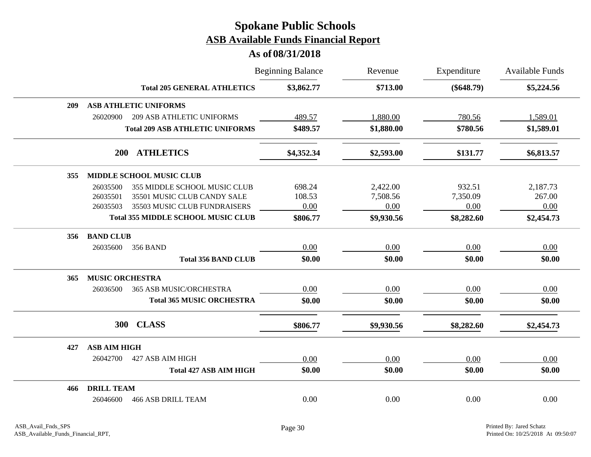|     |                        |                                           | <b>Beginning Balance</b> | Revenue    | Expenditure  | Available Funds |
|-----|------------------------|-------------------------------------------|--------------------------|------------|--------------|-----------------|
|     |                        | <b>Total 205 GENERAL ATHLETICS</b>        | \$3,862.77               | \$713.00   | $(\$648.79)$ | \$5,224.56      |
| 209 |                        | <b>ASB ATHLETIC UNIFORMS</b>              |                          |            |              |                 |
|     | 26020900               | <b>209 ASB ATHLETIC UNIFORMS</b>          | 489.57                   | 1,880.00   | 780.56       | 1,589.01        |
|     |                        | <b>Total 209 ASB ATHLETIC UNIFORMS</b>    | \$489.57                 | \$1,880.00 | \$780.56     | \$1,589.01      |
|     |                        | 200 ATHLETICS                             | \$4,352.34               | \$2,593.00 | \$131.77     | \$6,813.57      |
| 355 |                        | <b>MIDDLE SCHOOL MUSIC CLUB</b>           |                          |            |              |                 |
|     | 26035500               | 355 MIDDLE SCHOOL MUSIC CLUB              | 698.24                   | 2,422.00   | 932.51       | 2,187.73        |
|     | 26035501               | 35501 MUSIC CLUB CANDY SALE               | 108.53                   | 7,508.56   | 7,350.09     | 267.00          |
|     | 26035503               | 35503 MUSIC CLUB FUNDRAISERS              | 0.00                     | 0.00       | 0.00         | 0.00            |
|     |                        | <b>Total 355 MIDDLE SCHOOL MUSIC CLUB</b> | \$806.77                 | \$9,930.56 | \$8,282.60   | \$2,454.73      |
| 356 | <b>BAND CLUB</b>       |                                           |                          |            |              |                 |
|     | 26035600               | <b>356 BAND</b>                           | 0.00                     | 0.00       | 0.00         | 0.00            |
|     |                        | <b>Total 356 BAND CLUB</b>                | \$0.00                   | \$0.00     | \$0.00       | \$0.00          |
| 365 | <b>MUSIC ORCHESTRA</b> |                                           |                          |            |              |                 |
|     | 26036500               | 365 ASB MUSIC/ORCHESTRA                   | 0.00                     | 0.00       | 0.00         | 0.00            |
|     |                        | <b>Total 365 MUSIC ORCHESTRA</b>          | \$0.00                   | \$0.00     | \$0.00       | \$0.00          |
|     |                        | 300 CLASS                                 | \$806.77                 | \$9,930.56 | \$8,282.60   | \$2,454.73      |
| 427 | <b>ASB AIM HIGH</b>    |                                           |                          |            |              |                 |
|     | 26042700               | 427 ASB AIM HIGH                          | 0.00                     | 0.00       | 0.00         | 0.00            |
|     |                        | <b>Total 427 ASB AIM HIGH</b>             | \$0.00                   | \$0.00     | \$0.00       | \$0.00          |
| 466 | <b>DRILL TEAM</b>      |                                           |                          |            |              |                 |
|     | 26046600               | <b>466 ASB DRILL TEAM</b>                 | 0.00                     | 0.00       | 0.00         | 0.00            |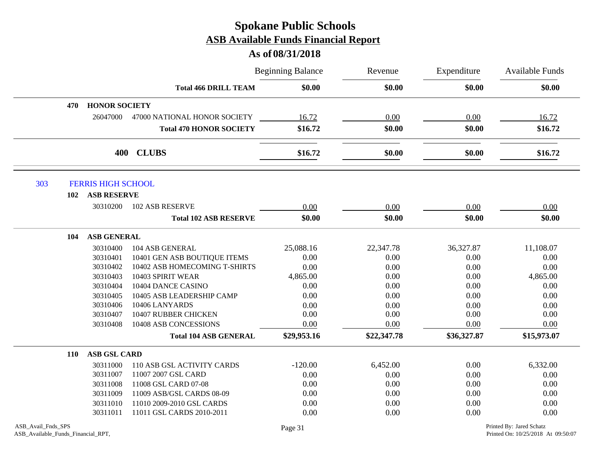|                                                          |                                | <b>Beginning Balance</b> | Revenue     | Expenditure<br>\$0.00 | Available Funds<br>\$0.00                                      |
|----------------------------------------------------------|--------------------------------|--------------------------|-------------|-----------------------|----------------------------------------------------------------|
|                                                          | <b>Total 466 DRILL TEAM</b>    | \$0.00                   | \$0.00      |                       |                                                                |
| <b>HONOR SOCIETY</b><br>470                              |                                |                          |             |                       |                                                                |
| 26047000                                                 | 47000 NATIONAL HONOR SOCIETY   | 16.72                    | 0.00        | 0.00                  | 16.72                                                          |
|                                                          | <b>Total 470 HONOR SOCIETY</b> | \$16.72                  | \$0.00      | \$0.00                | \$16.72                                                        |
|                                                          | 400 CLUBS                      | \$16.72                  | \$0.00      | \$0.00                | \$16.72                                                        |
| 303<br><b>FERRIS HIGH SCHOOL</b>                         |                                |                          |             |                       |                                                                |
| <b>ASB RESERVE</b><br>102                                |                                |                          |             |                       |                                                                |
| 30310200                                                 | <b>102 ASB RESERVE</b>         | 0.00                     | 0.00        | 0.00                  | 0.00                                                           |
|                                                          | <b>Total 102 ASB RESERVE</b>   | \$0.00                   | \$0.00      | \$0.00                | \$0.00                                                         |
| ASB GENERAL<br>104                                       |                                |                          |             |                       |                                                                |
| 30310400                                                 | 104 ASB GENERAL                | 25,088.16                | 22,347.78   | 36,327.87             | 11,108.07                                                      |
| 30310401                                                 | 10401 GEN ASB BOUTIQUE ITEMS   | 0.00                     | 0.00        | 0.00                  | 0.00                                                           |
| 30310402                                                 | 10402 ASB HOMECOMING T-SHIRTS  | 0.00                     | 0.00        | 0.00                  | 0.00                                                           |
| 30310403                                                 | 10403 SPIRIT WEAR              | 4,865.00                 | 0.00        | 0.00                  | 4,865.00                                                       |
| 30310404                                                 | 10404 DANCE CASINO             | 0.00                     | 0.00        | 0.00                  | 0.00                                                           |
| 30310405                                                 | 10405 ASB LEADERSHIP CAMP      | 0.00                     | 0.00        | 0.00                  | 0.00                                                           |
| 30310406                                                 | 10406 LANYARDS                 | 0.00                     | 0.00        | 0.00                  | 0.00                                                           |
| 30310407                                                 | 10407 RUBBER CHICKEN           | 0.00                     | 0.00        | 0.00                  | 0.00                                                           |
| 30310408                                                 | 10408 ASB CONCESSIONS          | 0.00                     | 0.00        | 0.00                  | $0.00\,$                                                       |
|                                                          | <b>Total 104 ASB GENERAL</b>   | \$29,953.16              | \$22,347.78 | \$36,327.87           | \$15,973.07                                                    |
| <b>ASB GSL CARD</b><br><b>110</b>                        |                                |                          |             |                       |                                                                |
| 30311000                                                 | 110 ASB GSL ACTIVITY CARDS     | $-120.00$                | 6,452.00    | 0.00                  | 6,332.00                                                       |
| 30311007                                                 | 11007 2007 GSL CARD            | 0.00                     | 0.00        | 0.00                  | 0.00                                                           |
| 30311008                                                 | 11008 GSL CARD 07-08           | 0.00                     | 0.00        | 0.00                  | 0.00                                                           |
| 30311009                                                 | 11009 ASB/GSL CARDS 08-09      | 0.00                     | 0.00        | 0.00                  | 0.00                                                           |
| 30311010                                                 | 11010 2009-2010 GSL CARDS      | 0.00                     | 0.00        | 0.00                  | 0.00                                                           |
| 30311011                                                 | 11011 GSL CARDS 2010-2011      | 0.00                     | 0.00        | 0.00                  | 0.00                                                           |
| ASB_Avail_Fnds_SPS<br>ASB_Available_Funds_Financial_RPT, |                                | Page 31                  |             |                       | Printed By: Jared Schatz<br>Printed On: 10/25/2018 At 09:50:07 |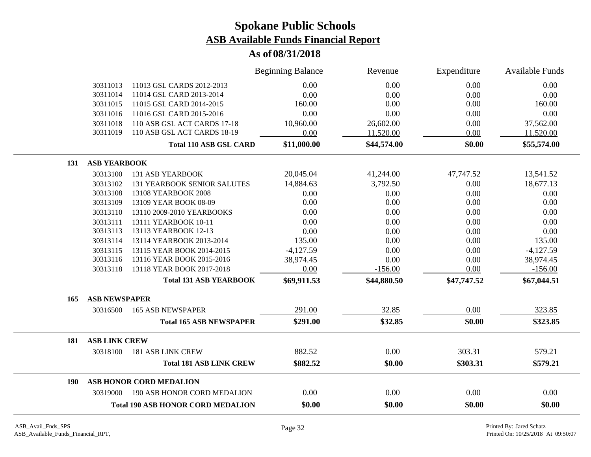|     |                      |                                          | <b>Beginning Balance</b> | Revenue     | Expenditure | Available Funds |
|-----|----------------------|------------------------------------------|--------------------------|-------------|-------------|-----------------|
|     | 30311013             | 11013 GSL CARDS 2012-2013                | 0.00                     | 0.00        | 0.00        | 0.00            |
|     | 30311014             | 11014 GSL CARD 2013-2014                 | 0.00                     | 0.00        | 0.00        | 0.00            |
|     | 30311015             | 11015 GSL CARD 2014-2015                 | 160.00                   | 0.00        | 0.00        | 160.00          |
|     | 30311016             | 11016 GSL CARD 2015-2016                 | 0.00                     | 0.00        | 0.00        | 0.00            |
|     | 30311018             | 110 ASB GSL ACT CARDS 17-18              | 10,960.00                | 26,602.00   | 0.00        | 37,562.00       |
|     | 30311019             | 110 ASB GSL ACT CARDS 18-19              | 0.00                     | 11,520.00   | 0.00        | 11,520.00       |
|     |                      | <b>Total 110 ASB GSL CARD</b>            | \$11,000.00              | \$44,574.00 | \$0.00      | \$55,574.00     |
| 131 | <b>ASB YEARBOOK</b>  |                                          |                          |             |             |                 |
|     | 30313100             | <b>131 ASB YEARBOOK</b>                  | 20,045.04                | 41,244.00   | 47,747.52   | 13,541.52       |
|     | 30313102             | <b>131 YEARBOOK SENIOR SALUTES</b>       | 14,884.63                | 3,792.50    | 0.00        | 18,677.13       |
|     | 30313108             | 13108 YEARBOOK 2008                      | 0.00                     | 0.00        | 0.00        | 0.00            |
|     | 30313109             | 13109 YEAR BOOK 08-09                    | 0.00                     | 0.00        | 0.00        | 0.00            |
|     | 30313110             | 13110 2009-2010 YEARBOOKS                | 0.00                     | 0.00        | 0.00        | 0.00            |
|     | 30313111             | 13111 YEARBOOK 10-11                     | 0.00                     | 0.00        | 0.00        | 0.00            |
|     | 30313113             | 13113 YEARBOOK 12-13                     | 0.00                     | 0.00        | 0.00        | 0.00            |
|     | 30313114             | 13114 YEARBOOK 2013-2014                 | 135.00                   | 0.00        | 0.00        | 135.00          |
|     | 30313115             | 13115 YEAR BOOK 2014-2015                | $-4,127.59$              | 0.00        | 0.00        | $-4,127.59$     |
|     | 30313116             | 13116 YEAR BOOK 2015-2016                | 38,974.45                | 0.00        | 0.00        | 38,974.45       |
|     | 30313118             | 13118 YEAR BOOK 2017-2018                | 0.00                     | $-156.00$   | 0.00        | $-156.00$       |
|     |                      | <b>Total 131 ASB YEARBOOK</b>            | \$69,911.53              | \$44,880.50 | \$47,747.52 | \$67,044.51     |
| 165 | <b>ASB NEWSPAPER</b> |                                          |                          |             |             |                 |
|     | 30316500             | <b>165 ASB NEWSPAPER</b>                 | 291.00                   | 32.85       | 0.00        | 323.85          |
|     |                      | <b>Total 165 ASB NEWSPAPER</b>           | \$291.00                 | \$32.85     | \$0.00      | \$323.85        |
| 181 | <b>ASB LINK CREW</b> |                                          |                          |             |             |                 |
|     | 30318100             | <b>181 ASB LINK CREW</b>                 | 882.52                   | 0.00        | 303.31      | 579.21          |
|     |                      | <b>Total 181 ASB LINK CREW</b>           | \$882.52                 | \$0.00      | \$303.31    | \$579.21        |
| 190 |                      | ASB HONOR CORD MEDALION                  |                          |             |             |                 |
|     |                      | 30319000 190 ASB HONOR CORD MEDALION     | 0.00                     | 0.00        | 0.00        | 0.00            |
|     |                      | <b>Total 190 ASB HONOR CORD MEDALION</b> | \$0.00                   | \$0.00      | \$0.00      | \$0.00          |
|     |                      |                                          |                          |             |             |                 |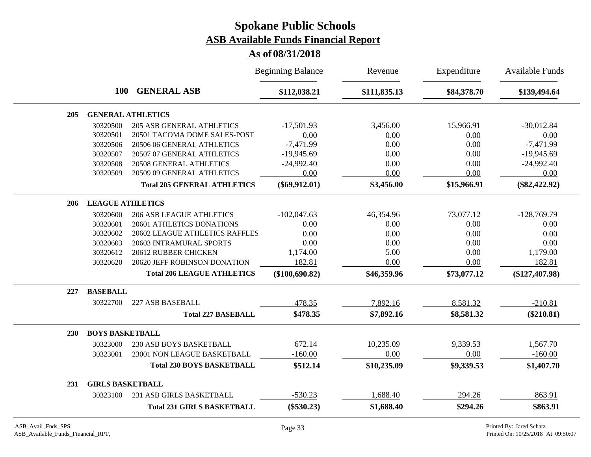|            |                         |                                    | <b>Beginning Balance</b> | Revenue      | Expenditure | <b>Available Funds</b> |
|------------|-------------------------|------------------------------------|--------------------------|--------------|-------------|------------------------|
|            | 100                     | <b>GENERAL ASB</b>                 | \$112,038.21             | \$111,835.13 | \$84,378.70 | \$139,494.64           |
| 205        |                         | <b>GENERAL ATHLETICS</b>           |                          |              |             |                        |
|            | 30320500                | <b>205 ASB GENERAL ATHLETICS</b>   | $-17,501.93$             | 3,456.00     | 15,966.91   | $-30,012.84$           |
|            | 30320501                | 20501 TACOMA DOME SALES-POST       | 0.00                     | 0.00         | 0.00        | 0.00                   |
|            | 30320506                | 20506 06 GENERAL ATHLETICS         | $-7,471.99$              | 0.00         | 0.00        | $-7,471.99$            |
|            | 30320507                | 20507 07 GENERAL ATHLETICS         | $-19,945.69$             | 0.00         | 0.00        | $-19,945.69$           |
|            | 30320508                | 20508 GENERAL ATHLETICS            | $-24,992.40$             | 0.00         | 0.00        | $-24,992.40$           |
|            | 30320509                | 20509 09 GENERAL ATHLETICS         | 0.00                     | 0.00         | 0.00        | 0.00                   |
|            |                         | <b>Total 205 GENERAL ATHLETICS</b> | $(\$69,912.01)$          | \$3,456.00   | \$15,966.91 | $(\$82,422.92)$        |
| 206        | <b>LEAGUE ATHLETICS</b> |                                    |                          |              |             |                        |
|            | 30320600                | <b>206 ASB LEAGUE ATHLETICS</b>    | $-102,047.63$            | 46,354.96    | 73,077.12   | $-128,769.79$          |
|            | 30320601                | 20601 ATHLETICS DONATIONS          | 0.00                     | 0.00         | 0.00        | 0.00                   |
|            | 30320602                | 20602 LEAGUE ATHLETICS RAFFLES     | 0.00                     | 0.00         | 0.00        | 0.00                   |
|            | 30320603                | 20603 INTRAMURAL SPORTS            | 0.00                     | 0.00         | 0.00        | 0.00                   |
|            | 30320612                | 20612 RUBBER CHICKEN               | 1,174.00                 | 5.00         | 0.00        | 1,179.00               |
|            | 30320620                | 20620 JEFF ROBINSON DONATION       | 182.81                   | 0.00         | 0.00        | 182.81                 |
|            |                         | <b>Total 206 LEAGUE ATHLETICS</b>  | (\$100,690.82)           | \$46,359.96  | \$73,077.12 | $(\$127,407.98)$       |
| 227        | <b>BASEBALL</b>         |                                    |                          |              |             |                        |
|            | 30322700                | 227 ASB BASEBALL                   | 478.35                   | 7,892.16     | 8,581.32    | $-210.81$              |
|            |                         | <b>Total 227 BASEBALL</b>          | \$478.35                 | \$7,892.16   | \$8,581.32  | $(\$210.81)$           |
| <b>230</b> | <b>BOYS BASKETBALL</b>  |                                    |                          |              |             |                        |
|            | 30323000                | 230 ASB BOYS BASKETBALL            | 672.14                   | 10,235.09    | 9,339.53    | 1,567.70               |
|            | 30323001                | 23001 NON LEAGUE BASKETBALL        | $-160.00$                | 0.00         | 0.00        | $-160.00$              |
|            |                         | <b>Total 230 BOYS BASKETBALL</b>   | \$512.14                 | \$10,235.09  | \$9,339.53  | \$1,407.70             |
| 231        | <b>GIRLS BASKETBALL</b> |                                    |                          |              |             |                        |
|            | 30323100                | 231 ASB GIRLS BASKETBALL           | $-530.23$                | 1,688.40     | 294.26      | 863.91                 |
|            |                         | <b>Total 231 GIRLS BASKETBALL</b>  | $(\$530.23)$             | \$1,688.40   | \$294.26    | \$863.91               |
|            |                         |                                    |                          |              |             |                        |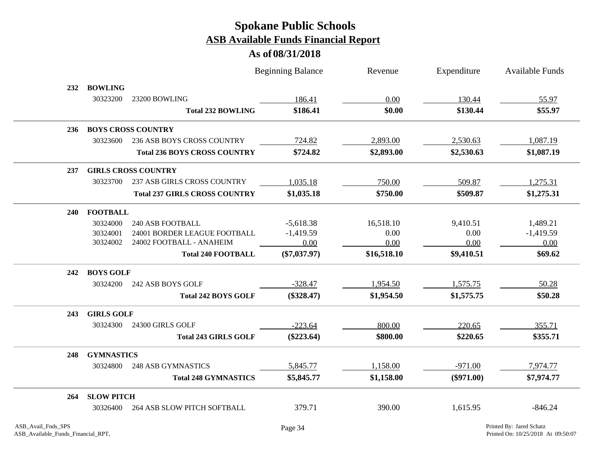|            |                   |                                      | <b>Beginning Balance</b> | Revenue     | Expenditure  | <b>Available Funds</b> |
|------------|-------------------|--------------------------------------|--------------------------|-------------|--------------|------------------------|
| 232        | <b>BOWLING</b>    |                                      |                          |             |              |                        |
|            | 30323200          | 23200 BOWLING                        | 186.41                   | 0.00        | 130.44       | 55.97                  |
|            |                   | <b>Total 232 BOWLING</b>             | \$186.41                 | \$0.00      | \$130.44     | \$55.97                |
| 236        |                   | <b>BOYS CROSS COUNTRY</b>            |                          |             |              |                        |
|            | 30323600          | <b>236 ASB BOYS CROSS COUNTRY</b>    | 724.82                   | 2,893.00    | 2,530.63     | 1,087.19               |
|            |                   | <b>Total 236 BOYS CROSS COUNTRY</b>  | \$724.82                 | \$2,893.00  | \$2,530.63   | \$1,087.19             |
| 237        |                   | <b>GIRLS CROSS COUNTRY</b>           |                          |             |              |                        |
|            | 30323700          | 237 ASB GIRLS CROSS COUNTRY          | 1,035.18                 | 750.00      | 509.87       | 1,275.31               |
|            |                   | <b>Total 237 GIRLS CROSS COUNTRY</b> | \$1,035.18               | \$750.00    | \$509.87     | \$1,275.31             |
| <b>240</b> | <b>FOOTBALL</b>   |                                      |                          |             |              |                        |
|            | 30324000          | <b>240 ASB FOOTBALL</b>              | $-5,618.38$              | 16,518.10   | 9,410.51     | 1,489.21               |
|            | 30324001          | 24001 BORDER LEAGUE FOOTBALL         | $-1,419.59$              | 0.00        | 0.00         | $-1,419.59$            |
|            | 30324002          | 24002 FOOTBALL - ANAHEIM             | 0.00                     | 0.00        | 0.00         | 0.00                   |
|            |                   | <b>Total 240 FOOTBALL</b>            | $(\$7,037.97)$           | \$16,518.10 | \$9,410.51   | \$69.62                |
| 242        | <b>BOYS GOLF</b>  |                                      |                          |             |              |                        |
|            | 30324200          | 242 ASB BOYS GOLF                    | $-328.47$                | 1,954.50    | 1,575.75     | 50.28                  |
|            |                   | <b>Total 242 BOYS GOLF</b>           | $(\$328.47)$             | \$1,954.50  | \$1,575.75   | \$50.28                |
| 243        | <b>GIRLS GOLF</b> |                                      |                          |             |              |                        |
|            | 30324300          | 24300 GIRLS GOLF                     | $-223.64$                | 800.00      | 220.65       | 355.71                 |
|            |                   | <b>Total 243 GIRLS GOLF</b>          | $(\$223.64)$             | \$800.00    | \$220.65     | \$355.71               |
| 248        | <b>GYMNASTICS</b> |                                      |                          |             |              |                        |
|            | 30324800          | <b>248 ASB GYMNASTICS</b>            | 5,845.77                 | 1,158.00    | $-971.00$    | 7,974.77               |
|            |                   | <b>Total 248 GYMNASTICS</b>          | \$5,845.77               | \$1,158.00  | $(\$971.00)$ | \$7,974.77             |
| 264        | <b>SLOW PITCH</b> |                                      |                          |             |              |                        |
|            | 30326400          | 264 ASB SLOW PITCH SOFTBALL          | 379.71                   | 390.00      | 1,615.95     | $-846.24$              |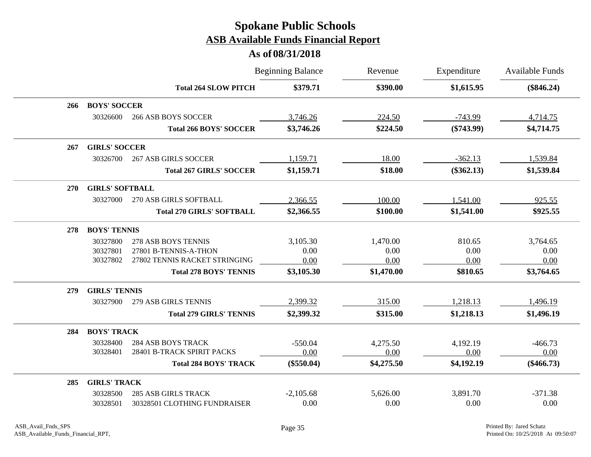|            |                        |                                  | <b>Beginning Balance</b> | Revenue    | Expenditure  | <b>Available Funds</b> |
|------------|------------------------|----------------------------------|--------------------------|------------|--------------|------------------------|
|            |                        | <b>Total 264 SLOW PITCH</b>      | \$379.71                 | \$390.00   | \$1,615.95   | $(\$846.24)$           |
| 266        | <b>BOYS' SOCCER</b>    |                                  |                          |            |              |                        |
|            | 30326600               | <b>266 ASB BOYS SOCCER</b>       | 3,746.26                 | 224.50     | $-743.99$    | 4,714.75               |
|            |                        | <b>Total 266 BOYS' SOCCER</b>    | \$3,746.26               | \$224.50   | $(\$743.99)$ | \$4,714.75             |
| 267        | <b>GIRLS' SOCCER</b>   |                                  |                          |            |              |                        |
|            | 30326700               | <b>267 ASB GIRLS SOCCER</b>      | 1,159.71                 | 18.00      | $-362.13$    | 1,539.84               |
|            |                        | <b>Total 267 GIRLS' SOCCER</b>   | \$1,159.71               | \$18.00    | $(\$362.13)$ | \$1,539.84             |
| <b>270</b> | <b>GIRLS' SOFTBALL</b> |                                  |                          |            |              |                        |
|            | 30327000               | 270 ASB GIRLS SOFTBALL           | 2,366.55                 | 100.00     | 1,541.00     | 925.55                 |
|            |                        | <b>Total 270 GIRLS' SOFTBALL</b> | \$2,366.55               | \$100.00   | \$1,541.00   | \$925.55               |
| 278        | <b>BOYS' TENNIS</b>    |                                  |                          |            |              |                        |
|            | 30327800               | 278 ASB BOYS TENNIS              | 3,105.30                 | 1,470.00   | 810.65       | 3,764.65               |
|            | 30327801               | 27801 B-TENNIS-A-THON            | 0.00                     | 0.00       | 0.00         | 0.00                   |
|            | 30327802               | 27802 TENNIS RACKET STRINGING    | 0.00                     | 0.00       | 0.00         | 0.00                   |
|            |                        | <b>Total 278 BOYS' TENNIS</b>    | \$3,105.30               | \$1,470.00 | \$810.65     | \$3,764.65             |
| 279        | <b>GIRLS' TENNIS</b>   |                                  |                          |            |              |                        |
|            | 30327900               | 279 ASB GIRLS TENNIS             | 2,399.32                 | 315.00     | 1,218.13     | 1,496.19               |
|            |                        | <b>Total 279 GIRLS' TENNIS</b>   | \$2,399.32               | \$315.00   | \$1,218.13   | \$1,496.19             |
| 284        | <b>BOYS' TRACK</b>     |                                  |                          |            |              |                        |
|            | 30328400               | <b>284 ASB BOYS TRACK</b>        | $-550.04$                | 4,275.50   | 4,192.19     | $-466.73$              |
|            | 30328401               | 28401 B-TRACK SPIRIT PACKS       | 0.00                     | 0.00       | 0.00         | 0.00                   |
|            |                        | <b>Total 284 BOYS' TRACK</b>     | $(\$550.04)$             | \$4,275.50 | \$4,192.19   | $(\$466.73)$           |
| 285        | <b>GIRLS' TRACK</b>    |                                  |                          |            |              |                        |
|            | 30328500               | <b>285 ASB GIRLS TRACK</b>       | $-2,105.68$              | 5,626.00   | 3,891.70     | $-371.38$              |
|            | 30328501               | 30328501 CLOTHING FUNDRAISER     | 0.00                     | 0.00       | 0.00         | 0.00                   |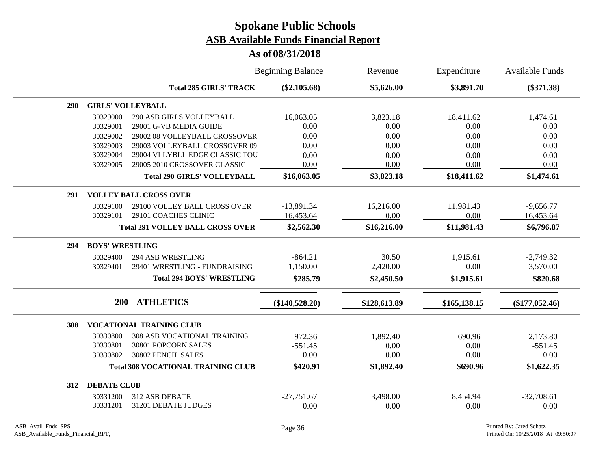|     |                          |                                           | <b>Beginning Balance</b> | Revenue      | Expenditure  | <b>Available Funds</b> |
|-----|--------------------------|-------------------------------------------|--------------------------|--------------|--------------|------------------------|
|     |                          | <b>Total 285 GIRLS' TRACK</b>             | $(\$2,105.68)$           | \$5,626.00   | \$3,891.70   | $(\$371.38)$           |
| 290 | <b>GIRLS' VOLLEYBALL</b> |                                           |                          |              |              |                        |
|     | 30329000                 | <b>290 ASB GIRLS VOLLEYBALL</b>           | 16,063.05                | 3,823.18     | 18,411.62    | 1,474.61               |
|     | 30329001                 | 29001 G-VB MEDIA GUIDE                    | 0.00                     | 0.00         | 0.00         | 0.00                   |
|     | 30329002                 | 29002 08 VOLLEYBALL CROSSOVER             | 0.00                     | 0.00         | 0.00         | 0.00                   |
|     | 30329003                 | 29003 VOLLEYBALL CROSSOVER 09             | 0.00                     | 0.00         | 0.00         | 0.00                   |
|     | 30329004                 | 29004 VLLYBLL EDGE CLASSIC TOU            | 0.00                     | 0.00         | 0.00         | 0.00                   |
|     | 30329005                 | 29005 2010 CROSSOVER CLASSIC              | 0.00                     | 0.00         | 0.00         | 0.00                   |
|     |                          | <b>Total 290 GIRLS' VOLLEYBALL</b>        | \$16,063.05              | \$3,823.18   | \$18,411.62  | \$1,474.61             |
| 291 |                          | <b>VOLLEY BALL CROSS OVER</b>             |                          |              |              |                        |
|     | 30329100                 | 29100 VOLLEY BALL CROSS OVER              | $-13,891.34$             | 16,216.00    | 11,981.43    | $-9,656.77$            |
|     | 30329101                 | 29101 COACHES CLINIC                      | 16,453.64                | 0.00         | 0.00         | 16,453.64              |
|     |                          | <b>Total 291 VOLLEY BALL CROSS OVER</b>   | \$2,562.30               | \$16,216.00  | \$11,981.43  | \$6,796.87             |
| 294 | <b>BOYS' WRESTLING</b>   |                                           |                          |              |              |                        |
|     | 30329400                 | <b>294 ASB WRESTLING</b>                  | $-864.21$                | 30.50        | 1,915.61     | $-2,749.32$            |
|     | 30329401                 | 29401 WRESTLING - FUNDRAISING             | 1,150.00                 | 2,420.00     | 0.00         | 3,570.00               |
|     |                          | <b>Total 294 BOYS' WRESTLING</b>          | \$285.79                 | \$2,450.50   | \$1,915.61   | \$820.68               |
|     | <b>200</b>               | <b>ATHLETICS</b>                          |                          |              |              |                        |
|     |                          |                                           | $(\$140,528.20)$         | \$128,613.89 | \$165,138.15 | $(\$177,052.46)$       |
| 308 |                          | <b>VOCATIONAL TRAINING CLUB</b>           |                          |              |              |                        |
|     | 30330800                 | <b>308 ASB VOCATIONAL TRAINING</b>        | 972.36                   | 1,892.40     | 690.96       | 2,173.80               |
|     | 30330801                 | 30801 POPCORN SALES                       | $-551.45$                | 0.00         | 0.00         | $-551.45$              |
|     | 30330802                 | 30802 PENCIL SALES                        | 0.00                     | 0.00         | 0.00         | 0.00                   |
|     |                          | <b>Total 308 VOCATIONAL TRAINING CLUB</b> | \$420.91                 | \$1,892.40   | \$690.96     | \$1,622.35             |
| 312 | <b>DEBATE CLUB</b>       |                                           |                          |              |              |                        |
|     | 30331200                 | 312 ASB DEBATE                            | $-27,751.67$             | 3,498.00     | 8,454.94     | $-32,708.61$           |
|     | 30331201                 | 31201 DEBATE JUDGES                       | 0.00                     | 0.00         | 0.00         | 0.00                   |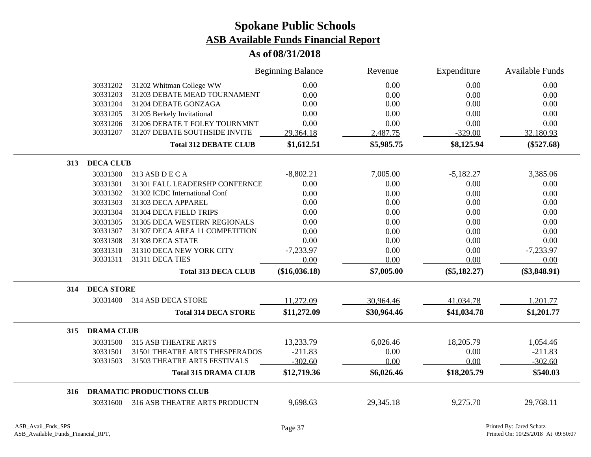|                          |                                  | <b>Beginning Balance</b> | Revenue     | Expenditure    | <b>Available Funds</b> |
|--------------------------|----------------------------------|--------------------------|-------------|----------------|------------------------|
| 30331202                 | 31202 Whitman College WW         | 0.00                     | 0.00        | 0.00           | 0.00                   |
| 30331203                 | 31203 DEBATE MEAD TOURNAMENT     | 0.00                     | 0.00        | 0.00           | 0.00                   |
| 30331204                 | 31204 DEBATE GONZAGA             | 0.00                     | 0.00        | 0.00           | 0.00                   |
| 30331205                 | 31205 Berkely Invitational       | 0.00                     | 0.00        | 0.00           | 0.00                   |
| 30331206                 | 31206 DEBATE T FOLEY TOURNMNT    | 0.00                     | 0.00        | 0.00           | 0.00                   |
| 30331207                 | 31207 DEBATE SOUTHSIDE INVITE    | 29,364.18                | 2,487.75    | $-329.00$      | 32,180.93              |
|                          | <b>Total 312 DEBATE CLUB</b>     | \$1,612.51               | \$5,985.75  | \$8,125.94     | $(\$527.68)$           |
| <b>DECA CLUB</b><br>313  |                                  |                          |             |                |                        |
| 30331300                 | 313 ASB D E C A                  | $-8,802.21$              | 7,005.00    | $-5,182.27$    | 3,385.06               |
| 30331301                 | 31301 FALL LEADERSHP CONFERNCE   | 0.00                     | 0.00        | 0.00           | 0.00                   |
| 30331302                 | 31302 ICDC International Conf    | 0.00                     | 0.00        | 0.00           | 0.00                   |
| 30331303                 | 31303 DECA APPAREL               | 0.00                     | 0.00        | 0.00           | 0.00                   |
| 30331304                 | 31304 DECA FIELD TRIPS           | 0.00                     | 0.00        | 0.00           | 0.00                   |
| 30331305                 | 31305 DECA WESTERN REGIONALS     | 0.00                     | 0.00        | 0.00           | 0.00                   |
| 30331307                 | 31307 DECA AREA 11 COMPETITION   | 0.00                     | 0.00        | 0.00           | 0.00                   |
| 30331308                 | 31308 DECA STATE                 | 0.00                     | 0.00        | 0.00           | 0.00                   |
| 30331310                 | 31310 DECA NEW YORK CITY         | $-7,233.97$              | 0.00        | 0.00           | $-7,233.97$            |
| 30331311                 | 31311 DECA TIES                  | 0.00                     | 0.00        | 0.00           | 0.00                   |
|                          | <b>Total 313 DECA CLUB</b>       | $(\$16,036.18)$          | \$7,005.00  | $(\$5,182.27)$ | $(\$3,848.91)$         |
| <b>DECA STORE</b><br>314 |                                  |                          |             |                |                        |
| 30331400                 | 314 ASB DECA STORE               | 11,272.09                | 30,964.46   | 41,034.78      | 1,201.77               |
|                          | <b>Total 314 DECA STORE</b>      | \$11,272.09              | \$30,964.46 | \$41,034.78    | \$1,201.77             |
| <b>DRAMA CLUB</b><br>315 |                                  |                          |             |                |                        |
| 30331500                 | <b>315 ASB THEATRE ARTS</b>      | 13,233.79                | 6,026.46    | 18,205.79      | 1,054.46               |
| 30331501                 | 31501 THEATRE ARTS THESPERADOS   | $-211.83$                | 0.00        | 0.00           | $-211.83$              |
| 30331503                 | 31503 THEATRE ARTS FESTIVALS     | $-302.60$                | 0.00        | 0.00           | $-302.60$              |
|                          | <b>Total 315 DRAMA CLUB</b>      | \$12,719.36              | \$6,026.46  | \$18,205.79    | \$540.03               |
| 316                      | <b>DRAMATIC PRODUCTIONS CLUB</b> |                          |             |                |                        |
| 30331600                 | 316 ASB THEATRE ARTS PRODUCTN    | 9,698.63                 | 29,345.18   | 9,275.70       | 29,768.11              |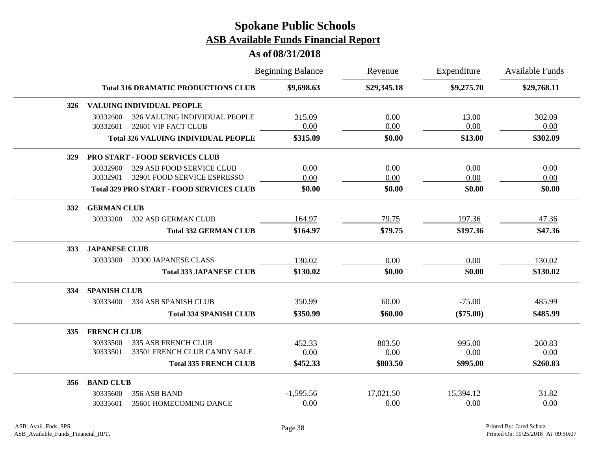|          |                             | <b>Beginning Balance</b>                                                                                                                                                          | Revenue                                                                                                                                                                                                                                                                                                                                         | Expenditure | <b>Available Funds</b> |
|----------|-----------------------------|-----------------------------------------------------------------------------------------------------------------------------------------------------------------------------------|-------------------------------------------------------------------------------------------------------------------------------------------------------------------------------------------------------------------------------------------------------------------------------------------------------------------------------------------------|-------------|------------------------|
|          |                             | \$9,698.63                                                                                                                                                                        | \$29,345.18                                                                                                                                                                                                                                                                                                                                     | \$9,275.70  | \$29,768.11            |
|          |                             |                                                                                                                                                                                   |                                                                                                                                                                                                                                                                                                                                                 |             |                        |
| 30332600 |                             | 315.09                                                                                                                                                                            | 0.00                                                                                                                                                                                                                                                                                                                                            | 13.00       | 302.09                 |
| 30332601 | 32601 VIP FACT CLUB         | 0.00                                                                                                                                                                              | 0.00                                                                                                                                                                                                                                                                                                                                            | 0.00        | 0.00                   |
|          |                             | \$315.09                                                                                                                                                                          | \$0.00                                                                                                                                                                                                                                                                                                                                          | \$13.00     | \$302.09               |
|          |                             |                                                                                                                                                                                   |                                                                                                                                                                                                                                                                                                                                                 |             |                        |
| 30332900 | 329 ASB FOOD SERVICE CLUB   | 0.00                                                                                                                                                                              | 0.00                                                                                                                                                                                                                                                                                                                                            | 0.00        | 0.00                   |
| 30332901 | 32901 FOOD SERVICE ESPRESSO | 0.00                                                                                                                                                                              | 0.00                                                                                                                                                                                                                                                                                                                                            | 0.00        | 0.00                   |
|          |                             | \$0.00                                                                                                                                                                            | \$0.00                                                                                                                                                                                                                                                                                                                                          | \$0.00      | \$0.00                 |
|          |                             |                                                                                                                                                                                   |                                                                                                                                                                                                                                                                                                                                                 |             |                        |
| 30333200 | 332 ASB GERMAN CLUB         | 164.97                                                                                                                                                                            | 79.75                                                                                                                                                                                                                                                                                                                                           | 197.36      | 47.36                  |
|          |                             | \$164.97                                                                                                                                                                          | \$79.75                                                                                                                                                                                                                                                                                                                                         | \$197.36    | \$47.36                |
|          |                             |                                                                                                                                                                                   |                                                                                                                                                                                                                                                                                                                                                 |             |                        |
| 30333300 | 33300 JAPANESE CLASS        | 130.02                                                                                                                                                                            | 0.00                                                                                                                                                                                                                                                                                                                                            | 0.00        | 130.02                 |
|          |                             | \$130.02                                                                                                                                                                          | \$0.00                                                                                                                                                                                                                                                                                                                                          | \$0.00      | \$130.02               |
|          |                             |                                                                                                                                                                                   |                                                                                                                                                                                                                                                                                                                                                 |             |                        |
| 30333400 | 334 ASB SPANISH CLUB        | 350.99                                                                                                                                                                            | 60.00                                                                                                                                                                                                                                                                                                                                           | $-75.00$    | 485.99                 |
|          |                             | \$350.99                                                                                                                                                                          | \$60.00                                                                                                                                                                                                                                                                                                                                         | $(\$75.00)$ | \$485.99               |
|          |                             |                                                                                                                                                                                   |                                                                                                                                                                                                                                                                                                                                                 |             |                        |
| 30333500 | <b>335 ASB FRENCH CLUB</b>  | 452.33                                                                                                                                                                            | 803.50                                                                                                                                                                                                                                                                                                                                          | 995.00      | 260.83                 |
| 30333501 |                             | 0.00                                                                                                                                                                              | 0.00                                                                                                                                                                                                                                                                                                                                            | 0.00        | 0.00                   |
|          |                             | \$452.33                                                                                                                                                                          | \$803.50                                                                                                                                                                                                                                                                                                                                        | \$995.00    | \$260.83               |
|          |                             |                                                                                                                                                                                   |                                                                                                                                                                                                                                                                                                                                                 |             |                        |
| 30335600 | 356 ASB BAND                | $-1,595.56$                                                                                                                                                                       | 17,021.50                                                                                                                                                                                                                                                                                                                                       | 15,394.12   | 31.82                  |
| 30335601 | 35601 HOMECOMING DANCE      | 0.00                                                                                                                                                                              | 0.00                                                                                                                                                                                                                                                                                                                                            | 0.00        | 0.00                   |
|          |                             | VALUING INDIVIDUAL PEOPLE<br><b>PRO START - FOOD SERVICES CLUB</b><br><b>GERMAN CLUB</b><br><b>JAPANESE CLUB</b><br><b>SPANISH CLUB</b><br><b>FRENCH CLUB</b><br><b>BAND CLUB</b> | <b>Total 316 DRAMATIC PRODUCTIONS CLUB</b><br>326 VALUING INDIVIDUAL PEOPLE<br><b>Total 326 VALUING INDIVIDUAL PEOPLE</b><br><b>Total 329 PRO START - FOOD SERVICES CLUB</b><br><b>Total 332 GERMAN CLUB</b><br><b>Total 333 JAPANESE CLUB</b><br><b>Total 334 SPANISH CLUB</b><br>33501 FRENCH CLUB CANDY SALE<br><b>Total 335 FRENCH CLUB</b> |             |                        |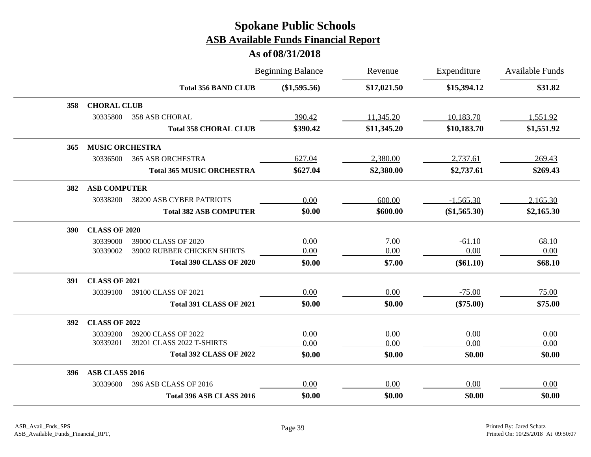|            |                        |                                  | <b>Beginning Balance</b> | Revenue     | Expenditure  | <b>Available Funds</b> |
|------------|------------------------|----------------------------------|--------------------------|-------------|--------------|------------------------|
|            |                        | <b>Total 356 BAND CLUB</b>       | (\$1,595.56)             | \$17,021.50 | \$15,394.12  | \$31.82                |
| 358        | <b>CHORAL CLUB</b>     |                                  |                          |             |              |                        |
|            | 30335800               | 358 ASB CHORAL                   | 390.42                   | 11,345.20   | 10,183.70    | 1,551.92               |
|            |                        | <b>Total 358 CHORAL CLUB</b>     | \$390.42                 | \$11,345.20 | \$10,183.70  | \$1,551.92             |
| 365        | <b>MUSIC ORCHESTRA</b> |                                  |                          |             |              |                        |
|            | 30336500               | <b>365 ASB ORCHESTRA</b>         | 627.04                   | 2,380.00    | 2,737.61     | 269.43                 |
|            |                        | <b>Total 365 MUSIC ORCHESTRA</b> | \$627.04                 | \$2,380.00  | \$2,737.61   | \$269.43               |
| 382        | <b>ASB COMPUTER</b>    |                                  |                          |             |              |                        |
|            | 30338200               | 38200 ASB CYBER PATRIOTS         | 0.00                     | 600.00      | $-1,565.30$  | 2,165.30               |
|            |                        | <b>Total 382 ASB COMPUTER</b>    | \$0.00                   | \$600.00    | (\$1,565.30) | \$2,165.30             |
| <b>390</b> | <b>CLASS OF 2020</b>   |                                  |                          |             |              |                        |
|            | 30339000               | 39000 CLASS OF 2020              | 0.00                     | 7.00        | $-61.10$     | 68.10                  |
|            | 30339002               | 39002 RUBBER CHICKEN SHIRTS      | 0.00                     | 0.00        | 0.00         | 0.00                   |
|            |                        | <b>Total 390 CLASS OF 2020</b>   | \$0.00                   | \$7.00      | $(\$61.10)$  | \$68.10                |
| 391        | <b>CLASS OF 2021</b>   |                                  |                          |             |              |                        |
|            | 30339100               | 39100 CLASS OF 2021              | 0.00                     | 0.00        | $-75.00$     | 75.00                  |
|            |                        | <b>Total 391 CLASS OF 2021</b>   | \$0.00                   | \$0.00      | $(\$75.00)$  | \$75.00                |
| <b>392</b> | <b>CLASS OF 2022</b>   |                                  |                          |             |              |                        |
|            | 30339200               | 39200 CLASS OF 2022              | 0.00                     | 0.00        | 0.00         | 0.00                   |
|            | 30339201               | 39201 CLASS 2022 T-SHIRTS        | 0.00                     | 0.00        | 0.00         | 0.00                   |
|            |                        | <b>Total 392 CLASS OF 2022</b>   | \$0.00                   | \$0.00      | \$0.00       | \$0.00                 |
| 396        | ASB CLASS 2016         |                                  |                          |             |              |                        |
|            | 30339600               | 396 ASB CLASS OF 2016            | 0.00                     | 0.00        | 0.00         | 0.00                   |
|            |                        | Total 396 ASB CLASS 2016         | \$0.00                   | \$0.00      | \$0.00       | \$0.00                 |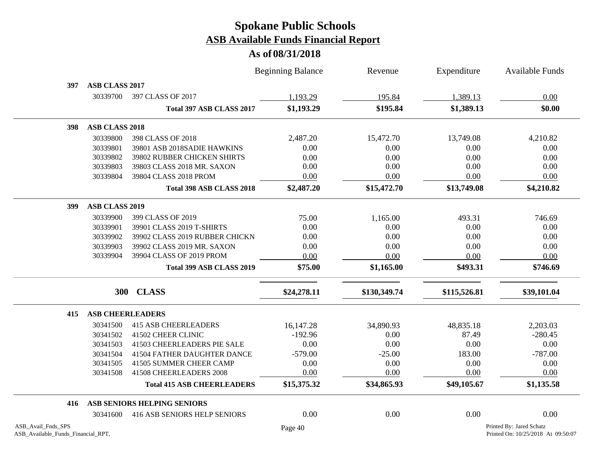|                                                          |                       |                                     | <b>Beginning Balance</b> | Revenue      | Expenditure  | <b>Available Funds</b>                                         |
|----------------------------------------------------------|-----------------------|-------------------------------------|--------------------------|--------------|--------------|----------------------------------------------------------------|
| 397                                                      | ASB CLASS 2017        |                                     |                          |              |              |                                                                |
|                                                          | 30339700              | 397 CLASS OF 2017                   | 1,193.29                 | 195.84       | 1,389.13     | 0.00                                                           |
|                                                          |                       | Total 397 ASB CLASS 2017            | \$1,193.29               | \$195.84     | \$1,389.13   | \$0.00                                                         |
| 398                                                      | <b>ASB CLASS 2018</b> |                                     |                          |              |              |                                                                |
|                                                          | 30339800              | 398 CLASS OF 2018                   | 2,487.20                 | 15,472.70    | 13,749.08    | 4,210.82                                                       |
|                                                          | 30339801              | 39801 ASB 2018SADIE HAWKINS         | 0.00                     | 0.00         | 0.00         | 0.00                                                           |
|                                                          | 30339802              | 39802 RUBBER CHICKEN SHIRTS         | 0.00                     | 0.00         | 0.00         | 0.00                                                           |
|                                                          | 30339803              | 39803 CLASS 2018 MR. SAXON          | 0.00                     | 0.00         | 0.00         | 0.00                                                           |
|                                                          | 30339804              | 39804 CLASS 2018 PROM               | 0.00                     | 0.00         | 0.00         | 0.00                                                           |
|                                                          |                       | Total 398 ASB CLASS 2018            | \$2,487.20               | \$15,472.70  | \$13,749.08  | \$4,210.82                                                     |
| 399                                                      | <b>ASB CLASS 2019</b> |                                     |                          |              |              |                                                                |
|                                                          | 30339900              | 399 CLASS OF 2019                   | 75.00                    | 1,165.00     | 493.31       | 746.69                                                         |
|                                                          | 30339901              | 39901 CLASS 2019 T-SHIRTS           | 0.00                     | 0.00         | 0.00         | 0.00                                                           |
|                                                          | 30339902              | 39902 CLASS 2019 RUBBER CHICKN      | 0.00                     | 0.00         | 0.00         | 0.00                                                           |
|                                                          | 30339903              | 39902 CLASS 2019 MR. SAXON          | 0.00                     | 0.00         | 0.00         | 0.00                                                           |
|                                                          | 30339904              | 39904 CLASS OF 2019 PROM            | 0.00                     | 0.00         | 0.00         | 0.00                                                           |
|                                                          |                       | Total 399 ASB CLASS 2019            | \$75.00                  | \$1,165.00   | \$493.31     | \$746.69                                                       |
|                                                          | <b>300</b>            | <b>CLASS</b>                        | \$24,278.11              | \$130,349.74 | \$115,526.81 | \$39,101.04                                                    |
| 415                                                      |                       | <b>ASB CHEERLEADERS</b>             |                          |              |              |                                                                |
|                                                          | 30341500              | <b>415 ASB CHEERLEADERS</b>         | 16,147.28                | 34,890.93    | 48,835.18    | 2,203.03                                                       |
|                                                          | 30341502              | 41502 CHEER CLINIC                  | $-192.96$                | 0.00         | 87.49        | $-280.45$                                                      |
|                                                          | 30341503              | 41503 CHEERLEADERS PIE SALE         | 0.00                     | 0.00         | 0.00         | 0.00                                                           |
|                                                          | 30341504              | 41504 FATHER DAUGHTER DANCE         | $-579.00$                | $-25.00$     | 183.00       | $-787.00$                                                      |
|                                                          | 30341505              | 41505 SUMMER CHEER CAMP             | 0.00                     | 0.00         | 0.00         | 0.00                                                           |
|                                                          | 30341508              | 41508 CHEERLEADERS 2008             | 0.00                     | 0.00         | 0.00         | 0.00                                                           |
|                                                          |                       | <b>Total 415 ASB CHEERLEADERS</b>   | \$15,375.32              | \$34,865.93  | \$49,105.67  | \$1,135.58                                                     |
| 416                                                      |                       | ASB SENIORS HELPING SENIORS         |                          |              |              |                                                                |
|                                                          | 30341600              | <b>416 ASB SENIORS HELP SENIORS</b> | 0.00                     | 0.00         | 0.00         | 0.00                                                           |
| ASB_Avail_Fnds_SPS<br>ASB_Available_Funds_Financial_RPT, |                       |                                     | Page 40                  |              |              | Printed By: Jared Schatz<br>Printed On: 10/25/2018 At 09:50:07 |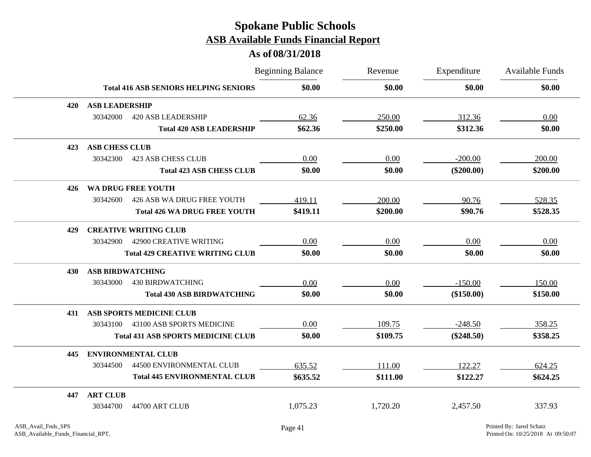|     |                         |                                              | <b>Beginning Balance</b> | Revenue  | Expenditure  | <b>Available Funds</b> |
|-----|-------------------------|----------------------------------------------|--------------------------|----------|--------------|------------------------|
|     |                         | <b>Total 416 ASB SENIORS HELPING SENIORS</b> | \$0.00                   | \$0.00   | \$0.00       | \$0.00                 |
| 420 | <b>ASB LEADERSHIP</b>   |                                              |                          |          |              |                        |
|     | 30342000                | <b>420 ASB LEADERSHIP</b>                    | 62.36                    | 250.00   | 312.36       | 0.00                   |
|     |                         | <b>Total 420 ASB LEADERSHIP</b>              | \$62.36                  | \$250.00 | \$312.36     | \$0.00                 |
| 423 | <b>ASB CHESS CLUB</b>   |                                              |                          |          |              |                        |
|     | 30342300                | <b>423 ASB CHESS CLUB</b>                    | 0.00                     | 0.00     | $-200.00$    | 200.00                 |
|     |                         | <b>Total 423 ASB CHESS CLUB</b>              | \$0.00                   | \$0.00   | $(\$200.00)$ | \$200.00               |
| 426 |                         | <b>WA DRUG FREE YOUTH</b>                    |                          |          |              |                        |
|     | 30342600                | 426 ASB WA DRUG FREE YOUTH                   | 419.11                   | 200.00   | 90.76        | 528.35                 |
|     |                         | <b>Total 426 WA DRUG FREE YOUTH</b>          | \$419.11                 | \$200.00 | \$90.76      | \$528.35               |
| 429 |                         | <b>CREATIVE WRITING CLUB</b>                 |                          |          |              |                        |
|     | 30342900                | 42900 CREATIVE WRITING                       | 0.00                     | 0.00     | 0.00         | 0.00                   |
|     |                         | <b>Total 429 CREATIVE WRITING CLUB</b>       | \$0.00                   | \$0.00   | \$0.00       | \$0.00                 |
| 430 | <b>ASB BIRDWATCHING</b> |                                              |                          |          |              |                        |
|     | 30343000                | <b>430 BIRDWATCHING</b>                      | 0.00                     | 0.00     | $-150.00$    | 150.00                 |
|     |                         | <b>Total 430 ASB BIRDWATCHING</b>            | \$0.00                   | \$0.00   | (\$150.00)   | \$150.00               |
| 431 |                         | <b>ASB SPORTS MEDICINE CLUB</b>              |                          |          |              |                        |
|     | 30343100                | 43100 ASB SPORTS MEDICINE                    | 0.00                     | 109.75   | $-248.50$    | 358.25                 |
|     |                         | <b>Total 431 ASB SPORTS MEDICINE CLUB</b>    | \$0.00                   | \$109.75 | $(\$248.50)$ | \$358.25               |
| 445 |                         | <b>ENVIRONMENTAL CLUB</b>                    |                          |          |              |                        |
|     | 30344500                | 44500 ENVIRONMENTAL CLUB                     | 635.52                   | 111.00   | 122.27       | 624.25                 |
|     |                         | <b>Total 445 ENVIRONMENTAL CLUB</b>          | \$635.52                 | \$111.00 | \$122.27     | \$624.25               |
| 447 | <b>ART CLUB</b>         |                                              |                          |          |              |                        |
|     | 30344700                | 44700 ART CLUB                               | 1,075.23                 | 1,720.20 | 2,457.50     | 337.93                 |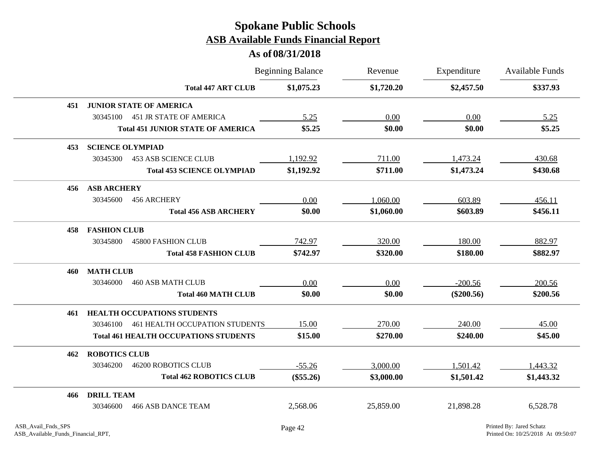|     |                         |                                              | <b>Beginning Balance</b> | Revenue    | Expenditure  | Available Funds |
|-----|-------------------------|----------------------------------------------|--------------------------|------------|--------------|-----------------|
|     |                         | <b>Total 447 ART CLUB</b>                    | \$1,075.23               | \$1,720.20 | \$2,457.50   | \$337.93        |
| 451 |                         | <b>JUNIOR STATE OF AMERICA</b>               |                          |            |              |                 |
|     | 30345100                | <b>451 JR STATE OF AMERICA</b>               | 5.25                     | 0.00       | 0.00         | 5.25            |
|     |                         | <b>Total 451 JUNIOR STATE OF AMERICA</b>     | \$5.25                   | \$0.00     | \$0.00       | \$5.25          |
| 453 | <b>SCIENCE OLYMPIAD</b> |                                              |                          |            |              |                 |
|     | 30345300                | <b>453 ASB SCIENCE CLUB</b>                  | 1,192.92                 | 711.00     | 1,473.24     | 430.68          |
|     |                         | <b>Total 453 SCIENCE OLYMPIAD</b>            | \$1,192.92               | \$711.00   | \$1,473.24   | \$430.68        |
| 456 | <b>ASB ARCHERY</b>      |                                              |                          |            |              |                 |
|     | 30345600                | 456 ARCHERY                                  | 0.00                     | 1,060.00   | 603.89       | 456.11          |
|     |                         | <b>Total 456 ASB ARCHERY</b>                 | \$0.00                   | \$1,060.00 | \$603.89     | \$456.11        |
| 458 | <b>FASHION CLUB</b>     |                                              |                          |            |              |                 |
|     | 30345800                | <b>45800 FASHION CLUB</b>                    | 742.97                   | 320.00     | 180.00       | 882.97          |
|     |                         | <b>Total 458 FASHION CLUB</b>                | \$742.97                 | \$320.00   | \$180.00     | \$882.97        |
| 460 | <b>MATH CLUB</b>        |                                              |                          |            |              |                 |
|     | 30346000                | <b>460 ASB MATH CLUB</b>                     | 0.00                     | 0.00       | $-200.56$    | 200.56          |
|     |                         | <b>Total 460 MATH CLUB</b>                   | \$0.00                   | \$0.00     | $(\$200.56)$ | \$200.56        |
| 461 |                         | <b>HEALTH OCCUPATIONS STUDENTS</b>           |                          |            |              |                 |
|     | 30346100                | 461 HEALTH OCCUPATION STUDENTS               | 15.00                    | 270.00     | 240.00       | 45.00           |
|     |                         | <b>Total 461 HEALTH OCCUPATIONS STUDENTS</b> | \$15.00                  | \$270.00   | \$240.00     | \$45.00         |
| 462 | <b>ROBOTICS CLUB</b>    |                                              |                          |            |              |                 |
|     | 30346200                | <b>46200 ROBOTICS CLUB</b>                   | $-55.26$                 | 3,000.00   | 1,501.42     | 1,443.32        |
|     |                         | <b>Total 462 ROBOTICS CLUB</b>               | $(\$55.26)$              | \$3,000.00 | \$1,501.42   | \$1,443.32      |
| 466 | <b>DRILL TEAM</b>       |                                              |                          |            |              |                 |
|     | 30346600                | <b>466 ASB DANCE TEAM</b>                    | 2,568.06                 | 25,859.00  | 21,898.28    | 6,528.78        |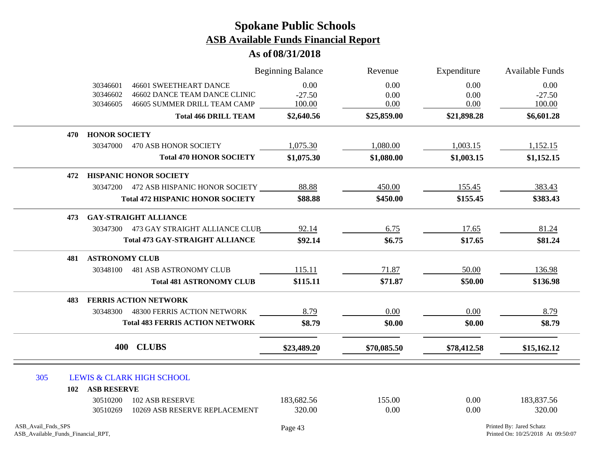|                                                          |                                  |                                                                                                | <b>Beginning Balance</b>   | Revenue              | Expenditure          | Available Funds                                                |
|----------------------------------------------------------|----------------------------------|------------------------------------------------------------------------------------------------|----------------------------|----------------------|----------------------|----------------------------------------------------------------|
|                                                          | 30346601<br>30346602<br>30346605 | <b>46601 SWEETHEART DANCE</b><br>46602 DANCE TEAM DANCE CLINIC<br>46605 SUMMER DRILL TEAM CAMP | 0.00<br>$-27.50$<br>100.00 | 0.00<br>0.00<br>0.00 | 0.00<br>0.00<br>0.00 | 0.00<br>$-27.50$<br>100.00                                     |
|                                                          |                                  | <b>Total 466 DRILL TEAM</b>                                                                    | \$2,640.56                 | \$25,859.00          | \$21,898.28          | \$6,601.28                                                     |
|                                                          | <b>HONOR SOCIETY</b><br>470      |                                                                                                |                            |                      |                      |                                                                |
|                                                          | 30347000                         | <b>470 ASB HONOR SOCIETY</b>                                                                   | 1,075.30                   | 1,080.00             | 1,003.15             | 1,152.15                                                       |
|                                                          |                                  | <b>Total 470 HONOR SOCIETY</b>                                                                 | \$1,075.30                 | \$1,080.00           | \$1,003.15           | \$1,152.15                                                     |
|                                                          | 472                              | <b>HISPANIC HONOR SOCIETY</b>                                                                  |                            |                      |                      |                                                                |
|                                                          |                                  | 30347200 472 ASB HISPANIC HONOR SOCIETY                                                        | 88.88                      | 450.00               | 155.45               | 383.43                                                         |
|                                                          |                                  | <b>Total 472 HISPANIC HONOR SOCIETY</b>                                                        | \$88.88                    | \$450.00             | \$155.45             | \$383.43                                                       |
|                                                          | 473                              | <b>GAY-STRAIGHT ALLIANCE</b>                                                                   |                            |                      |                      |                                                                |
|                                                          |                                  | 30347300 473 GAY STRAIGHT ALLIANCE CLUB                                                        | 92.14                      | 6.75                 | 17.65                | 81.24                                                          |
|                                                          |                                  | <b>Total 473 GAY-STRAIGHT ALLIANCE</b>                                                         | \$92.14                    | \$6.75               | \$17.65              | \$81.24                                                        |
|                                                          | <b>ASTRONOMY CLUB</b><br>481     |                                                                                                |                            |                      |                      |                                                                |
|                                                          | 30348100                         | <b>481 ASB ASTRONOMY CLUB</b>                                                                  | 115.11                     | 71.87                | 50.00                | 136.98                                                         |
|                                                          |                                  | <b>Total 481 ASTRONOMY CLUB</b>                                                                | \$115.11                   | \$71.87              | \$50.00              | \$136.98                                                       |
|                                                          | 483                              | <b>FERRIS ACTION NETWORK</b>                                                                   |                            |                      |                      |                                                                |
|                                                          | 30348300                         | 48300 FERRIS ACTION NETWORK                                                                    | 8.79                       | 0.00                 | 0.00                 | 8.79                                                           |
|                                                          |                                  | <b>Total 483 FERRIS ACTION NETWORK</b>                                                         | \$8.79                     | \$0.00               | \$0.00               | \$8.79                                                         |
|                                                          |                                  | 400 CLUBS                                                                                      | \$23,489.20                | \$70,085.50          | \$78,412.58          | \$15,162.12                                                    |
| 305                                                      |                                  | <b>LEWIS &amp; CLARK HIGH SCHOOL</b>                                                           |                            |                      |                      |                                                                |
|                                                          | <b>ASB RESERVE</b><br>102        |                                                                                                |                            |                      |                      |                                                                |
|                                                          | 30510200<br>30510269             | <b>102 ASB RESERVE</b><br>10269 ASB RESERVE REPLACEMENT                                        | 183,682.56<br>320.00       | 155.00<br>0.00       | 0.00<br>0.00         | 183,837.56<br>320.00                                           |
| ASB_Avail_Fnds_SPS<br>ASB_Available_Funds_Financial_RPT, |                                  |                                                                                                | Page 43                    |                      |                      | Printed By: Jared Schatz<br>Printed On: 10/25/2018 At 09:50:07 |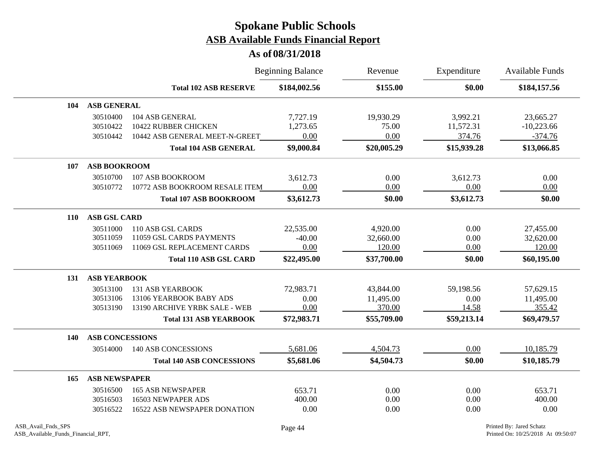|            |                        |                                  | <b>Beginning Balance</b> | Revenue     | Expenditure | Available Funds |
|------------|------------------------|----------------------------------|--------------------------|-------------|-------------|-----------------|
|            |                        | <b>Total 102 ASB RESERVE</b>     | \$184,002.56             | \$155.00    | \$0.00      | \$184,157.56    |
| 104        | <b>ASB GENERAL</b>     |                                  |                          |             |             |                 |
|            | 30510400               | 104 ASB GENERAL                  | 7,727.19                 | 19,930.29   | 3,992.21    | 23,665.27       |
|            | 30510422               | 10422 RUBBER CHICKEN             | 1,273.65                 | 75.00       | 11,572.31   | $-10,223.66$    |
|            | 30510442               | 10442 ASB GENERAL MEET-N-GREET   | 0.00                     | 0.00        | 374.76      | $-374.76$       |
|            |                        | <b>Total 104 ASB GENERAL</b>     | \$9,000.84               | \$20,005.29 | \$15,939.28 | \$13,066.85     |
| 107        | <b>ASB BOOKROOM</b>    |                                  |                          |             |             |                 |
|            | 30510700               | 107 ASB BOOKROOM                 | 3,612.73                 | 0.00        | 3,612.73    | 0.00            |
|            | 30510772               | 10772 ASB BOOKROOM RESALE ITEM   | 0.00                     | 0.00        | 0.00        | 0.00            |
|            |                        | <b>Total 107 ASB BOOKROOM</b>    | \$3,612.73               | \$0.00      | \$3,612.73  | \$0.00          |
| <b>110</b> | <b>ASB GSL CARD</b>    |                                  |                          |             |             |                 |
|            | 30511000               | 110 ASB GSL CARDS                | 22,535.00                | 4,920.00    | 0.00        | 27,455.00       |
|            | 30511059               | 11059 GSL CARDS PAYMENTS         | $-40.00$                 | 32,660.00   | 0.00        | 32,620.00       |
|            | 30511069               | 11069 GSL REPLACEMENT CARDS      | 0.00                     | 120.00      | 0.00        | 120.00          |
|            |                        | <b>Total 110 ASB GSL CARD</b>    | \$22,495.00              | \$37,700.00 | \$0.00      | \$60,195.00     |
| 131        | <b>ASB YEARBOOK</b>    |                                  |                          |             |             |                 |
|            | 30513100               | <b>131 ASB YEARBOOK</b>          | 72,983.71                | 43,844.00   | 59,198.56   | 57,629.15       |
|            | 30513106               | 13106 YEARBOOK BABY ADS          | 0.00                     | 11,495.00   | 0.00        | 11,495.00       |
|            | 30513190               | 13190 ARCHIVE YRBK SALE - WEB    | 0.00                     | 370.00      | 14.58       | 355.42          |
|            |                        | <b>Total 131 ASB YEARBOOK</b>    | \$72,983.71              | \$55,709.00 | \$59,213.14 | \$69,479.57     |
| 140        | <b>ASB CONCESSIONS</b> |                                  |                          |             |             |                 |
|            | 30514000               | <b>140 ASB CONCESSIONS</b>       | 5,681.06                 | 4,504.73    | 0.00        | 10,185.79       |
|            |                        | <b>Total 140 ASB CONCESSIONS</b> | \$5,681.06               | \$4,504.73  | \$0.00      | \$10,185.79     |
| 165        | <b>ASB NEWSPAPER</b>   |                                  |                          |             |             |                 |
|            | 30516500               | <b>165 ASB NEWSPAPER</b>         | 653.71                   | 0.00        | 0.00        | 653.71          |
|            | 30516503               | 16503 NEWPAPER ADS               | 400.00                   | 0.00        | 0.00        | 400.00          |
|            | 30516522               | 16522 ASB NEWSPAPER DONATION     | 0.00                     | 0.00        | 0.00        | 0.00            |
|            |                        |                                  |                          |             |             |                 |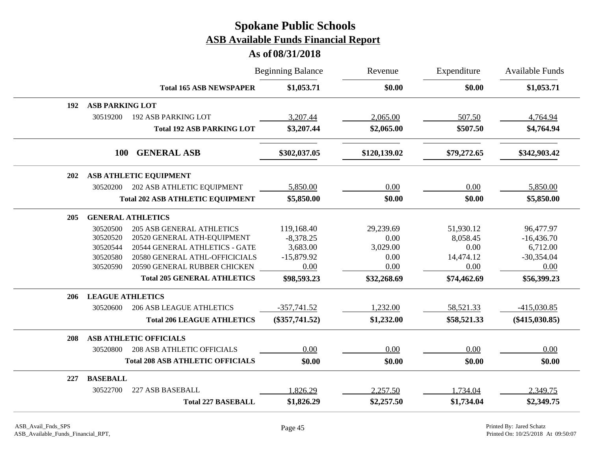|     |                          |                                         | <b>Beginning Balance</b> | Revenue      | Expenditure | <b>Available Funds</b> |
|-----|--------------------------|-----------------------------------------|--------------------------|--------------|-------------|------------------------|
|     |                          | <b>Total 165 ASB NEWSPAPER</b>          | \$1,053.71               | \$0.00       | \$0.00      | \$1,053.71             |
| 192 | <b>ASB PARKING LOT</b>   |                                         |                          |              |             |                        |
|     | 30519200                 | <b>192 ASB PARKING LOT</b>              | 3,207.44                 | 2,065.00     | 507.50      | 4,764.94               |
|     |                          | <b>Total 192 ASB PARKING LOT</b>        | \$3,207.44               | \$2,065.00   | \$507.50    | \$4,764.94             |
|     | <b>100</b>               | <b>GENERAL ASB</b>                      | \$302,037.05             | \$120,139.02 | \$79,272.65 | \$342,903.42           |
| 202 |                          | ASB ATHLETIC EQUIPMENT                  |                          |              |             |                        |
|     | 30520200                 | 202 ASB ATHLETIC EQUIPMENT              | 5,850.00                 | 0.00         | 0.00        | 5,850.00               |
|     |                          | <b>Total 202 ASB ATHLETIC EQUIPMENT</b> | \$5,850.00               | \$0.00       | \$0.00      | \$5,850.00             |
| 205 | <b>GENERAL ATHLETICS</b> |                                         |                          |              |             |                        |
|     | 30520500                 | <b>205 ASB GENERAL ATHLETICS</b>        | 119,168.40               | 29,239.69    | 51,930.12   | 96,477.97              |
|     | 30520520                 | 20520 GENERAL ATH-EQUIPMENT             | $-8,378.25$              | 0.00         | 8,058.45    | $-16,436.70$           |
|     | 30520544                 | 20544 GENERAL ATHLETICS - GATE          | 3,683.00                 | 3,029.00     | 0.00        | 6,712.00               |
|     | 30520580                 | 20580 GENERAL ATHL-OFFICICIALS          | $-15,879.92$             | 0.00         | 14,474.12   | $-30,354.04$           |
|     | 30520590                 | 20590 GENERAL RUBBER CHICKEN            | 0.00                     | 0.00         | 0.00        | 0.00                   |
|     |                          | <b>Total 205 GENERAL ATHLETICS</b>      | \$98,593.23              | \$32,268.69  | \$74,462.69 | \$56,399.23            |
| 206 | <b>LEAGUE ATHLETICS</b>  |                                         |                          |              |             |                        |
|     | 30520600                 | <b>206 ASB LEAGUE ATHLETICS</b>         | $-357,741.52$            | 1,232.00     | 58,521.33   | $-415,030.85$          |
|     |                          | <b>Total 206 LEAGUE ATHLETICS</b>       | $(\$357,741.52)$         | \$1,232.00   | \$58,521.33 | $(\$415,030.85)$       |
| 208 |                          | <b>ASB ATHLETIC OFFICIALS</b>           |                          |              |             |                        |
|     | 30520800                 | <b>208 ASB ATHLETIC OFFICIALS</b>       | 0.00                     | 0.00         | 0.00        | 0.00                   |
|     |                          | <b>Total 208 ASB ATHLETIC OFFICIALS</b> | \$0.00                   | \$0.00       | \$0.00      | \$0.00                 |
| 227 | <b>BASEBALL</b>          |                                         |                          |              |             |                        |
|     | 30522700                 | 227 ASB BASEBALL                        | 1,826.29                 | 2,257.50     | 1,734.04    | 2,349.75               |
|     |                          | <b>Total 227 BASEBALL</b>               | \$1,826.29               | \$2,257.50   | \$1,734.04  | \$2,349.75             |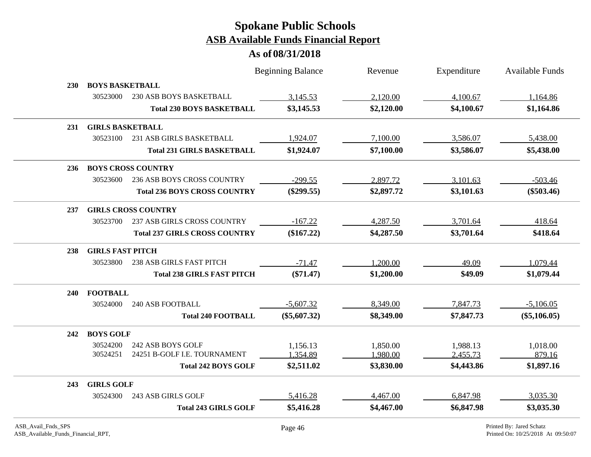|            |                         |                                      | <b>Beginning Balance</b> | Revenue    | Expenditure | <b>Available Funds</b> |
|------------|-------------------------|--------------------------------------|--------------------------|------------|-------------|------------------------|
| <b>230</b> | <b>BOYS BASKETBALL</b>  |                                      |                          |            |             |                        |
|            | 30523000                | <b>230 ASB BOYS BASKETBALL</b>       | 3,145.53                 | 2,120.00   | 4,100.67    | 1,164.86               |
|            |                         | <b>Total 230 BOYS BASKETBALL</b>     | \$3,145.53               | \$2,120.00 | \$4,100.67  | \$1,164.86             |
| 231        | <b>GIRLS BASKETBALL</b> |                                      |                          |            |             |                        |
|            | 30523100                | 231 ASB GIRLS BASKETBALL             | 1,924.07                 | 7,100.00   | 3,586.07    | 5,438.00               |
|            |                         | <b>Total 231 GIRLS BASKETBALL</b>    | \$1,924.07               | \$7,100.00 | \$3,586.07  | \$5,438.00             |
| 236        |                         | <b>BOYS CROSS COUNTRY</b>            |                          |            |             |                        |
|            | 30523600                | 236 ASB BOYS CROSS COUNTRY           | $-299.55$                | 2,897.72   | 3,101.63    | $-503.46$              |
|            |                         | <b>Total 236 BOYS CROSS COUNTRY</b>  | $(\$299.55)$             | \$2,897.72 | \$3,101.63  | $(\$503.46)$           |
| 237        |                         | <b>GIRLS CROSS COUNTRY</b>           |                          |            |             |                        |
|            | 30523700                | 237 ASB GIRLS CROSS COUNTRY          | $-167.22$                | 4,287.50   | 3,701.64    | 418.64                 |
|            |                         | <b>Total 237 GIRLS CROSS COUNTRY</b> | $(\$167.22)$             | \$4,287.50 | \$3,701.64  | \$418.64               |
| 238        | <b>GIRLS FAST PITCH</b> |                                      |                          |            |             |                        |
|            | 30523800                | 238 ASB GIRLS FAST PITCH             | $-71.47$                 | 1,200.00   | 49.09       | 1,079.44               |
|            |                         | <b>Total 238 GIRLS FAST PITCH</b>    | $(\$71.47)$              | \$1,200.00 | \$49.09     | \$1,079.44             |
| <b>240</b> | <b>FOOTBALL</b>         |                                      |                          |            |             |                        |
|            | 30524000                | <b>240 ASB FOOTBALL</b>              | $-5,607.32$              | 8,349.00   | 7,847.73    | $-5,106.05$            |
|            |                         | <b>Total 240 FOOTBALL</b>            | $(\$5,607.32)$           | \$8,349.00 | \$7,847.73  | $(\$5,106.05)$         |
| 242        | <b>BOYS GOLF</b>        |                                      |                          |            |             |                        |
|            | 30524200                | 242 ASB BOYS GOLF                    | 1,156.13                 | 1,850.00   | 1,988.13    | 1,018.00               |
|            | 30524251                | 24251 B-GOLF I.E. TOURNAMENT         | 1,354.89                 | 1,980.00   | 2,455.73    | 879.16                 |
|            |                         | <b>Total 242 BOYS GOLF</b>           | \$2,511.02               | \$3,830.00 | \$4,443.86  | \$1,897.16             |
| 243        | <b>GIRLS GOLF</b>       |                                      |                          |            |             |                        |
|            | 30524300                | 243 ASB GIRLS GOLF                   | 5,416.28                 | 4,467.00   | 6,847.98    | 3,035.30               |
|            |                         | <b>Total 243 GIRLS GOLF</b>          | \$5,416.28               | \$4,467.00 | \$6,847.98  | \$3,035.30             |
|            |                         |                                      |                          |            |             |                        |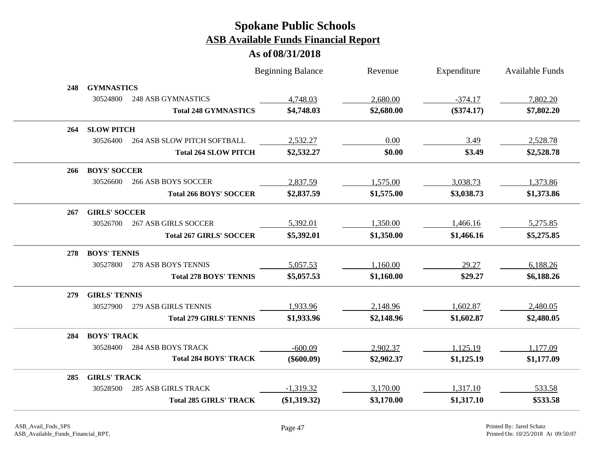|     |                      |                                | <b>Beginning Balance</b> | Revenue    | Expenditure  | <b>Available Funds</b> |
|-----|----------------------|--------------------------------|--------------------------|------------|--------------|------------------------|
| 248 | <b>GYMNASTICS</b>    |                                |                          |            |              |                        |
|     | 30524800             | <b>248 ASB GYMNASTICS</b>      | 4,748.03                 | 2,680.00   | $-374.17$    | 7,802.20               |
|     |                      | <b>Total 248 GYMNASTICS</b>    | \$4,748.03               | \$2,680.00 | $(\$374.17)$ | \$7,802.20             |
| 264 | <b>SLOW PITCH</b>    |                                |                          |            |              |                        |
|     | 30526400             | 264 ASB SLOW PITCH SOFTBALL    | 2,532.27                 | 0.00       | 3.49         | 2,528.78               |
|     |                      | <b>Total 264 SLOW PITCH</b>    | \$2,532.27               | \$0.00     | \$3.49       | \$2,528.78             |
| 266 | <b>BOYS' SOCCER</b>  |                                |                          |            |              |                        |
|     | 30526600             | <b>266 ASB BOYS SOCCER</b>     | 2,837.59                 | 1,575.00   | 3,038.73     | 1,373.86               |
|     |                      | <b>Total 266 BOYS' SOCCER</b>  | \$2,837.59               | \$1,575.00 | \$3,038.73   | \$1,373.86             |
| 267 | <b>GIRLS' SOCCER</b> |                                |                          |            |              |                        |
|     | 30526700             | <b>267 ASB GIRLS SOCCER</b>    | 5,392.01                 | 1,350.00   | 1,466.16     | 5,275.85               |
|     |                      | <b>Total 267 GIRLS' SOCCER</b> | \$5,392.01               | \$1,350.00 | \$1,466.16   | \$5,275.85             |
| 278 | <b>BOYS' TENNIS</b>  |                                |                          |            |              |                        |
|     | 30527800             | 278 ASB BOYS TENNIS            | 5,057.53                 | 1,160.00   | 29.27        | 6,188.26               |
|     |                      | <b>Total 278 BOYS' TENNIS</b>  | \$5,057.53               | \$1,160.00 | \$29.27      | \$6,188.26             |
| 279 | <b>GIRLS' TENNIS</b> |                                |                          |            |              |                        |
|     | 30527900             | 279 ASB GIRLS TENNIS           | 1,933.96                 | 2,148.96   | 1,602.87     | 2,480.05               |
|     |                      | <b>Total 279 GIRLS' TENNIS</b> | \$1,933.96               | \$2,148.96 | \$1,602.87   | \$2,480.05             |
| 284 | <b>BOYS' TRACK</b>   |                                |                          |            |              |                        |
|     | 30528400             | <b>284 ASB BOYS TRACK</b>      | $-600.09$                | 2,902.37   | 1,125.19     | 1,177.09               |
|     |                      | <b>Total 284 BOYS' TRACK</b>   | $(\$600.09)$             | \$2,902.37 | \$1,125.19   | \$1,177.09             |
| 285 | <b>GIRLS' TRACK</b>  |                                |                          |            |              |                        |
|     | 30528500             | <b>285 ASB GIRLS TRACK</b>     | $-1,319.32$              | 3,170.00   | 1,317.10     | 533.58                 |
|     |                      | <b>Total 285 GIRLS' TRACK</b>  | (\$1,319.32)             | \$3,170.00 | \$1,317.10   | \$533.58               |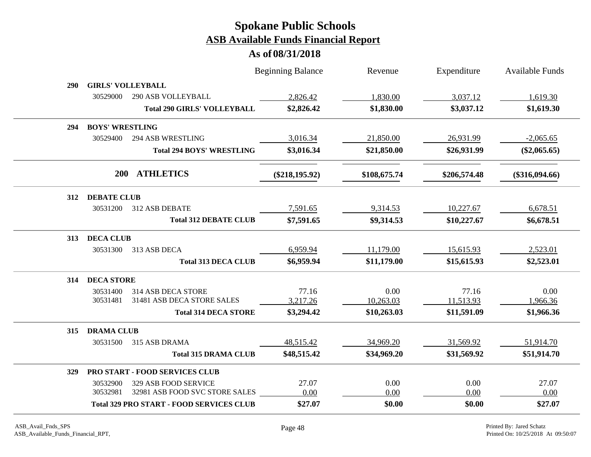|            |                                                                                               | <b>Beginning Balance</b> | Revenue        | Expenditure    | <b>Available Funds</b> |
|------------|-----------------------------------------------------------------------------------------------|--------------------------|----------------|----------------|------------------------|
| <b>290</b> | <b>GIRLS' VOLLEYBALL</b>                                                                      |                          |                |                |                        |
|            | <b>290 ASB VOLLEYBALL</b><br>30529000                                                         | 2,826.42                 | 1,830.00       | 3,037.12       | 1,619.30               |
|            | <b>Total 290 GIRLS' VOLLEYBALL</b>                                                            | \$2,826.42               | \$1,830.00     | \$3,037.12     | \$1,619.30             |
| 294        | <b>BOYS' WRESTLING</b>                                                                        |                          |                |                |                        |
|            | 30529400<br><b>294 ASB WRESTLING</b>                                                          | 3,016.34                 | 21,850.00      | 26,931.99      | $-2,065.65$            |
|            | <b>Total 294 BOYS' WRESTLING</b>                                                              | \$3,016.34               | \$21,850.00    | \$26,931.99    | $(\$2,065.65)$         |
|            | <b>ATHLETICS</b><br><b>200</b>                                                                | $(\$218,195.92)$         | \$108,675.74   | \$206,574.48   | $(\$316,094.66)$       |
| 312        | <b>DEBATE CLUB</b>                                                                            |                          |                |                |                        |
|            | 30531200<br>312 ASB DEBATE                                                                    | 7,591.65                 | 9,314.53       | 10,227.67      | 6,678.51               |
|            | <b>Total 312 DEBATE CLUB</b>                                                                  | \$7,591.65               | \$9,314.53     | \$10,227.67    | \$6,678.51             |
| 313        | <b>DECA CLUB</b>                                                                              |                          |                |                |                        |
|            | 30531300<br>313 ASB DECA                                                                      | 6,959.94                 | 11,179.00      | 15,615.93      | 2,523.01               |
|            | <b>Total 313 DECA CLUB</b>                                                                    | \$6,959.94               | \$11,179.00    | \$15,615.93    | \$2,523.01             |
| 314        | <b>DECA STORE</b>                                                                             |                          |                |                |                        |
|            | 30531400<br>314 ASB DECA STORE                                                                | 77.16                    | 0.00           | 77.16          | 0.00                   |
|            | 31481 ASB DECA STORE SALES<br>30531481                                                        | 3,217.26                 | 10,263.03      | 11,513.93      | 1,966.36               |
|            | <b>Total 314 DECA STORE</b>                                                                   | \$3,294.42               | \$10,263.03    | \$11,591.09    | \$1,966.36             |
| 315        | <b>DRAMA CLUB</b>                                                                             |                          |                |                |                        |
|            | 30531500<br>315 ASB DRAMA                                                                     | 48,515.42                | 34,969.20      | 31,569.92      | 51,914.70              |
|            | <b>Total 315 DRAMA CLUB</b>                                                                   | \$48,515.42              | \$34,969.20    | \$31,569.92    | \$51,914.70            |
| 329        | PRO START - FOOD SERVICES CLUB                                                                |                          |                |                |                        |
|            | 329 ASB FOOD SERVICE<br>30532900                                                              | 27.07                    | 0.00           | 0.00           | 27.07                  |
|            | 32981 ASB FOOD SVC STORE SALES<br>30532981<br><b>Total 329 PRO START - FOOD SERVICES CLUB</b> | 0.00<br>\$27.07          | 0.00<br>\$0.00 | 0.00<br>\$0.00 | 0.00<br>\$27.07        |
|            |                                                                                               |                          |                |                |                        |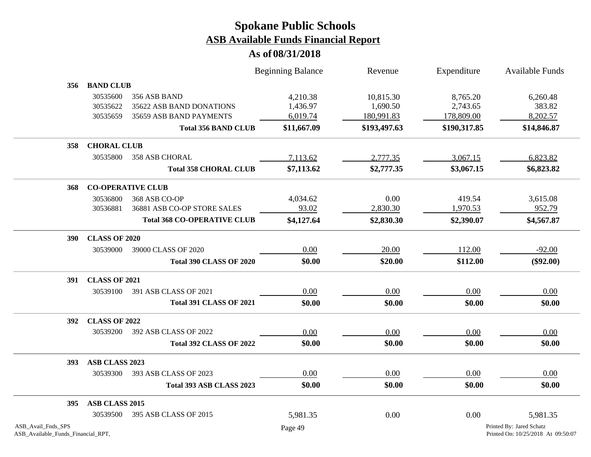|                                                          |                                  |                                                                     | <b>Beginning Balance</b>         | Revenue                             | Expenditure                        | Available Funds                                                |
|----------------------------------------------------------|----------------------------------|---------------------------------------------------------------------|----------------------------------|-------------------------------------|------------------------------------|----------------------------------------------------------------|
| 356                                                      | <b>BAND CLUB</b>                 |                                                                     |                                  |                                     |                                    |                                                                |
|                                                          | 30535600<br>30535622<br>30535659 | 356 ASB BAND<br>35622 ASB BAND DONATIONS<br>35659 ASB BAND PAYMENTS | 4,210.38<br>1,436.97<br>6,019.74 | 10,815.30<br>1,690.50<br>180,991.83 | 8,765.20<br>2,743.65<br>178,809.00 | 6,260.48<br>383.82<br>8,202.57                                 |
|                                                          |                                  | <b>Total 356 BAND CLUB</b>                                          | \$11,667.09                      | \$193,497.63                        | \$190,317.85                       | \$14,846.87                                                    |
| 358                                                      | <b>CHORAL CLUB</b>               |                                                                     |                                  |                                     |                                    |                                                                |
|                                                          | 30535800                         | 358 ASB CHORAL                                                      | 7,113.62                         | 2,777.35                            | 3,067.15                           | 6,823.82                                                       |
|                                                          |                                  | <b>Total 358 CHORAL CLUB</b>                                        | \$7,113.62                       | \$2,777.35                          | \$3,067.15                         | \$6,823.82                                                     |
| 368                                                      |                                  | <b>CO-OPERATIVE CLUB</b>                                            |                                  |                                     |                                    |                                                                |
|                                                          | 30536800                         | 368 ASB CO-OP                                                       | 4,034.62                         | 0.00                                | 419.54                             | 3,615.08                                                       |
|                                                          | 30536881                         | 36881 ASB CO-OP STORE SALES                                         | 93.02                            | 2,830.30                            | 1,970.53                           | 952.79                                                         |
|                                                          |                                  | <b>Total 368 CO-OPERATIVE CLUB</b>                                  | \$4,127.64                       | \$2,830.30                          | \$2,390.07                         | \$4,567.87                                                     |
| <b>390</b>                                               | <b>CLASS OF 2020</b>             |                                                                     |                                  |                                     |                                    |                                                                |
|                                                          | 30539000                         | 39000 CLASS OF 2020                                                 | 0.00                             | 20.00                               | 112.00                             | $-92.00$                                                       |
|                                                          |                                  | <b>Total 390 CLASS OF 2020</b>                                      | \$0.00                           | \$20.00                             | \$112.00                           | $(\$92.00)$                                                    |
| 391                                                      | <b>CLASS OF 2021</b>             |                                                                     |                                  |                                     |                                    |                                                                |
|                                                          | 30539100                         | 391 ASB CLASS OF 2021                                               | 0.00                             | 0.00                                | 0.00                               | 0.00                                                           |
|                                                          |                                  | <b>Total 391 CLASS OF 2021</b>                                      | \$0.00                           | \$0.00                              | \$0.00                             | \$0.00                                                         |
| 392                                                      | <b>CLASS OF 2022</b>             |                                                                     |                                  |                                     |                                    |                                                                |
|                                                          | 30539200                         | 392 ASB CLASS OF 2022                                               | 0.00                             | 0.00                                | 0.00                               | 0.00                                                           |
|                                                          |                                  | <b>Total 392 CLASS OF 2022</b>                                      | \$0.00                           | \$0.00                              | \$0.00                             | \$0.00                                                         |
| 393                                                      | ASB CLASS 2023                   |                                                                     |                                  |                                     |                                    |                                                                |
|                                                          | 30539300                         | 393 ASB CLASS OF 2023                                               | 0.00                             | 0.00                                | 0.00                               | 0.00                                                           |
|                                                          |                                  | Total 393 ASB CLASS 2023                                            | \$0.00                           | \$0.00                              | \$0.00                             | \$0.00                                                         |
| 395                                                      | ASB CLASS 2015                   |                                                                     |                                  |                                     |                                    |                                                                |
|                                                          | 30539500                         | 395 ASB CLASS OF 2015                                               | 5,981.35                         | 0.00                                | 0.00                               | 5,981.35                                                       |
| ASB_Avail_Fnds_SPS<br>ASB_Available_Funds_Financial_RPT, |                                  |                                                                     | Page 49                          |                                     |                                    | Printed By: Jared Schatz<br>Printed On: 10/25/2018 At 09:50:07 |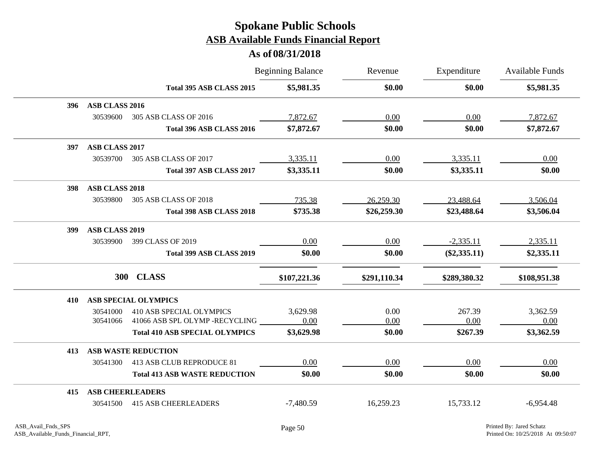|     |                         |                                       | <b>Beginning Balance</b> | Revenue      | Expenditure    | <b>Available Funds</b> |
|-----|-------------------------|---------------------------------------|--------------------------|--------------|----------------|------------------------|
|     |                         | Total 395 ASB CLASS 2015              | \$5,981.35               | \$0.00       | \$0.00         | \$5,981.35             |
| 396 | ASB CLASS 2016          |                                       |                          |              |                |                        |
|     | 30539600                | 305 ASB CLASS OF 2016                 | 7,872.67                 | 0.00         | 0.00           | 7,872.67               |
|     |                         | Total 396 ASB CLASS 2016              | \$7,872.67               | \$0.00       | \$0.00         | \$7,872.67             |
| 397 | <b>ASB CLASS 2017</b>   |                                       |                          |              |                |                        |
|     | 30539700                | 305 ASB CLASS OF 2017                 | 3,335.11                 | 0.00         | 3,335.11       | 0.00                   |
|     |                         | Total 397 ASB CLASS 2017              | \$3,335.11               | \$0.00       | \$3,335.11     | \$0.00                 |
| 398 | <b>ASB CLASS 2018</b>   |                                       |                          |              |                |                        |
|     | 30539800                | 305 ASB CLASS OF 2018                 | 735.38                   | 26,259.30    | 23,488.64      | 3,506.04               |
|     |                         | Total 398 ASB CLASS 2018              | \$735.38                 | \$26,259.30  | \$23,488.64    | \$3,506.04             |
| 399 | <b>ASB CLASS 2019</b>   |                                       |                          |              |                |                        |
|     | 30539900                | 399 CLASS OF 2019                     | 0.00                     | 0.00         | $-2,335.11$    | 2,335.11               |
|     |                         | Total 399 ASB CLASS 2019              | \$0.00                   | \$0.00       | $(\$2,335.11)$ | \$2,335.11             |
|     | <b>300</b>              | <b>CLASS</b>                          | \$107,221.36             | \$291,110.34 | \$289,380.32   | \$108,951.38           |
| 410 |                         | <b>ASB SPECIAL OLYMPICS</b>           |                          |              |                |                        |
|     | 30541000                | <b>410 ASB SPECIAL OLYMPICS</b>       | 3,629.98                 | 0.00         | 267.39         | 3,362.59               |
|     | 30541066                | 41066 ASB SPL OLYMP -RECYCLING        | 0.00                     | 0.00         | 0.00           | 0.00                   |
|     |                         | <b>Total 410 ASB SPECIAL OLYMPICS</b> | \$3,629.98               | \$0.00       | \$267.39       | \$3,362.59             |
| 413 |                         | <b>ASB WASTE REDUCTION</b>            |                          |              |                |                        |
|     | 30541300                | 413 ASB CLUB REPRODUCE 81             | 0.00                     | 0.00         | 0.00           | 0.00                   |
|     |                         | <b>Total 413 ASB WASTE REDUCTION</b>  | \$0.00                   | \$0.00       | \$0.00         | \$0.00                 |
| 415 | <b>ASB CHEERLEADERS</b> |                                       |                          |              |                |                        |
|     | 30541500                | <b>415 ASB CHEERLEADERS</b>           | $-7,480.59$              | 16,259.23    | 15,733.12      | $-6,954.48$            |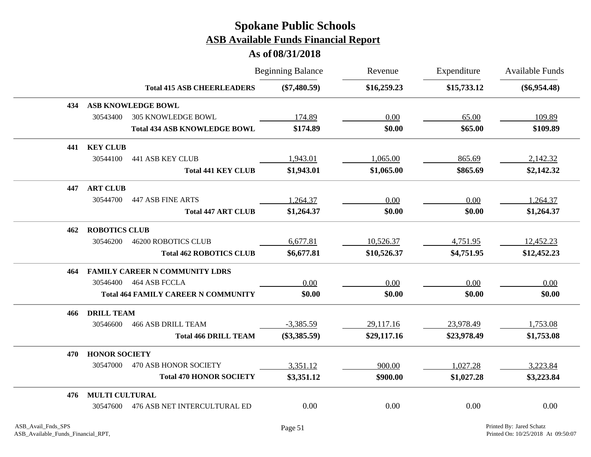|     |                                            | <b>Beginning Balance</b> | Revenue     | Expenditure | <b>Available Funds</b> |
|-----|--------------------------------------------|--------------------------|-------------|-------------|------------------------|
|     | <b>Total 415 ASB CHEERLEADERS</b>          | $(\$7,480.59)$           | \$16,259.23 | \$15,733.12 | $(\$6,954.48)$         |
| 434 | <b>ASB KNOWLEDGE BOWL</b>                  |                          |             |             |                        |
|     | 30543400<br><b>305 KNOWLEDGE BOWL</b>      | 174.89                   | 0.00        | 65.00       | 109.89                 |
|     | <b>Total 434 ASB KNOWLEDGE BOWL</b>        | \$174.89                 | \$0.00      | \$65.00     | \$109.89               |
| 441 | <b>KEY CLUB</b>                            |                          |             |             |                        |
|     | 30544100<br><b>441 ASB KEY CLUB</b>        | 1,943.01                 | 1,065.00    | 865.69      | 2,142.32               |
|     | <b>Total 441 KEY CLUB</b>                  | \$1,943.01               | \$1,065.00  | \$865.69    | \$2,142.32             |
| 447 | <b>ART CLUB</b>                            |                          |             |             |                        |
|     | 30544700<br><b>447 ASB FINE ARTS</b>       | 1,264.37                 | 0.00        | 0.00        | 1,264.37               |
|     | <b>Total 447 ART CLUB</b>                  | \$1,264.37               | \$0.00      | \$0.00      | \$1,264.37             |
| 462 | <b>ROBOTICS CLUB</b>                       |                          |             |             |                        |
|     | 30546200<br><b>46200 ROBOTICS CLUB</b>     | 6,677.81                 | 10,526.37   | 4,751.95    | 12,452.23              |
|     | <b>Total 462 ROBOTICS CLUB</b>             | \$6,677.81               | \$10,526.37 | \$4,751.95  | \$12,452.23            |
| 464 | <b>FAMILY CAREER N COMMUNITY LDRS</b>      |                          |             |             |                        |
|     | 464 ASB FCCLA<br>30546400                  | 0.00                     | 0.00        | 0.00        | 0.00                   |
|     | <b>Total 464 FAMILY CAREER N COMMUNITY</b> | \$0.00                   | \$0.00      | \$0.00      | \$0.00                 |
| 466 | <b>DRILL TEAM</b>                          |                          |             |             |                        |
|     | 30546600<br><b>466 ASB DRILL TEAM</b>      | $-3,385.59$              | 29,117.16   | 23,978.49   | 1,753.08               |
|     | <b>Total 466 DRILL TEAM</b>                | $(\$3,385.59)$           | \$29,117.16 | \$23,978.49 | \$1,753.08             |
| 470 | <b>HONOR SOCIETY</b>                       |                          |             |             |                        |
|     | 30547000<br>470 ASB HONOR SOCIETY          | 3,351.12                 | 900.00      | 1,027.28    | 3,223.84               |
|     | <b>Total 470 HONOR SOCIETY</b>             | \$3,351.12               | \$900.00    | \$1,027.28  | \$3,223.84             |
| 476 | <b>MULTI CULTURAL</b>                      |                          |             |             |                        |
|     | 476 ASB NET INTERCULTURAL ED<br>30547600   | 0.00                     | 0.00        | 0.00        | 0.00                   |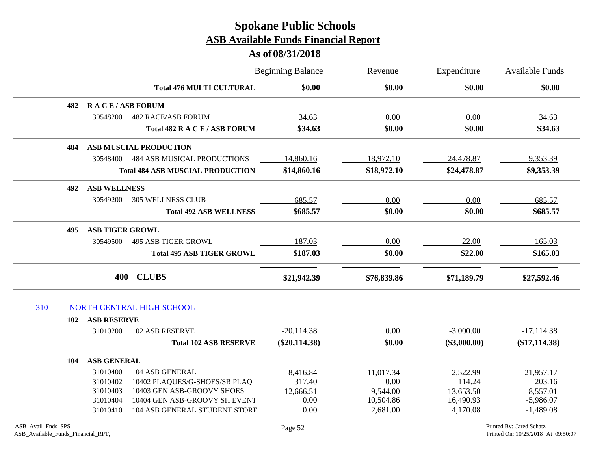|     |                               |                                         | <b>Beginning Balance</b> | Revenue<br>\$0.00<br>\$0.00 | Expenditure<br>\$0.00 | <b>Available Funds</b><br>\$0.00 |
|-----|-------------------------------|-----------------------------------------|--------------------------|-----------------------------|-----------------------|----------------------------------|
|     |                               | <b>Total 476 MULTI CULTURAL</b>         |                          |                             |                       |                                  |
|     | 482                           | <b>RACE/ASB FORUM</b>                   |                          |                             |                       |                                  |
|     | 30548200                      | <b>482 RACE/ASB FORUM</b>               | 34.63                    | 0.00                        | 0.00                  | 34.63                            |
|     |                               | Total 482 R A C E / ASB FORUM           | \$34.63                  | \$0.00                      | \$0.00                | \$34.63                          |
|     | 484                           | <b>ASB MUSCIAL PRODUCTION</b>           |                          |                             |                       |                                  |
|     | 30548400                      | <b>484 ASB MUSICAL PRODUCTIONS</b>      | 14,860.16                | 18,972.10                   | 24,478.87             | 9,353.39                         |
|     |                               | <b>Total 484 ASB MUSCIAL PRODUCTION</b> | \$14,860.16              | \$18,972.10                 | \$24,478.87           | \$9,353.39                       |
|     | <b>ASB WELLNESS</b><br>492    |                                         |                          |                             |                       |                                  |
|     | 30549200                      | <b>305 WELLNESS CLUB</b>                | 685.57                   | 0.00                        | 0.00                  | 685.57                           |
|     |                               | <b>Total 492 ASB WELLNESS</b>           | \$685.57                 | \$0.00                      | \$0.00                | \$685.57                         |
|     | <b>ASB TIGER GROWL</b><br>495 |                                         |                          |                             |                       |                                  |
|     | 30549500                      | <b>495 ASB TIGER GROWL</b>              | 187.03                   | 0.00                        | 22.00                 | 165.03                           |
|     |                               | <b>Total 495 ASB TIGER GROWL</b>        | \$187.03                 | \$0.00                      | \$22.00               | \$165.03                         |
|     | 400                           | <b>CLUBS</b>                            | \$21,942.39              | \$76,839.86                 | \$71,189.79           | \$27,592.46                      |
| 310 |                               | NORTH CENTRAL HIGH SCHOOL               |                          |                             |                       |                                  |
|     | <b>ASB RESERVE</b><br>102     |                                         |                          |                             |                       |                                  |
|     | 31010200                      | <b>102 ASB RESERVE</b>                  | $-20,114.38$             | 0.00                        | $-3,000.00$           | $-17,114.38$                     |
|     |                               | <b>Total 102 ASB RESERVE</b>            | $(\$20,114.38)$          | \$0.00                      | $(\$3,000.00)$        | $(\$17,114.38)$                  |
|     | <b>ASB GENERAL</b><br>104     |                                         |                          |                             |                       |                                  |
|     | 31010400                      | 104 ASB GENERAL                         | 8,416.84                 | 11,017.34                   | $-2,522.99$           | 21,957.17                        |
|     | 31010402                      | 10402 PLAQUES/G-SHOES/SR PLAQ           | 317.40                   | 0.00                        | 114.24                | 203.16                           |
|     | 31010403                      | 10403 GEN ASB-GROOVY SHOES              | 12,666.51                | 9,544.00                    | 13,653.50             | 8,557.01                         |
|     | 31010404                      | 10404 GEN ASB-GROOVY SH EVENT           | 0.00                     | 10,504.86                   | 16,490.93             | $-5,986.07$                      |
|     | 31010410                      | 104 ASB GENERAL STUDENT STORE           | 0.00                     | 2,681.00                    | 4,170.08              | $-1,489.08$                      |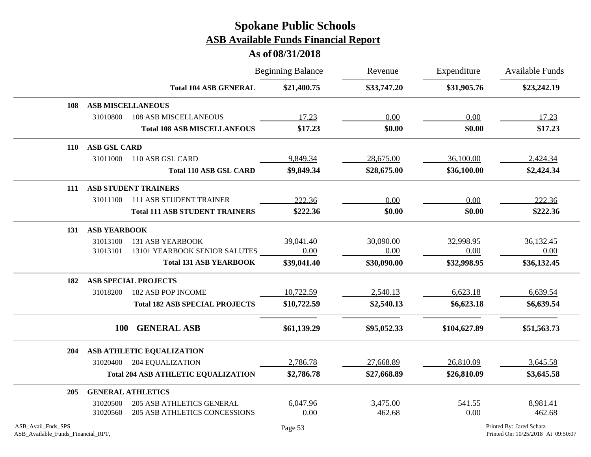|                                                          |                          |                                            | <b>Beginning Balance</b> | Revenue     | Expenditure  | <b>Available Funds</b>                                         |  |
|----------------------------------------------------------|--------------------------|--------------------------------------------|--------------------------|-------------|--------------|----------------------------------------------------------------|--|
|                                                          |                          | <b>Total 104 ASB GENERAL</b>               | \$21,400.75              | \$33,747.20 | \$31,905.76  | \$23,242.19                                                    |  |
| 108                                                      | <b>ASB MISCELLANEOUS</b> |                                            |                          |             |              |                                                                |  |
|                                                          | 31010800                 | 108 ASB MISCELLANEOUS                      | 17.23                    | 0.00        | 0.00         | 17.23                                                          |  |
|                                                          |                          | <b>Total 108 ASB MISCELLANEOUS</b>         | \$17.23                  | \$0.00      | \$0.00       | \$17.23                                                        |  |
| <b>110</b>                                               | <b>ASB GSL CARD</b>      |                                            |                          |             |              |                                                                |  |
|                                                          | 31011000                 | 110 ASB GSL CARD                           | 9,849.34                 | 28,675.00   | 36,100.00    | 2,424.34                                                       |  |
|                                                          |                          | <b>Total 110 ASB GSL CARD</b>              | \$9,849.34               | \$28,675.00 | \$36,100.00  | \$2,424.34                                                     |  |
| 111                                                      |                          | <b>ASB STUDENT TRAINERS</b>                |                          |             |              |                                                                |  |
|                                                          | 31011100                 | <b>111 ASB STUDENT TRAINER</b>             | 222.36                   | 0.00        | 0.00         | 222.36                                                         |  |
|                                                          |                          | <b>Total 111 ASB STUDENT TRAINERS</b>      | \$222.36                 | \$0.00      | \$0.00       | \$222.36                                                       |  |
| 131                                                      | <b>ASB YEARBOOK</b>      |                                            |                          |             |              |                                                                |  |
|                                                          | 31013100                 | <b>131 ASB YEARBOOK</b>                    | 39,041.40                | 30,090.00   | 32,998.95    | 36,132.45                                                      |  |
|                                                          | 31013101                 | 13101 YEARBOOK SENIOR SALUTES              | 0.00                     | 0.00        | 0.00         | 0.00                                                           |  |
|                                                          |                          | <b>Total 131 ASB YEARBOOK</b>              | \$39,041.40              | \$30,090.00 | \$32,998.95  | \$36,132.45                                                    |  |
| 182                                                      |                          | <b>ASB SPECIAL PROJECTS</b>                |                          |             |              |                                                                |  |
|                                                          | 31018200                 | <b>182 ASB POP INCOME</b>                  | 10,722.59                | 2,540.13    | 6,623.18     | 6,639.54                                                       |  |
|                                                          |                          | <b>Total 182 ASB SPECIAL PROJECTS</b>      | \$10,722.59              | \$2,540.13  | \$6,623.18   | \$6,639.54                                                     |  |
|                                                          | <b>100</b>               | <b>GENERAL ASB</b>                         | \$61,139.29              | \$95,052.33 | \$104,627.89 | \$51,563.73                                                    |  |
| 204                                                      |                          | ASB ATHLETIC EQUALIZATION                  |                          |             |              |                                                                |  |
|                                                          | 31020400                 | <b>204 EQUALIZATION</b>                    | 2,786.78                 | 27,668.89   | 26,810.09    | 3,645.58                                                       |  |
|                                                          |                          | <b>Total 204 ASB ATHLETIC EQUALIZATION</b> | \$2,786.78               | \$27,668.89 | \$26,810.09  | \$3,645.58                                                     |  |
| 205                                                      |                          | <b>GENERAL ATHLETICS</b>                   |                          |             |              |                                                                |  |
|                                                          | 31020500                 | <b>205 ASB ATHLETICS GENERAL</b>           | 6,047.96                 | 3,475.00    | 541.55       | 8,981.41                                                       |  |
|                                                          | 31020560                 | <b>205 ASB ATHLETICS CONCESSIONS</b>       | 0.00                     | 462.68      | 0.00         | 462.68                                                         |  |
| ASB_Avail_Fnds_SPS<br>ASB_Available_Funds_Financial_RPT, |                          |                                            | Page 53                  |             |              | Printed By: Jared Schatz<br>Printed On: 10/25/2018 At 09:50:07 |  |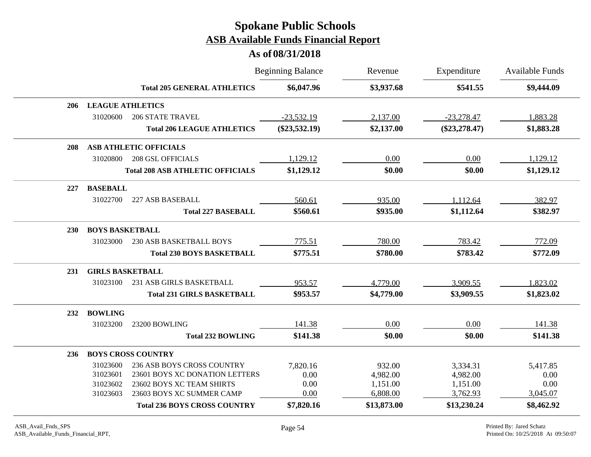|            |                         |                                         | <b>Beginning Balance</b> | Revenue     | Expenditure     | <b>Available Funds</b> |
|------------|-------------------------|-----------------------------------------|--------------------------|-------------|-----------------|------------------------|
|            |                         | <b>Total 205 GENERAL ATHLETICS</b>      | \$6,047.96               | \$3,937.68  | \$541.55        | \$9,444.09             |
| 206        | <b>LEAGUE ATHLETICS</b> |                                         |                          |             |                 |                        |
|            | 31020600                | <b>206 STATE TRAVEL</b>                 | $-23,532.19$             | 2,137.00    | $-23,278.47$    | 1,883.28               |
|            |                         | <b>Total 206 LEAGUE ATHLETICS</b>       | $(\$23,532.19)$          | \$2,137.00  | $(\$23,278.47)$ | \$1,883.28             |
| 208        |                         | <b>ASB ATHLETIC OFFICIALS</b>           |                          |             |                 |                        |
|            | 31020800                | <b>208 GSL OFFICIALS</b>                | 1,129.12                 | 0.00        | 0.00            | 1,129.12               |
|            |                         | <b>Total 208 ASB ATHLETIC OFFICIALS</b> | \$1,129.12               | \$0.00      | \$0.00          | \$1,129.12             |
| 227        | <b>BASEBALL</b>         |                                         |                          |             |                 |                        |
|            | 31022700                | 227 ASB BASEBALL                        | 560.61                   | 935.00      | 1,112.64        | 382.97                 |
|            |                         | <b>Total 227 BASEBALL</b>               | \$560.61                 | \$935.00    | \$1,112.64      | \$382.97               |
| <b>230</b> | <b>BOYS BASKETBALL</b>  |                                         |                          |             |                 |                        |
|            | 31023000                | 230 ASB BASKETBALL BOYS                 | 775.51                   | 780.00      | 783.42          | 772.09                 |
|            |                         | <b>Total 230 BOYS BASKETBALL</b>        | \$775.51                 | \$780.00    | \$783.42        | \$772.09               |
| 231        | <b>GIRLS BASKETBALL</b> |                                         |                          |             |                 |                        |
|            | 31023100                | 231 ASB GIRLS BASKETBALL                | 953.57                   | 4,779.00    | 3,909.55        | 1,823.02               |
|            |                         | <b>Total 231 GIRLS BASKETBALL</b>       | \$953.57                 | \$4,779.00  | \$3,909.55      | \$1,823.02             |
| 232        | <b>BOWLING</b>          |                                         |                          |             |                 |                        |
|            | 31023200                | 23200 BOWLING                           | 141.38                   | 0.00        | 0.00            | 141.38                 |
|            |                         | <b>Total 232 BOWLING</b>                | \$141.38                 | \$0.00      | \$0.00          | \$141.38               |
| 236        |                         | <b>BOYS CROSS COUNTRY</b>               |                          |             |                 |                        |
|            | 31023600                | 236 ASB BOYS CROSS COUNTRY              | 7,820.16                 | 932.00      | 3,334.31        | 5,417.85               |
|            | 31023601                | 23601 BOYS XC DONATION LETTERS          | 0.00                     | 4,982.00    | 4,982.00        | 0.00                   |
|            | 31023602                | 23602 BOYS XC TEAM SHIRTS               | 0.00                     | 1,151.00    | 1,151.00        | 0.00                   |
|            | 31023603                | 23603 BOYS XC SUMMER CAMP               | 0.00                     | 6,808.00    | 3,762.93        | 3,045.07               |
|            |                         | <b>Total 236 BOYS CROSS COUNTRY</b>     | \$7,820.16               | \$13,873.00 | \$13,230.24     | \$8,462.92             |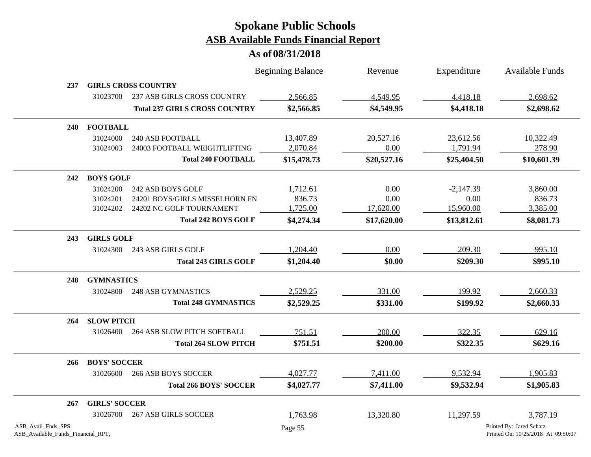|                                                          |                      |                                      | <b>Beginning Balance</b> | Revenue     | Expenditure | <b>Available Funds</b>                                         |
|----------------------------------------------------------|----------------------|--------------------------------------|--------------------------|-------------|-------------|----------------------------------------------------------------|
| 237                                                      |                      | <b>GIRLS CROSS COUNTRY</b>           |                          |             |             |                                                                |
|                                                          | 31023700             | <b>237 ASB GIRLS CROSS COUNTRY</b>   | 2,566.85                 | 4,549.95    | 4,418.18    | 2,698.62                                                       |
|                                                          |                      | <b>Total 237 GIRLS CROSS COUNTRY</b> | \$2,566.85               | \$4,549.95  | \$4,418.18  | \$2,698.62                                                     |
| <b>240</b>                                               | <b>FOOTBALL</b>      |                                      |                          |             |             |                                                                |
|                                                          | 31024000             | <b>240 ASB FOOTBALL</b>              | 13,407.89                | 20,527.16   | 23,612.56   | 10,322.49                                                      |
|                                                          | 31024003             | 24003 FOOTBALL WEIGHTLIFTING         | 2,070.84                 | 0.00        | 1,791.94    | 278.90                                                         |
|                                                          |                      | <b>Total 240 FOOTBALL</b>            | \$15,478.73              | \$20,527.16 | \$25,404.50 | \$10,601.39                                                    |
| 242                                                      | <b>BOYS GOLF</b>     |                                      |                          |             |             |                                                                |
|                                                          | 31024200             | 242 ASB BOYS GOLF                    | 1,712.61                 | 0.00        | $-2,147.39$ | 3,860.00                                                       |
|                                                          | 31024201             | 24201 BOYS/GIRLS MISSELHORN FN       | 836.73                   | 0.00        | 0.00        | 836.73                                                         |
|                                                          | 31024202             | 24202 NC GOLF TOURNAMENT             | 1,725.00                 | 17,620.00   | 15,960.00   | 3,385.00                                                       |
|                                                          |                      | <b>Total 242 BOYS GOLF</b>           | \$4,274.34               | \$17,620.00 | \$13,812.61 | \$8,081.73                                                     |
| 243                                                      | <b>GIRLS GOLF</b>    |                                      |                          |             |             |                                                                |
|                                                          | 31024300             | 243 ASB GIRLS GOLF                   | 1,204.40                 | 0.00        | 209.30      | 995.10                                                         |
|                                                          |                      | <b>Total 243 GIRLS GOLF</b>          | \$1,204.40               | \$0.00      | \$209.30    | \$995.10                                                       |
| 248                                                      | <b>GYMNASTICS</b>    |                                      |                          |             |             |                                                                |
|                                                          | 31024800             | <b>248 ASB GYMNASTICS</b>            | 2,529.25                 | 331.00      | 199.92      | 2,660.33                                                       |
|                                                          |                      | <b>Total 248 GYMNASTICS</b>          | \$2,529.25               | \$331.00    | \$199.92    | \$2,660.33                                                     |
| 264                                                      | <b>SLOW PITCH</b>    |                                      |                          |             |             |                                                                |
|                                                          | 31026400             | <b>264 ASB SLOW PITCH SOFTBALL</b>   | 751.51                   | 200.00      | 322.35      | 629.16                                                         |
|                                                          |                      | <b>Total 264 SLOW PITCH</b>          | \$751.51                 | \$200.00    | \$322.35    | \$629.16                                                       |
| 266                                                      | <b>BOYS' SOCCER</b>  |                                      |                          |             |             |                                                                |
|                                                          | 31026600             | <b>266 ASB BOYS SOCCER</b>           | 4,027.77                 | 7,411.00    | 9,532.94    | 1,905.83                                                       |
|                                                          |                      | <b>Total 266 BOYS' SOCCER</b>        | \$4,027.77               | \$7,411.00  | \$9,532.94  | \$1,905.83                                                     |
| 267                                                      | <b>GIRLS' SOCCER</b> |                                      |                          |             |             |                                                                |
|                                                          | 31026700             | <b>267 ASB GIRLS SOCCER</b>          | 1,763.98                 | 13,320.80   | 11,297.59   | 3,787.19                                                       |
| ASB_Avail_Fnds_SPS<br>ASB_Available_Funds_Financial_RPT, |                      |                                      | Page 55                  |             |             | Printed By: Jared Schatz<br>Printed On: 10/25/2018 At 09:50:07 |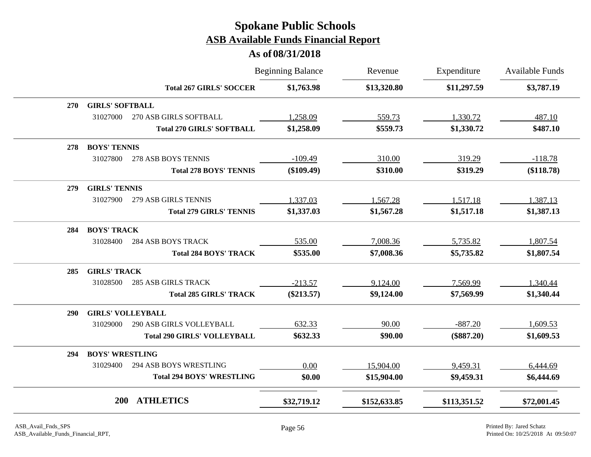|            |                          |                                    | <b>Beginning Balance</b> | Revenue      | Expenditure  | <b>Available Funds</b> |
|------------|--------------------------|------------------------------------|--------------------------|--------------|--------------|------------------------|
|            |                          | <b>Total 267 GIRLS' SOCCER</b>     | \$1,763.98               | \$13,320.80  | \$11,297.59  | \$3,787.19             |
| <b>270</b> | <b>GIRLS' SOFTBALL</b>   |                                    |                          |              |              |                        |
|            | 31027000                 | 270 ASB GIRLS SOFTBALL             | 1,258.09                 | 559.73       | 1,330.72     | 487.10                 |
|            |                          | <b>Total 270 GIRLS' SOFTBALL</b>   | \$1,258.09               | \$559.73     | \$1,330.72   | \$487.10               |
| 278        | <b>BOYS' TENNIS</b>      |                                    |                          |              |              |                        |
|            | 31027800                 | 278 ASB BOYS TENNIS                | $-109.49$                | 310.00       | 319.29       | $-118.78$              |
|            |                          | <b>Total 278 BOYS' TENNIS</b>      | $(\$109.49)$             | \$310.00     | \$319.29     | (\$118.78)             |
| 279        | <b>GIRLS' TENNIS</b>     |                                    |                          |              |              |                        |
|            | 31027900                 | 279 ASB GIRLS TENNIS               | 1,337.03                 | 1,567.28     | 1,517.18     | 1,387.13               |
|            |                          | <b>Total 279 GIRLS' TENNIS</b>     | \$1,337.03               | \$1,567.28   | \$1,517.18   | \$1,387.13             |
| 284        | <b>BOYS' TRACK</b>       |                                    |                          |              |              |                        |
|            | 31028400                 | <b>284 ASB BOYS TRACK</b>          | 535.00                   | 7,008.36     | 5,735.82     | 1,807.54               |
|            |                          | <b>Total 284 BOYS' TRACK</b>       | \$535.00                 | \$7,008.36   | \$5,735.82   | \$1,807.54             |
| 285        | <b>GIRLS' TRACK</b>      |                                    |                          |              |              |                        |
|            | 31028500                 | <b>285 ASB GIRLS TRACK</b>         | $-213.57$                | 9,124.00     | 7,569.99     | 1,340.44               |
|            |                          | <b>Total 285 GIRLS' TRACK</b>      | $(\$213.57)$             | \$9,124.00   | \$7,569.99   | \$1,340.44             |
| <b>290</b> | <b>GIRLS' VOLLEYBALL</b> |                                    |                          |              |              |                        |
|            | 31029000                 | <b>290 ASB GIRLS VOLLEYBALL</b>    | 632.33                   | 90.00        | $-887.20$    | 1,609.53               |
|            |                          | <b>Total 290 GIRLS' VOLLEYBALL</b> | \$632.33                 | \$90.00      | $(\$887.20)$ | \$1,609.53             |
| 294        | <b>BOYS' WRESTLING</b>   |                                    |                          |              |              |                        |
|            | 31029400                 | <b>294 ASB BOYS WRESTLING</b>      | 0.00                     | 15,904.00    | 9,459.31     | 6,444.69               |
|            |                          | <b>Total 294 BOYS' WRESTLING</b>   | \$0.00                   | \$15,904.00  | \$9,459.31   | \$6,444.69             |
|            | 200                      | <b>ATHLETICS</b>                   | \$32,719.12              | \$152,633.85 | \$113,351.52 | \$72,001.45            |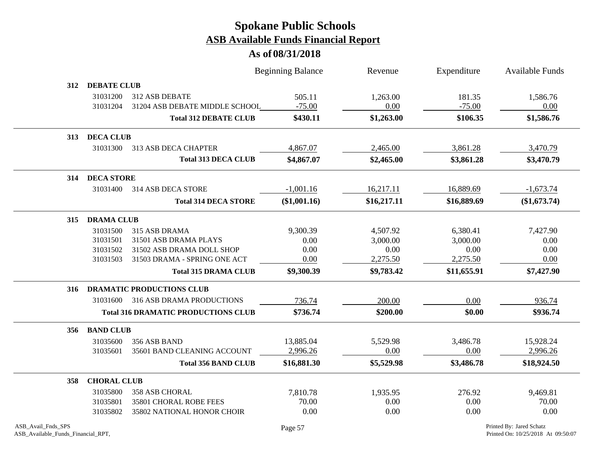|     |                               | <b>Beginning Balance</b>                   |              | Revenue     | Expenditure | <b>Available Funds</b> |
|-----|-------------------------------|--------------------------------------------|--------------|-------------|-------------|------------------------|
| 312 | <b>DEBATE CLUB</b>            |                                            |              |             |             |                        |
|     | 31031200                      | 312 ASB DEBATE                             | 505.11       | 1,263.00    | 181.35      | 1,586.76               |
|     | 31031204                      | 31204 ASB DEBATE MIDDLE SCHOOL             | $-75.00$     | 0.00        | $-75.00$    | 0.00                   |
|     |                               | <b>Total 312 DEBATE CLUB</b>               | \$430.11     | \$1,263.00  | \$106.35    | \$1,586.76             |
|     | 313 DECA CLUB                 |                                            |              |             |             |                        |
|     | 31031300                      | 313 ASB DECA CHAPTER                       | 4,867.07     | 2,465.00    | 3,861.28    | 3,470.79               |
|     |                               | <b>Total 313 DECA CLUB</b>                 | \$4,867.07   | \$2,465.00  | \$3,861.28  | \$3,470.79             |
|     | 314 DECA STORE                |                                            |              |             |             |                        |
|     | 31031400                      | 314 ASB DECA STORE                         | $-1,001.16$  | 16,217.11   | 16,889.69   | $-1,673.74$            |
|     |                               | <b>Total 314 DECA STORE</b>                | (\$1,001.16) | \$16,217.11 | \$16,889.69 | (\$1,673.74)           |
| 315 | <b>DRAMA CLUB</b>             |                                            |              |             |             |                        |
|     | 31031500                      | 315 ASB DRAMA                              | 9,300.39     | 4,507.92    | 6,380.41    | 7,427.90               |
|     | 31031501                      | 31501 ASB DRAMA PLAYS                      | 0.00         | 3,000.00    | 3,000.00    | 0.00                   |
|     | 31031502                      | 31502 ASB DRAMA DOLL SHOP                  | 0.00         | 0.00        | 0.00        | 0.00                   |
|     | 31031503                      | 31503 DRAMA - SPRING ONE ACT               | 0.00         | 2,275.50    | 2,275.50    | 0.00                   |
|     |                               | <b>Total 315 DRAMA CLUB</b>                | \$9,300.39   | \$9,783.42  | \$11,655.91 | \$7,427.90             |
|     | 316 DRAMATIC PRODUCTIONS CLUB |                                            |              |             |             |                        |
|     | 31031600                      | 316 ASB DRAMA PRODUCTIONS                  | 736.74       | 200.00      | 0.00        | 936.74                 |
|     |                               | <b>Total 316 DRAMATIC PRODUCTIONS CLUB</b> | \$736.74     | \$200.00    | \$0.00      | \$936.74               |
| 356 | <b>BAND CLUB</b>              |                                            |              |             |             |                        |
|     | 31035600                      | 356 ASB BAND                               | 13,885.04    | 5,529.98    | 3,486.78    | 15,928.24              |
|     | 31035601                      | 35601 BAND CLEANING ACCOUNT                | 2,996.26     | 0.00        | 0.00        | 2,996.26               |
|     |                               | <b>Total 356 BAND CLUB</b>                 | \$16,881.30  | \$5,529.98  | \$3,486.78  | \$18,924.50            |
| 358 | <b>CHORAL CLUB</b>            |                                            |              |             |             |                        |
|     | 31035800                      | <b>358 ASB CHORAL</b>                      | 7,810.78     | 1,935.95    | 276.92      | 9,469.81               |
|     | 31035801                      | 35801 CHORAL ROBE FEES                     | 70.00        | 0.00        | 0.00        | 70.00                  |
|     | 31035802                      | 35802 NATIONAL HONOR CHOIR                 | 0.00         | 0.00        | 0.00        | 0.00                   |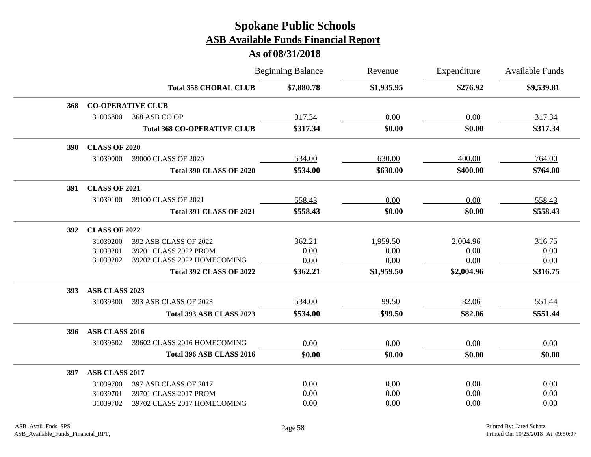|            |                      |                                    | <b>Beginning Balance</b> | Revenue    | Expenditure | <b>Available Funds</b> |
|------------|----------------------|------------------------------------|--------------------------|------------|-------------|------------------------|
|            |                      | <b>Total 358 CHORAL CLUB</b>       | \$7,880.78               | \$1,935.95 | \$276.92    | \$9,539.81             |
| 368        |                      | <b>CO-OPERATIVE CLUB</b>           |                          |            |             |                        |
|            | 31036800             | 368 ASB CO OP                      | 317.34                   | 0.00       | 0.00        | 317.34                 |
|            |                      | <b>Total 368 CO-OPERATIVE CLUB</b> | \$317.34                 | \$0.00     | \$0.00      | \$317.34               |
| <b>390</b> | <b>CLASS OF 2020</b> |                                    |                          |            |             |                        |
|            | 31039000             | 39000 CLASS OF 2020                | 534.00                   | 630.00     | 400.00      | 764.00                 |
|            |                      | Total 390 CLASS OF 2020            | \$534.00                 | \$630.00   | \$400.00    | \$764.00               |
| 391        | <b>CLASS OF 2021</b> |                                    |                          |            |             |                        |
|            | 31039100             | 39100 CLASS OF 2021                | 558.43                   | 0.00       | 0.00        | 558.43                 |
|            |                      | <b>Total 391 CLASS OF 2021</b>     | \$558.43                 | \$0.00     | \$0.00      | \$558.43               |
| 392        | <b>CLASS OF 2022</b> |                                    |                          |            |             |                        |
|            | 31039200             | 392 ASB CLASS OF 2022              | 362.21                   | 1,959.50   | 2,004.96    | 316.75                 |
|            | 31039201             | 39201 CLASS 2022 PROM              | 0.00                     | 0.00       | 0.00        | 0.00                   |
|            | 31039202             | 39202 CLASS 2022 HOMECOMING        | 0.00                     | 0.00       | 0.00        | 0.00                   |
|            |                      | <b>Total 392 CLASS OF 2022</b>     | \$362.21                 | \$1,959.50 | \$2,004.96  | \$316.75               |
| <b>393</b> | ASB CLASS 2023       |                                    |                          |            |             |                        |
|            | 31039300             | 393 ASB CLASS OF 2023              | 534.00                   | 99.50      | 82.06       | 551.44                 |
|            |                      | Total 393 ASB CLASS 2023           | \$534.00                 | \$99.50    | \$82.06     | \$551.44               |
| 396        | ASB CLASS 2016       |                                    |                          |            |             |                        |
|            | 31039602             | 39602 CLASS 2016 HOMECOMING        | 0.00                     | 0.00       | 0.00        | 0.00                   |
|            |                      | Total 396 ASB CLASS 2016           | \$0.00                   | \$0.00     | \$0.00      | \$0.00                 |
| 397        | ASB CLASS 2017       |                                    |                          |            |             |                        |
|            | 31039700             | 397 ASB CLASS OF 2017              | 0.00                     | 0.00       | 0.00        | 0.00                   |
|            | 31039701             | 39701 CLASS 2017 PROM              | 0.00                     | 0.00       | 0.00        | 0.00                   |
|            | 31039702             | 39702 CLASS 2017 HOMECOMING        | 0.00                     | 0.00       | 0.00        | 0.00                   |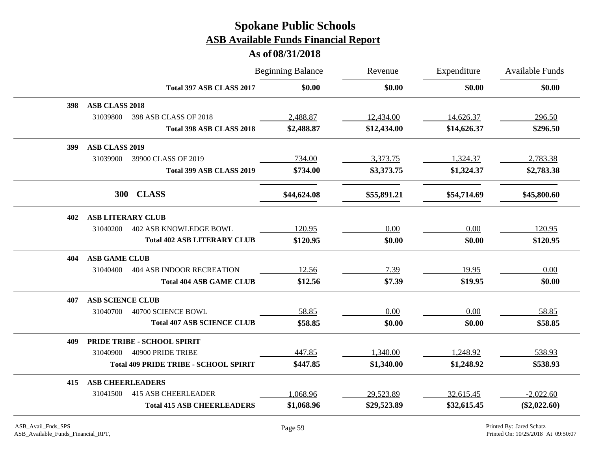|     |                         |                                              | <b>Beginning Balance</b> | Revenue<br>\$0.00 | Expenditure<br>\$0.00 | <b>Available Funds</b><br>\$0.00 |
|-----|-------------------------|----------------------------------------------|--------------------------|-------------------|-----------------------|----------------------------------|
|     |                         | Total 397 ASB CLASS 2017                     | \$0.00                   |                   |                       |                                  |
| 398 | <b>ASB CLASS 2018</b>   |                                              |                          |                   |                       |                                  |
|     | 31039800                | 398 ASB CLASS OF 2018                        | 2,488.87                 | 12,434.00         | 14,626.37             | 296.50                           |
|     |                         | Total 398 ASB CLASS 2018                     | \$2,488.87               | \$12,434.00       | \$14,626.37           | \$296.50                         |
| 399 | <b>ASB CLASS 2019</b>   |                                              |                          |                   |                       |                                  |
|     | 31039900                | 39900 CLASS OF 2019                          | 734.00                   | 3,373.75          | 1,324.37              | 2,783.38                         |
|     |                         | Total 399 ASB CLASS 2019                     | \$734.00                 | \$3,373.75        | \$1,324.37            | \$2,783.38                       |
|     | <b>300</b>              | <b>CLASS</b>                                 | \$44,624.08              | \$55,891.21       | \$54,714.69           | \$45,800.60                      |
| 402 |                         | <b>ASB LITERARY CLUB</b>                     |                          |                   |                       |                                  |
|     | 31040200                | <b>402 ASB KNOWLEDGE BOWL</b>                | 120.95                   | 0.00              | 0.00                  | 120.95                           |
|     |                         | <b>Total 402 ASB LITERARY CLUB</b>           | \$120.95                 | \$0.00            | \$0.00                | \$120.95                         |
| 404 | <b>ASB GAME CLUB</b>    |                                              |                          |                   |                       |                                  |
|     | 31040400                | <b>404 ASB INDOOR RECREATION</b>             | 12.56                    | 7.39              | 19.95                 | 0.00                             |
|     |                         | <b>Total 404 ASB GAME CLUB</b>               | \$12.56                  | \$7.39            | \$19.95               | \$0.00                           |
| 407 | <b>ASB SCIENCE CLUB</b> |                                              |                          |                   |                       |                                  |
|     | 31040700                | 40700 SCIENCE BOWL                           | 58.85                    | 0.00              | 0.00                  | 58.85                            |
|     |                         | <b>Total 407 ASB SCIENCE CLUB</b>            | \$58.85                  | \$0.00            | \$0.00                | \$58.85                          |
| 409 |                         | PRIDE TRIBE - SCHOOL SPIRIT                  |                          |                   |                       |                                  |
|     | 31040900                | 40900 PRIDE TRIBE                            | 447.85                   | 1,340.00          | 1,248.92              | 538.93                           |
|     |                         | <b>Total 409 PRIDE TRIBE - SCHOOL SPIRIT</b> | \$447.85                 | \$1,340.00        | \$1,248.92            | \$538.93                         |
| 415 |                         | <b>ASB CHEERLEADERS</b>                      |                          |                   |                       |                                  |
|     | 31041500                | <b>415 ASB CHEERLEADER</b>                   | 1,068.96                 | 29,523.89         | 32,615.45             | $-2,022.60$                      |
|     |                         | <b>Total 415 ASB CHEERLEADERS</b>            | \$1,068.96               | \$29,523.89       | \$32,615.45           | $(\$2,022.60)$                   |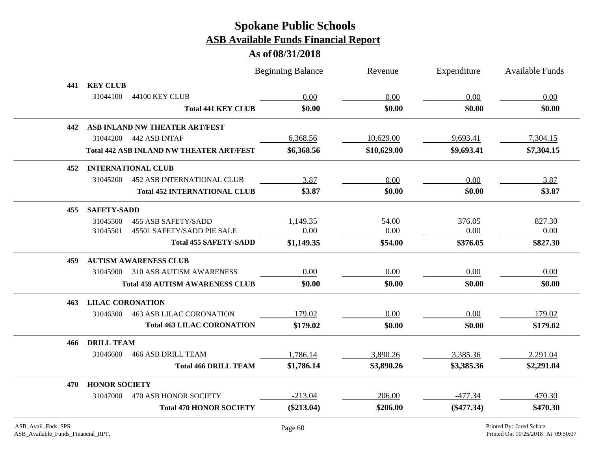|     |                                                 | <b>Beginning Balance</b> | Revenue     | Expenditure  | <b>Available Funds</b> |
|-----|-------------------------------------------------|--------------------------|-------------|--------------|------------------------|
| 441 | <b>KEY CLUB</b>                                 |                          |             |              |                        |
|     | 31044100<br>44100 KEY CLUB                      | 0.00                     | 0.00        | 0.00         | 0.00                   |
|     | <b>Total 441 KEY CLUB</b>                       | \$0.00                   | \$0.00      | \$0.00       | \$0.00                 |
| 442 | ASB INLAND NW THEATER ART/FEST                  |                          |             |              |                        |
|     | 31044200<br>442 ASB INTAF                       | 6,368.56                 | 10,629.00   | 9,693.41     | 7,304.15               |
|     | <b>Total 442 ASB INLAND NW THEATER ART/FEST</b> | \$6,368.56               | \$10,629.00 | \$9,693.41   | \$7,304.15             |
| 452 | <b>INTERNATIONAL CLUB</b>                       |                          |             |              |                        |
|     | 31045200<br><b>452 ASB INTERNATIONAL CLUB</b>   | 3.87                     | 0.00        | 0.00         | 3.87                   |
|     | <b>Total 452 INTERNATIONAL CLUB</b>             | \$3.87                   | \$0.00      | \$0.00       | \$3.87                 |
| 455 | <b>SAFETY-SADD</b>                              |                          |             |              |                        |
|     | <b>455 ASB SAFETY/SADD</b><br>31045500          | 1,149.35                 | 54.00       | 376.05       | 827.30                 |
|     | 45501 SAFETY/SADD PIE SALE<br>31045501          | 0.00                     | 0.00        | 0.00         | 0.00                   |
|     | <b>Total 455 SAFETY-SADD</b>                    | \$1,149.35               | \$54.00     | \$376.05     | \$827.30               |
| 459 | <b>AUTISM AWARENESS CLUB</b>                    |                          |             |              |                        |
|     | 31045900<br><b>310 ASB AUTISM AWARENESS</b>     | 0.00                     | 0.00        | 0.00         | 0.00                   |
|     | <b>Total 459 AUTISM AWARENESS CLUB</b>          | \$0.00                   | \$0.00      | \$0.00       | \$0.00                 |
| 463 | <b>LILAC CORONATION</b>                         |                          |             |              |                        |
|     | <b>463 ASB LILAC CORONATION</b><br>31046300     | 179.02                   | 0.00        | 0.00         | 179.02                 |
|     | <b>Total 463 LILAC CORONATION</b>               | \$179.02                 | \$0.00      | \$0.00       | \$179.02               |
| 466 | <b>DRILL TEAM</b>                               |                          |             |              |                        |
|     | <b>466 ASB DRILL TEAM</b><br>31046600           | 1,786.14                 | 3,890.26    | 3,385.36     | 2,291.04               |
|     | <b>Total 466 DRILL TEAM</b>                     | \$1,786.14               | \$3,890.26  | \$3,385.36   | \$2,291.04             |
| 470 | <b>HONOR SOCIETY</b>                            |                          |             |              |                        |
|     | 31047000<br>470 ASB HONOR SOCIETY               | $-213.04$                | 206.00      | $-477.34$    | 470.30                 |
|     | <b>Total 470 HONOR SOCIETY</b>                  | $(\$213.04)$             | \$206.00    | $(\$477.34)$ | \$470.30               |
|     |                                                 |                          |             |              |                        |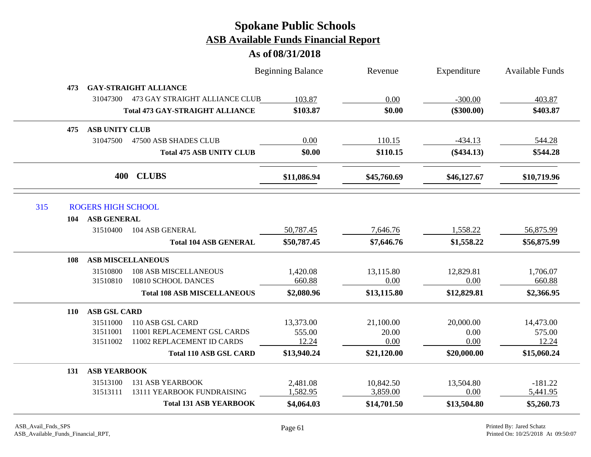|            |                           |                                         | <b>Beginning Balance</b> | Revenue     | Expenditure  | <b>Available Funds</b> |
|------------|---------------------------|-----------------------------------------|--------------------------|-------------|--------------|------------------------|
| 473        |                           | <b>GAY-STRAIGHT ALLIANCE</b>            |                          |             |              |                        |
|            |                           | 31047300 473 GAY STRAIGHT ALLIANCE CLUB | 103.87                   | 0.00        | $-300.00$    | 403.87                 |
|            |                           | <b>Total 473 GAY-STRAIGHT ALLIANCE</b>  | \$103.87                 | \$0.00      | $(\$300.00)$ | \$403.87               |
| 475        | <b>ASB UNITY CLUB</b>     |                                         |                          |             |              |                        |
|            | 31047500                  | 47500 ASB SHADES CLUB                   | 0.00                     | 110.15      | $-434.13$    | 544.28                 |
|            |                           | <b>Total 475 ASB UNITY CLUB</b>         | \$0.00                   | \$110.15    | $(\$434.13)$ | \$544.28               |
|            | 400                       | <b>CLUBS</b>                            | \$11,086.94              | \$45,760.69 | \$46,127.67  | \$10,719.96            |
| 315        | <b>ROGERS HIGH SCHOOL</b> |                                         |                          |             |              |                        |
| 104        | <b>ASB GENERAL</b>        |                                         |                          |             |              |                        |
|            | 31510400                  | 104 ASB GENERAL                         | 50,787.45                | 7,646.76    | 1,558.22     | 56,875.99              |
|            |                           | <b>Total 104 ASB GENERAL</b>            | \$50,787.45              | \$7,646.76  | \$1,558.22   | \$56,875.99            |
| 108        |                           | <b>ASB MISCELLANEOUS</b>                |                          |             |              |                        |
|            | 31510800                  | <b>108 ASB MISCELLANEOUS</b>            | 1,420.08                 | 13,115.80   | 12,829.81    | 1,706.07               |
|            | 31510810                  | 10810 SCHOOL DANCES                     | 660.88                   | 0.00        | 0.00         | 660.88                 |
|            |                           | <b>Total 108 ASB MISCELLANEOUS</b>      | \$2,080.96               | \$13,115.80 | \$12,829.81  | \$2,366.95             |
| <b>110</b> | <b>ASB GSL CARD</b>       |                                         |                          |             |              |                        |
|            | 31511000                  | 110 ASB GSL CARD                        | 13,373.00                | 21,100.00   | 20,000.00    | 14,473.00              |
|            | 31511001                  | 11001 REPLACEMENT GSL CARDS             | 555.00                   | 20.00       | 0.00         | 575.00                 |
|            | 31511002                  | 11002 REPLACEMENT ID CARDS              | 12.24                    | 0.00        | 0.00         | 12.24                  |
|            |                           | <b>Total 110 ASB GSL CARD</b>           | \$13,940.24              | \$21,120.00 | \$20,000.00  | \$15,060.24            |
| 131        | <b>ASB YEARBOOK</b>       |                                         |                          |             |              |                        |
|            | 31513100                  | <b>131 ASB YEARBOOK</b>                 | 2,481.08                 | 10,842.50   | 13,504.80    | $-181.22$              |
|            | 31513111                  | 13111 YEARBOOK FUNDRAISING              | 1,582.95                 | 3,859.00    | 0.00         | 5,441.95               |
|            |                           | <b>Total 131 ASB YEARBOOK</b>           | \$4,064.03               | \$14,701.50 | \$13,504.80  | \$5,260.73             |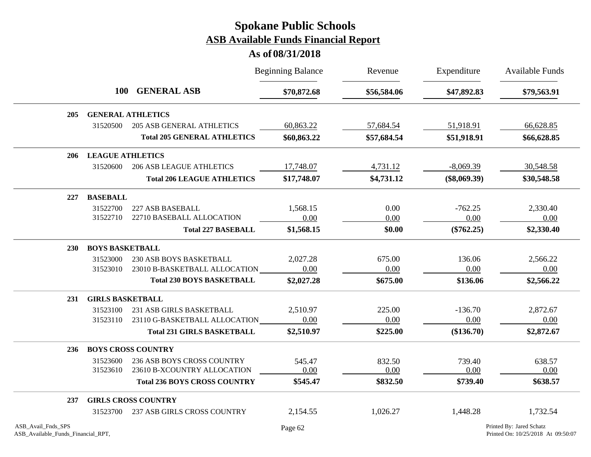|                    |                         |                                     | <b>Beginning Balance</b> | Revenue     | Expenditure    | <b>Available Funds</b>   |  |  |  |
|--------------------|-------------------------|-------------------------------------|--------------------------|-------------|----------------|--------------------------|--|--|--|
|                    | <b>100</b>              | <b>GENERAL ASB</b>                  | \$70,872.68              | \$56,584.06 | \$47,892.83    | \$79,563.91              |  |  |  |
| 205                |                         | <b>GENERAL ATHLETICS</b>            |                          |             |                |                          |  |  |  |
|                    | 31520500                | <b>205 ASB GENERAL ATHLETICS</b>    | 60,863.22                | 57,684.54   | 51,918.91      | 66,628.85                |  |  |  |
|                    |                         | <b>Total 205 GENERAL ATHLETICS</b>  | \$60,863.22              | \$57,684.54 | \$51,918.91    | \$66,628.85              |  |  |  |
| 206                | <b>LEAGUE ATHLETICS</b> |                                     |                          |             |                |                          |  |  |  |
|                    | 31520600                | <b>206 ASB LEAGUE ATHLETICS</b>     | 17,748.07                | 4,731.12    | $-8,069.39$    | 30,548.58                |  |  |  |
|                    |                         | <b>Total 206 LEAGUE ATHLETICS</b>   | \$17,748.07              | \$4,731.12  | $(\$8,069.39)$ | \$30,548.58              |  |  |  |
| 227                | <b>BASEBALL</b>         |                                     |                          |             |                |                          |  |  |  |
|                    | 31522700                | 227 ASB BASEBALL                    | 1,568.15                 | 0.00        | $-762.25$      | 2,330.40                 |  |  |  |
|                    | 31522710                | 22710 BASEBALL ALLOCATION           | 0.00                     | 0.00        | 0.00           | 0.00                     |  |  |  |
|                    |                         | <b>Total 227 BASEBALL</b>           | \$1,568.15               | \$0.00      | $(\$762.25)$   | \$2,330.40               |  |  |  |
| <b>230</b>         |                         | <b>BOYS BASKETBALL</b>              |                          |             |                |                          |  |  |  |
|                    | 31523000                | <b>230 ASB BOYS BASKETBALL</b>      | 2,027.28                 | 675.00      | 136.06         | 2,566.22                 |  |  |  |
|                    | 31523010                | 23010 B-BASKETBALL ALLOCATION       | 0.00                     | 0.00        | 0.00           | 0.00                     |  |  |  |
|                    |                         | <b>Total 230 BOYS BASKETBALL</b>    | \$2,027.28               | \$675.00    | \$136.06       | \$2,566.22               |  |  |  |
| 231                | <b>GIRLS BASKETBALL</b> |                                     |                          |             |                |                          |  |  |  |
|                    | 31523100                | 231 ASB GIRLS BASKETBALL            | 2,510.97                 | 225.00      | $-136.70$      | 2,872.67                 |  |  |  |
|                    | 31523110                | 23110 G-BASKETBALL ALLOCATION       | 0.00                     | 0.00        | 0.00           | 0.00                     |  |  |  |
|                    |                         | <b>Total 231 GIRLS BASKETBALL</b>   | \$2,510.97               | \$225.00    | $(\$136.70)$   | \$2,872.67               |  |  |  |
| 236                |                         | <b>BOYS CROSS COUNTRY</b>           |                          |             |                |                          |  |  |  |
|                    | 31523600                | 236 ASB BOYS CROSS COUNTRY          | 545.47                   | 832.50      | 739.40         | 638.57                   |  |  |  |
|                    | 31523610                | 23610 B-XCOUNTRY ALLOCATION         | 0.00                     | 0.00        | 0.00           | 0.00                     |  |  |  |
|                    |                         | <b>Total 236 BOYS CROSS COUNTRY</b> | \$545.47                 | \$832.50    | \$739.40       | \$638.57                 |  |  |  |
| 237                |                         | <b>GIRLS CROSS COUNTRY</b>          |                          |             |                |                          |  |  |  |
|                    | 31523700                | 237 ASB GIRLS CROSS COUNTRY         | 2,154.55                 | 1,026.27    | 1,448.28       | 1,732.54                 |  |  |  |
| ASB_Avail_Fnds_SPS |                         |                                     | Page 62                  |             |                | Printed By: Jared Schatz |  |  |  |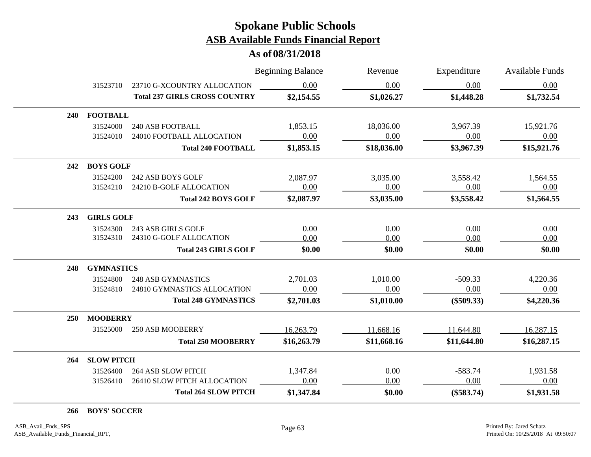**As of 08/31/2018**

|            |                   |                                      | <b>Beginning Balance</b> | Revenue     | Expenditure  | <b>Available Funds</b> |
|------------|-------------------|--------------------------------------|--------------------------|-------------|--------------|------------------------|
|            | 31523710          | 23710 G-XCOUNTRY ALLOCATION          | 0.00                     | 0.00        | 0.00         | 0.00                   |
|            |                   | <b>Total 237 GIRLS CROSS COUNTRY</b> | \$2,154.55               | \$1,026.27  | \$1,448.28   | \$1,732.54             |
| <b>240</b> | <b>FOOTBALL</b>   |                                      |                          |             |              |                        |
|            | 31524000          | <b>240 ASB FOOTBALL</b>              | 1,853.15                 | 18,036.00   | 3,967.39     | 15,921.76              |
|            | 31524010          | 24010 FOOTBALL ALLOCATION            | 0.00                     | 0.00        | 0.00         | 0.00                   |
|            |                   | <b>Total 240 FOOTBALL</b>            | \$1,853.15               | \$18,036.00 | \$3,967.39   | \$15,921.76            |
| 242        | <b>BOYS GOLF</b>  |                                      |                          |             |              |                        |
|            | 31524200          | 242 ASB BOYS GOLF                    | 2,087.97                 | 3,035.00    | 3,558.42     | 1,564.55               |
|            | 31524210          | 24210 B-GOLF ALLOCATION              | 0.00                     | 0.00        | 0.00         | 0.00                   |
|            |                   | <b>Total 242 BOYS GOLF</b>           | \$2,087.97               | \$3,035.00  | \$3,558.42   | \$1,564.55             |
| 243        | <b>GIRLS GOLF</b> |                                      |                          |             |              |                        |
|            | 31524300          | 243 ASB GIRLS GOLF                   | 0.00                     | 0.00        | 0.00         | 0.00                   |
|            | 31524310          | 24310 G-GOLF ALLOCATION              | 0.00                     | 0.00        | 0.00         | 0.00                   |
|            |                   | <b>Total 243 GIRLS GOLF</b>          | \$0.00                   | \$0.00      | \$0.00       | \$0.00                 |
| 248        | <b>GYMNASTICS</b> |                                      |                          |             |              |                        |
|            | 31524800          | <b>248 ASB GYMNASTICS</b>            | 2,701.03                 | 1,010.00    | $-509.33$    | 4,220.36               |
|            | 31524810          | 24810 GYMNASTICS ALLOCATION          | 0.00                     | 0.00        | 0.00         | 0.00                   |
|            |                   | <b>Total 248 GYMNASTICS</b>          | \$2,701.03               | \$1,010.00  | $(\$509.33)$ | \$4,220.36             |
| <b>250</b> | <b>MOOBERRY</b>   |                                      |                          |             |              |                        |
|            | 31525000          | <b>250 ASB MOOBERRY</b>              | 16,263.79                | 11,668.16   | 11,644.80    | 16,287.15              |
|            |                   | <b>Total 250 MOOBERRY</b>            | \$16,263.79              | \$11,668.16 | \$11,644.80  | \$16,287.15            |
| 264        | <b>SLOW PITCH</b> |                                      |                          |             |              |                        |
|            | 31526400          | <b>264 ASB SLOW PITCH</b>            | 1,347.84                 | 0.00        | $-583.74$    | 1,931.58               |
|            | 31526410          | 26410 SLOW PITCH ALLOCATION          | 0.00                     | 0.00        | 0.00         | 0.00                   |
|            |                   | <b>Total 264 SLOW PITCH</b>          | \$1,347.84               | \$0.00      | $(\$583.74)$ | \$1,931.58             |
|            |                   |                                      |                          |             |              |                        |

**266 BOYS' SOCCER**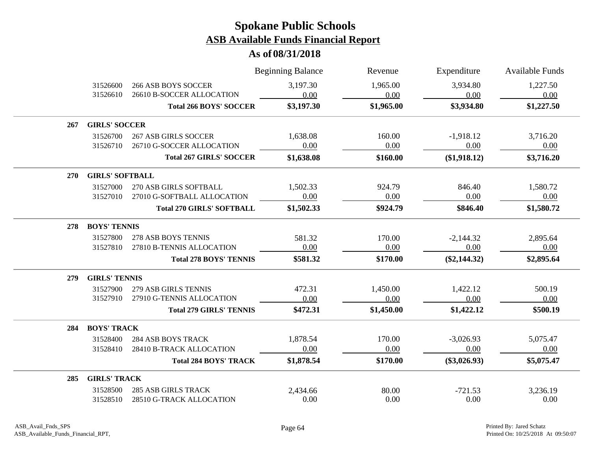|            |                        |                                  | <b>Beginning Balance</b> | Revenue    | Expenditure    | <b>Available Funds</b> |  |
|------------|------------------------|----------------------------------|--------------------------|------------|----------------|------------------------|--|
|            | 31526600               | <b>266 ASB BOYS SOCCER</b>       | 3,197.30                 | 1,965.00   | 3,934.80       | 1,227.50               |  |
|            | 31526610               | 26610 B-SOCCER ALLOCATION        | 0.00                     | 0.00       | 0.00           | 0.00                   |  |
|            |                        | <b>Total 266 BOYS' SOCCER</b>    | \$3,197.30               | \$1,965.00 | \$3,934.80     | \$1,227.50             |  |
| 267        | <b>GIRLS' SOCCER</b>   |                                  |                          |            |                |                        |  |
|            | 31526700               | <b>267 ASB GIRLS SOCCER</b>      | 1,638.08                 | 160.00     | $-1,918.12$    | 3,716.20               |  |
|            | 31526710               | 26710 G-SOCCER ALLOCATION        | 0.00                     | 0.00       | 0.00           | 0.00                   |  |
|            |                        | <b>Total 267 GIRLS' SOCCER</b>   | \$1,638.08               | \$160.00   | (\$1,918.12)   | \$3,716.20             |  |
| <b>270</b> | <b>GIRLS' SOFTBALL</b> |                                  |                          |            |                |                        |  |
|            | 31527000               | 270 ASB GIRLS SOFTBALL           | 1,502.33                 | 924.79     | 846.40         | 1,580.72               |  |
|            | 31527010               | 27010 G-SOFTBALL ALLOCATION      | 0.00                     | 0.00       | 0.00           | 0.00                   |  |
|            |                        | <b>Total 270 GIRLS' SOFTBALL</b> | \$1,502.33               | \$924.79   | \$846.40       | \$1,580.72             |  |
| 278        | <b>BOYS' TENNIS</b>    |                                  |                          |            |                |                        |  |
|            | 31527800               | 278 ASB BOYS TENNIS              | 581.32                   | 170.00     | $-2,144.32$    | 2,895.64               |  |
|            | 31527810               | 27810 B-TENNIS ALLOCATION        | 0.00                     | 0.00       | 0.00           | 0.00                   |  |
|            |                        | <b>Total 278 BOYS' TENNIS</b>    | \$581.32                 | \$170.00   | $(\$2,144.32)$ | \$2,895.64             |  |
| 279        | <b>GIRLS' TENNIS</b>   |                                  |                          |            |                |                        |  |
|            | 31527900               | <b>279 ASB GIRLS TENNIS</b>      | 472.31                   | 1,450.00   | 1,422.12       | 500.19                 |  |
|            | 31527910               | 27910 G-TENNIS ALLOCATION        | 0.00                     | 0.00       | 0.00           | 0.00                   |  |
|            |                        | <b>Total 279 GIRLS' TENNIS</b>   | \$472.31                 | \$1,450.00 | \$1,422.12     | \$500.19               |  |
| 284        | <b>BOYS' TRACK</b>     |                                  |                          |            |                |                        |  |
|            | 31528400               | <b>284 ASB BOYS TRACK</b>        | 1,878.54                 | 170.00     | $-3,026.93$    | 5,075.47               |  |
|            | 31528410               | 28410 B-TRACK ALLOCATION         | 0.00                     | 0.00       | 0.00           | 0.00                   |  |
|            |                        | <b>Total 284 BOYS' TRACK</b>     | \$1,878.54               | \$170.00   | $(\$3,026.93)$ | \$5,075.47             |  |
| 285        | <b>GIRLS' TRACK</b>    |                                  |                          |            |                |                        |  |
|            | 31528500               | <b>285 ASB GIRLS TRACK</b>       | 2,434.66                 | 80.00      | $-721.53$      | 3,236.19               |  |
|            | 31528510               | 28510 G-TRACK ALLOCATION         | 0.00                     | 0.00       | 0.00           | 0.00                   |  |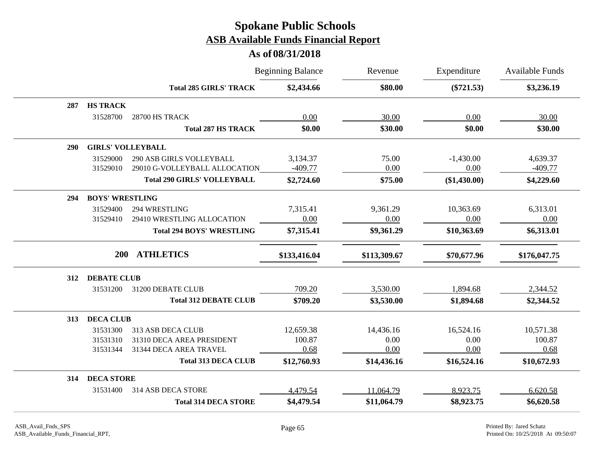|     |                          |                                    | <b>Beginning Balance</b> | Revenue      | Expenditure    | <b>Available Funds</b> |
|-----|--------------------------|------------------------------------|--------------------------|--------------|----------------|------------------------|
|     |                          | <b>Total 285 GIRLS' TRACK</b>      | \$2,434.66               | \$80.00      | $(\$721.53)$   | \$3,236.19             |
| 287 | <b>HS TRACK</b>          |                                    |                          |              |                |                        |
|     | 31528700                 | 28700 HS TRACK                     | 0.00                     | 30.00        | 0.00           | 30.00                  |
|     |                          | <b>Total 287 HS TRACK</b>          | \$0.00                   | \$30.00      | \$0.00         | \$30.00                |
| 290 | <b>GIRLS' VOLLEYBALL</b> |                                    |                          |              |                |                        |
|     | 31529000                 | <b>290 ASB GIRLS VOLLEYBALL</b>    | 3,134.37                 | 75.00        | $-1,430.00$    | 4,639.37               |
|     | 31529010                 | 29010 G-VOLLEYBALL ALLOCATION      | $-409.77$                | 0.00         | 0.00           | $-409.77$              |
|     |                          | <b>Total 290 GIRLS' VOLLEYBALL</b> | \$2,724.60               | \$75.00      | $(\$1,430.00)$ | \$4,229.60             |
| 294 | <b>BOYS' WRESTLING</b>   |                                    |                          |              |                |                        |
|     | 31529400                 | 294 WRESTLING                      | 7,315.41                 | 9,361.29     | 10,363.69      | 6,313.01               |
|     | 31529410                 | 29410 WRESTLING ALLOCATION         | 0.00                     | 0.00         | 0.00           | 0.00                   |
|     |                          | <b>Total 294 BOYS' WRESTLING</b>   | \$7,315.41               | \$9,361.29   | \$10,363.69    | \$6,313.01             |
|     | <b>200</b>               | <b>ATHLETICS</b>                   | \$133,416.04             | \$113,309.67 | \$70,677.96    | \$176,047.75           |
|     |                          |                                    |                          |              |                |                        |
| 312 | <b>DEBATE CLUB</b>       |                                    |                          |              |                |                        |
|     | 31531200                 | 31200 DEBATE CLUB                  | 709.20                   | 3,530.00     | 1,894.68       | 2,344.52               |
|     |                          | <b>Total 312 DEBATE CLUB</b>       | \$709.20                 | \$3,530.00   | \$1,894.68     | \$2,344.52             |
| 313 | <b>DECA CLUB</b>         |                                    |                          |              |                |                        |
|     | 31531300                 | 313 ASB DECA CLUB                  | 12,659.38                | 14,436.16    | 16,524.16      | 10,571.38              |
|     | 31531310                 | 31310 DECA AREA PRESIDENT          | 100.87                   | 0.00         | 0.00           | 100.87                 |
|     | 31531344                 | 31344 DECA AREA TRAVEL             | 0.68                     | 0.00         | 0.00           | 0.68                   |
|     |                          | <b>Total 313 DECA CLUB</b>         | \$12,760.93              | \$14,436.16  | \$16,524.16    | \$10,672.93            |
| 314 | <b>DECA STORE</b>        |                                    |                          |              |                |                        |
|     | 31531400                 | 314 ASB DECA STORE                 | 4,479.54                 | 11,064.79    | 8,923.75       | 6,620.58               |
|     |                          | <b>Total 314 DECA STORE</b>        | \$4,479.54               | \$11,064.79  | \$8,923.75     | \$6,620.58             |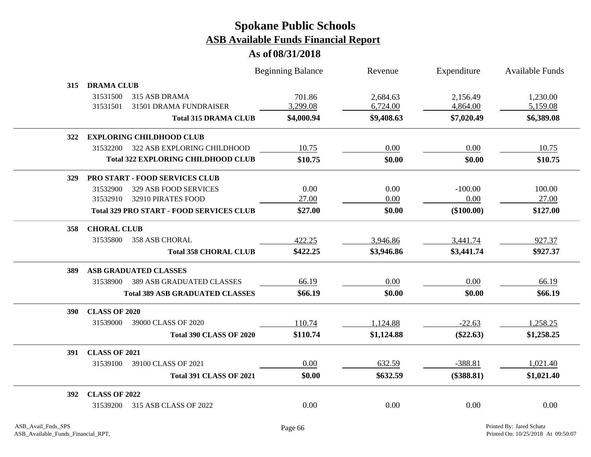|            |                      |                                                 | <b>Beginning Balance</b> | Revenue    | Expenditure  | Available Funds |
|------------|----------------------|-------------------------------------------------|--------------------------|------------|--------------|-----------------|
| 315        | <b>DRAMA CLUB</b>    |                                                 |                          |            |              |                 |
|            | 31531500             | 315 ASB DRAMA                                   | 701.86                   | 2,684.63   | 2,156.49     | 1,230.00        |
|            | 31531501             | 31501 DRAMA FUNDRAISER                          | 3,299.08                 | 6,724.00   | 4,864.00     | 5,159.08        |
|            |                      | <b>Total 315 DRAMA CLUB</b>                     | \$4,000.94               | \$9,408.63 | \$7,020.49   | \$6,389.08      |
| <b>322</b> |                      | <b>EXPLORING CHILDHOOD CLUB</b>                 |                          |            |              |                 |
|            | 31532200             | 322 ASB EXPLORING CHILDHOOD                     | 10.75                    | 0.00       | 0.00         | 10.75           |
|            |                      | <b>Total 322 EXPLORING CHILDHOOD CLUB</b>       | \$10.75                  | \$0.00     | \$0.00       | \$10.75         |
| 329        |                      | PRO START - FOOD SERVICES CLUB                  |                          |            |              |                 |
|            | 31532900             | 329 ASB FOOD SERVICES                           | 0.00                     | 0.00       | $-100.00$    | 100.00          |
|            | 31532910             | 32910 PIRATES FOOD                              | 27.00                    | 0.00       | 0.00         | 27.00           |
|            |                      | <b>Total 329 PRO START - FOOD SERVICES CLUB</b> | \$27.00                  | \$0.00     | $(\$100.00)$ | \$127.00        |
| 358        | <b>CHORAL CLUB</b>   |                                                 |                          |            |              |                 |
|            | 31535800             | <b>358 ASB CHORAL</b>                           | 422.25                   | 3,946.86   | 3,441.74     | 927.37          |
|            |                      | <b>Total 358 CHORAL CLUB</b>                    | \$422.25                 | \$3,946.86 | \$3,441.74   | \$927.37        |
| 389        |                      | <b>ASB GRADUATED CLASSES</b>                    |                          |            |              |                 |
|            | 31538900             | <b>389 ASB GRADUATED CLASSES</b>                | 66.19                    | 0.00       | 0.00         | 66.19           |
|            |                      | <b>Total 389 ASB GRADUATED CLASSES</b>          | \$66.19                  | \$0.00     | \$0.00       | \$66.19         |
| <b>390</b> | <b>CLASS OF 2020</b> |                                                 |                          |            |              |                 |
|            | 31539000             | 39000 CLASS OF 2020                             | 110.74                   | 1,124.88   | $-22.63$     | 1,258.25        |
|            |                      | <b>Total 390 CLASS OF 2020</b>                  | \$110.74                 | \$1,124.88 | $(\$22.63)$  | \$1,258.25      |
| <b>391</b> | <b>CLASS OF 2021</b> |                                                 |                          |            |              |                 |
|            | 31539100             | 39100 CLASS OF 2021                             | 0.00                     | 632.59     | $-388.81$    | 1,021.40        |
|            |                      | <b>Total 391 CLASS OF 2021</b>                  | \$0.00                   | \$632.59   | $(\$388.81)$ | \$1,021.40      |
| <b>392</b> | <b>CLASS OF 2022</b> |                                                 |                          |            |              |                 |
|            | 31539200             | 315 ASB CLASS OF 2022                           | 0.00                     | 0.00       | 0.00         | 0.00            |
|            |                      |                                                 |                          |            |              |                 |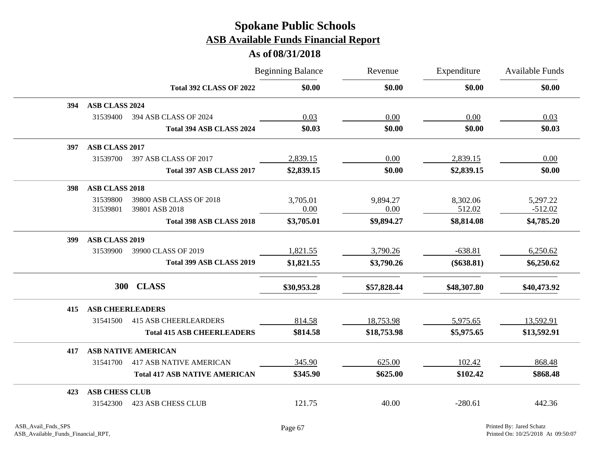|     |                            |                                      | <b>Beginning Balance</b> | Revenue     | Expenditure  | <b>Available Funds</b> |
|-----|----------------------------|--------------------------------------|--------------------------|-------------|--------------|------------------------|
|     |                            | <b>Total 392 CLASS OF 2022</b>       | \$0.00                   | \$0.00      | \$0.00       | \$0.00                 |
| 394 | ASB CLASS 2024             |                                      |                          |             |              |                        |
|     | 31539400                   | 394 ASB CLASS OF 2024                | 0.03                     | 0.00        | 0.00         | 0.03                   |
|     |                            | Total 394 ASB CLASS 2024             | \$0.03                   | \$0.00      | \$0.00       | \$0.03                 |
| 397 | ASB CLASS 2017             |                                      |                          |             |              |                        |
|     | 31539700                   | 397 ASB CLASS OF 2017                | 2,839.15                 | 0.00        | 2,839.15     | 0.00                   |
|     |                            | Total 397 ASB CLASS 2017             | \$2,839.15               | \$0.00      | \$2,839.15   | \$0.00                 |
| 398 | <b>ASB CLASS 2018</b>      |                                      |                          |             |              |                        |
|     | 31539800                   | 39800 ASB CLASS OF 2018              | 3,705.01                 | 9,894.27    | 8,302.06     | 5,297.22               |
|     | 31539801                   | 39801 ASB 2018                       | 0.00                     | 0.00        | 512.02       | $-512.02$              |
|     |                            | Total 398 ASB CLASS 2018             | \$3,705.01               | \$9,894.27  | \$8,814.08   | \$4,785.20             |
| 399 | ASB CLASS 2019             |                                      |                          |             |              |                        |
|     | 31539900                   | 39900 CLASS OF 2019                  | 1,821.55                 | 3,790.26    | $-638.81$    | 6,250.62               |
|     |                            | Total 399 ASB CLASS 2019             | \$1,821.55               | \$3,790.26  | $(\$638.81)$ | \$6,250.62             |
|     | 300 CLASS                  |                                      | \$30,953.28              | \$57,828.44 | \$48,307.80  | \$40,473.92            |
| 415 | <b>ASB CHEERLEADERS</b>    |                                      |                          |             |              |                        |
|     | 31541500                   | <b>415 ASB CHEERLEARDERS</b>         | 814.58                   | 18,753.98   | 5,975.65     | 13,592.91              |
|     |                            | <b>Total 415 ASB CHEERLEADERS</b>    | \$814.58                 | \$18,753.98 | \$5,975.65   | \$13,592.91            |
| 417 | <b>ASB NATIVE AMERICAN</b> |                                      |                          |             |              |                        |
|     | 31541700                   | <b>417 ASB NATIVE AMERICAN</b>       | 345.90                   | 625.00      | 102.42       | 868.48                 |
|     |                            | <b>Total 417 ASB NATIVE AMERICAN</b> | \$345.90                 | \$625.00    | \$102.42     | \$868.48               |
| 423 | <b>ASB CHESS CLUB</b>      |                                      |                          |             |              |                        |
|     | 31542300                   | <b>423 ASB CHESS CLUB</b>            | 121.75                   | 40.00       | $-280.61$    | 442.36                 |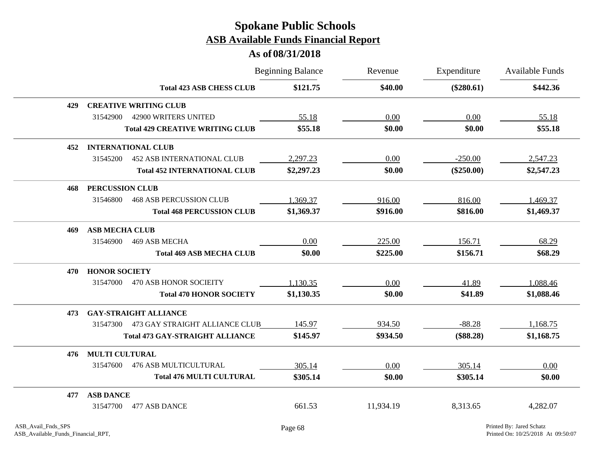|     |                                               |                                        | <b>Beginning Balance</b> | Revenue   | Expenditure  | <b>Available Funds</b> |
|-----|-----------------------------------------------|----------------------------------------|--------------------------|-----------|--------------|------------------------|
|     |                                               | <b>Total 423 ASB CHESS CLUB</b>        | \$121.75                 | \$40.00   | $(\$280.61)$ | \$442.36               |
| 429 | <b>CREATIVE WRITING CLUB</b>                  |                                        |                          |           |              |                        |
|     | 31542900<br>42900 WRITERS UNITED              |                                        | 55.18                    | 0.00      | 0.00         | 55.18                  |
|     |                                               | <b>Total 429 CREATIVE WRITING CLUB</b> | \$55.18                  | \$0.00    | \$0.00       | \$55.18                |
| 452 | <b>INTERNATIONAL CLUB</b>                     |                                        |                          |           |              |                        |
|     | 31545200<br><b>452 ASB INTERNATIONAL CLUB</b> |                                        | 2,297.23                 | 0.00      | $-250.00$    | 2,547.23               |
|     |                                               | <b>Total 452 INTERNATIONAL CLUB</b>    | \$2,297.23               | \$0.00    | $(\$250.00)$ | \$2,547.23             |
| 468 | <b>PERCUSSION CLUB</b>                        |                                        |                          |           |              |                        |
|     | 31546800<br><b>468 ASB PERCUSSION CLUB</b>    |                                        | 1,369.37                 | 916.00    | 816.00       | 1,469.37               |
|     |                                               | <b>Total 468 PERCUSSION CLUB</b>       | \$1,369.37               | \$916.00  | \$816.00     | \$1,469.37             |
| 469 | <b>ASB MECHA CLUB</b>                         |                                        |                          |           |              |                        |
|     | 31546900<br>469 ASB MECHA                     |                                        | 0.00                     | 225.00    | 156.71       | 68.29                  |
|     |                                               | <b>Total 469 ASB MECHA CLUB</b>        | \$0.00                   | \$225.00  | \$156.71     | \$68.29                |
| 470 | <b>HONOR SOCIETY</b>                          |                                        |                          |           |              |                        |
|     | <b>470 ASB HONOR SOCIEITY</b><br>31547000     |                                        | 1,130.35                 | 0.00      | 41.89        | 1,088.46               |
|     |                                               | <b>Total 470 HONOR SOCIETY</b>         | \$1,130.35               | \$0.00    | \$41.89      | \$1,088.46             |
| 473 | <b>GAY-STRAIGHT ALLIANCE</b>                  |                                        |                          |           |              |                        |
|     | 31547300                                      | 473 GAY STRAIGHT ALLIANCE CLUB         | 145.97                   | 934.50    | $-88.28$     | 1,168.75               |
|     |                                               | <b>Total 473 GAY-STRAIGHT ALLIANCE</b> | \$145.97                 | \$934.50  | $(\$88.28)$  | \$1,168.75             |
| 476 | <b>MULTI CULTURAL</b>                         |                                        |                          |           |              |                        |
|     | 31547600<br><b>476 ASB MULTICULTURAL</b>      |                                        | 305.14                   | 0.00      | 305.14       | 0.00                   |
|     |                                               | <b>Total 476 MULTI CULTURAL</b>        | \$305.14                 | \$0.00    | \$305.14     | \$0.00                 |
| 477 | <b>ASB DANCE</b>                              |                                        |                          |           |              |                        |
|     | 31547700<br>477 ASB DANCE                     |                                        | 661.53                   | 11,934.19 | 8,313.65     | 4,282.07               |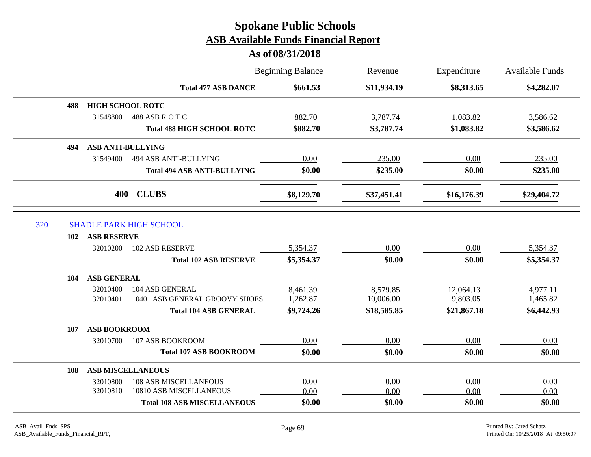|     |     |                          |                                    | <b>Beginning Balance</b> | Revenue     | Expenditure<br>\$8,313.65 | <b>Available Funds</b><br>\$4,282.07 |
|-----|-----|--------------------------|------------------------------------|--------------------------|-------------|---------------------------|--------------------------------------|
|     |     |                          | <b>Total 477 ASB DANCE</b>         | \$661.53                 | \$11,934.19 |                           |                                      |
|     | 488 | <b>HIGH SCHOOL ROTC</b>  |                                    |                          |             |                           |                                      |
|     |     | 31548800                 | 488 ASB ROTC                       | 882.70                   | 3,787.74    | 1,083.82                  | 3,586.62                             |
|     |     |                          | <b>Total 488 HIGH SCHOOL ROTC</b>  | \$882.70                 | \$3,787.74  | \$1,083.82                | \$3,586.62                           |
|     | 494 | <b>ASB ANTI-BULLYING</b> |                                    |                          |             |                           |                                      |
|     |     | 31549400                 | 494 ASB ANTI-BULLYING              | 0.00                     | 235.00      | 0.00                      | 235.00                               |
|     |     |                          | <b>Total 494 ASB ANTI-BULLYING</b> | \$0.00                   | \$235.00    | \$0.00                    | \$235.00                             |
|     |     | 400                      | <b>CLUBS</b>                       | \$8,129.70               | \$37,451.41 | \$16,176.39               | \$29,404.72                          |
| 320 |     |                          | <b>SHADLE PARK HIGH SCHOOL</b>     |                          |             |                           |                                      |
|     | 102 | <b>ASB RESERVE</b>       |                                    |                          |             |                           |                                      |
|     |     | 32010200                 | <b>102 ASB RESERVE</b>             | 5,354.37                 | 0.00        | 0.00                      | 5,354.37                             |
|     |     |                          | <b>Total 102 ASB RESERVE</b>       | \$5,354.37               | \$0.00      | \$0.00                    | \$5,354.37                           |
|     | 104 | <b>ASB GENERAL</b>       |                                    |                          |             |                           |                                      |
|     |     | 32010400                 | 104 ASB GENERAL                    | 8,461.39                 | 8,579.85    | 12,064.13                 | 4,977.11                             |
|     |     | 32010401                 | 10401 ASB GENERAL GROOVY SHOES     | 1,262.87                 | 10,006.00   | 9,803.05                  | 1,465.82                             |
|     |     |                          | <b>Total 104 ASB GENERAL</b>       | \$9,724.26               | \$18,585.85 | \$21,867.18               | \$6,442.93                           |
|     | 107 | <b>ASB BOOKROOM</b>      |                                    |                          |             |                           |                                      |
|     |     | 32010700                 | 107 ASB BOOKROOM                   | 0.00                     | 0.00        | 0.00                      | 0.00                                 |
|     |     |                          | <b>Total 107 ASB BOOKROOM</b>      | \$0.00                   | \$0.00      | \$0.00                    | \$0.00                               |
|     | 108 |                          | <b>ASB MISCELLANEOUS</b>           |                          |             |                           |                                      |
|     |     | 32010800                 | <b>108 ASB MISCELLANEOUS</b>       | 0.00                     | 0.00        | 0.00                      | 0.00                                 |
|     |     | 32010810                 | 10810 ASB MISCELLANEOUS            | 0.00                     | 0.00        | 0.00                      | 0.00                                 |
|     |     |                          | <b>Total 108 ASB MISCELLANEOUS</b> | \$0.00                   | \$0.00      | \$0.00                    | \$0.00                               |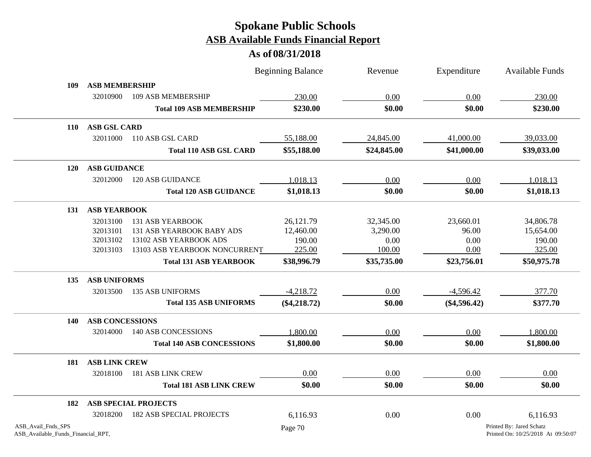|                                                          |                        |                                  | <b>Beginning Balance</b> | Revenue     | Expenditure    | <b>Available Funds</b>                                         |  |  |
|----------------------------------------------------------|------------------------|----------------------------------|--------------------------|-------------|----------------|----------------------------------------------------------------|--|--|
| 109                                                      | <b>ASB MEMBERSHIP</b>  |                                  |                          |             |                |                                                                |  |  |
|                                                          | 32010900               | 109 ASB MEMBERSHIP               | 230.00                   | 0.00        | 0.00           | 230.00                                                         |  |  |
|                                                          |                        | <b>Total 109 ASB MEMBERSHIP</b>  | \$230.00                 | \$0.00      | \$0.00         | \$230.00                                                       |  |  |
| <b>110</b>                                               | <b>ASB GSL CARD</b>    |                                  |                          |             |                |                                                                |  |  |
|                                                          | 32011000               | 110 ASB GSL CARD                 | 55,188.00                | 24,845.00   | 41,000.00      | 39,033.00                                                      |  |  |
|                                                          |                        | <b>Total 110 ASB GSL CARD</b>    | \$55,188.00              | \$24,845.00 | \$41,000.00    | \$39,033.00                                                    |  |  |
| 120                                                      | <b>ASB GUIDANCE</b>    |                                  |                          |             |                |                                                                |  |  |
|                                                          | 32012000               | 120 ASB GUIDANCE                 | 1,018.13                 | 0.00        | 0.00           | 1,018.13                                                       |  |  |
|                                                          |                        | <b>Total 120 ASB GUIDANCE</b>    | \$1,018.13               | \$0.00      | \$0.00         | \$1,018.13                                                     |  |  |
| 131                                                      | <b>ASB YEARBOOK</b>    |                                  |                          |             |                |                                                                |  |  |
|                                                          | 32013100               | <b>131 ASB YEARBOOK</b>          | 26,121.79                | 32,345.00   | 23,660.01      | 34,806.78                                                      |  |  |
|                                                          | 32013101               | 131 ASB YEARBOOK BABY ADS        | 12,460.00                | 3,290.00    | 96.00          | 15,654.00                                                      |  |  |
|                                                          | 32013102               | 13102 ASB YEARBOOK ADS           | 190.00                   | 0.00        | 0.00           | 190.00                                                         |  |  |
|                                                          | 32013103               | 13103 ASB YEARBOOK NONCURRENT    | 225.00                   | 100.00      | 0.00           | 325.00                                                         |  |  |
|                                                          |                        | <b>Total 131 ASB YEARBOOK</b>    | \$38,996.79              | \$35,735.00 | \$23,756.01    | \$50,975.78                                                    |  |  |
| 135                                                      | <b>ASB UNIFORMS</b>    |                                  |                          |             |                |                                                                |  |  |
|                                                          | 32013500               | <b>135 ASB UNIFORMS</b>          | $-4,218.72$              | 0.00        | $-4,596.42$    | 377.70                                                         |  |  |
|                                                          |                        | <b>Total 135 ASB UNIFORMS</b>    | $(\$4,218.72)$           | \$0.00      | $(\$4,596.42)$ | \$377.70                                                       |  |  |
| 140                                                      | <b>ASB CONCESSIONS</b> |                                  |                          |             |                |                                                                |  |  |
|                                                          | 32014000               | <b>140 ASB CONCESSIONS</b>       | 1,800.00                 | 0.00        | 0.00           | 1,800.00                                                       |  |  |
|                                                          |                        | <b>Total 140 ASB CONCESSIONS</b> | \$1,800.00               | \$0.00      | \$0.00         | \$1,800.00                                                     |  |  |
| 181                                                      | <b>ASB LINK CREW</b>   |                                  |                          |             |                |                                                                |  |  |
|                                                          | 32018100               | 181 ASB LINK CREW                | 0.00                     | 0.00        | 0.00           | 0.00                                                           |  |  |
|                                                          |                        | <b>Total 181 ASB LINK CREW</b>   | \$0.00                   | \$0.00      | \$0.00         | \$0.00                                                         |  |  |
| 182                                                      |                        | <b>ASB SPECIAL PROJECTS</b>      |                          |             |                |                                                                |  |  |
|                                                          | 32018200               | <b>182 ASB SPECIAL PROJECTS</b>  | 6,116.93                 | 0.00        | 0.00           | 6,116.93                                                       |  |  |
| ASB_Avail_Fnds_SPS<br>ASB_Available_Funds_Financial_RPT, |                        |                                  | Page 70                  |             |                | Printed By: Jared Schatz<br>Printed On: 10/25/2018 At 09:50:07 |  |  |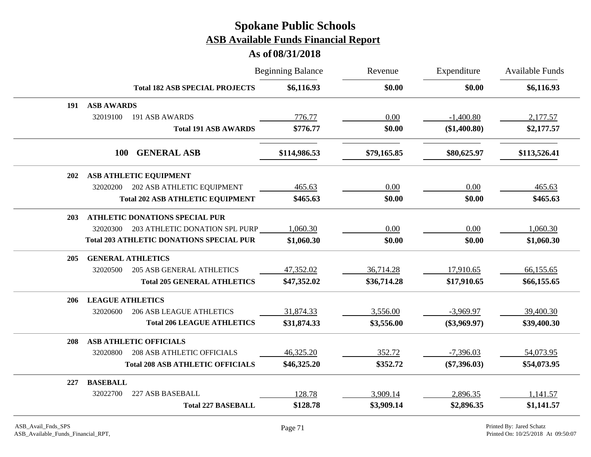|     |                          |                                                 | <b>Beginning Balance</b> | Revenue     | Expenditure    | Available Funds |
|-----|--------------------------|-------------------------------------------------|--------------------------|-------------|----------------|-----------------|
|     |                          | <b>Total 182 ASB SPECIAL PROJECTS</b>           | \$6,116.93               | \$0.00      | \$0.00         | \$6,116.93      |
| 191 | <b>ASB AWARDS</b>        |                                                 |                          |             |                |                 |
|     | 32019100                 | 191 ASB AWARDS                                  | 776.77                   | 0.00        | $-1,400.80$    | 2,177.57        |
|     |                          | <b>Total 191 ASB AWARDS</b>                     | \$776.77                 | \$0.00      | (\$1,400.80)   | \$2,177.57      |
|     | <b>100</b>               | <b>GENERAL ASB</b>                              | \$114,986.53             | \$79,165.85 | \$80,625.97    | \$113,526.41    |
| 202 |                          | ASB ATHLETIC EQUIPMENT                          |                          |             |                |                 |
|     | 32020200                 | 202 ASB ATHLETIC EQUIPMENT                      | 465.63                   | 0.00        | 0.00           | 465.63          |
|     |                          | <b>Total 202 ASB ATHLETIC EQUIPMENT</b>         | \$465.63                 | \$0.00      | \$0.00         | \$465.63        |
| 203 |                          | <b>ATHLETIC DONATIONS SPECIAL PUR</b>           |                          |             |                |                 |
|     | 32020300                 | 203 ATHLETIC DONATION SPL PURP                  | 1,060.30                 | 0.00        | 0.00           | 1,060.30        |
|     |                          | <b>Total 203 ATHLETIC DONATIONS SPECIAL PUR</b> | \$1,060.30               | \$0.00      | \$0.00         | \$1,060.30      |
| 205 | <b>GENERAL ATHLETICS</b> |                                                 |                          |             |                |                 |
|     | 32020500                 | <b>205 ASB GENERAL ATHLETICS</b>                | 47,352.02                | 36,714.28   | 17,910.65      | 66,155.65       |
|     |                          | <b>Total 205 GENERAL ATHLETICS</b>              | \$47,352.02              | \$36,714.28 | \$17,910.65    | \$66,155.65     |
| 206 | <b>LEAGUE ATHLETICS</b>  |                                                 |                          |             |                |                 |
|     | 32020600                 | <b>206 ASB LEAGUE ATHLETICS</b>                 | 31,874.33                | 3,556.00    | $-3,969.97$    | 39,400.30       |
|     |                          | <b>Total 206 LEAGUE ATHLETICS</b>               | \$31,874.33              | \$3,556.00  | $(\$3,969.97)$ | \$39,400.30     |
| 208 |                          | <b>ASB ATHLETIC OFFICIALS</b>                   |                          |             |                |                 |
|     | 32020800                 | <b>208 ASB ATHLETIC OFFICIALS</b>               | 46,325.20                | 352.72      | $-7,396.03$    | 54,073.95       |
|     |                          | <b>Total 208 ASB ATHLETIC OFFICIALS</b>         | \$46,325.20              | \$352.72    | $(\$7,396.03)$ | \$54,073.95     |
| 227 | <b>BASEBALL</b>          |                                                 |                          |             |                |                 |
|     | 32022700                 | 227 ASB BASEBALL                                | 128.78                   | 3,909.14    | 2,896.35       | 1,141.57        |
|     |                          | <b>Total 227 BASEBALL</b>                       | \$128.78                 | \$3,909.14  | \$2,896.35     | \$1,141.57      |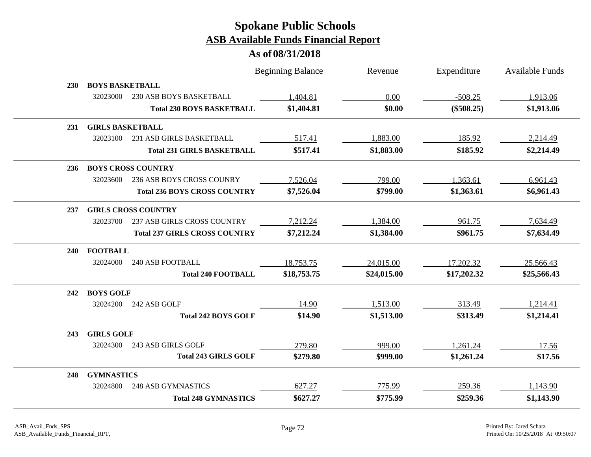|            |                           |                                      | <b>Beginning Balance</b> | Revenue     | Expenditure  | Available Funds |
|------------|---------------------------|--------------------------------------|--------------------------|-------------|--------------|-----------------|
| <b>230</b> | <b>BOYS BASKETBALL</b>    |                                      |                          |             |              |                 |
|            | 32023000                  | 230 ASB BOYS BASKETBALL              | 1,404.81                 | 0.00        | $-508.25$    | 1,913.06        |
|            |                           | <b>Total 230 BOYS BASKETBALL</b>     | \$1,404.81               | \$0.00      | $(\$508.25)$ | \$1,913.06      |
| 231        | <b>GIRLS BASKETBALL</b>   |                                      |                          |             |              |                 |
|            | 32023100                  | 231 ASB GIRLS BASKETBALL             | 517.41                   | 1,883.00    | 185.92       | 2,214.49        |
|            |                           | <b>Total 231 GIRLS BASKETBALL</b>    | \$517.41                 | \$1,883.00  | \$185.92     | \$2,214.49      |
| 236        | <b>BOYS CROSS COUNTRY</b> |                                      |                          |             |              |                 |
|            | 32023600                  | 236 ASB BOYS CROSS COUNRY            | 7,526.04                 | 799.00      | 1,363.61     | 6,961.43        |
|            |                           | <b>Total 236 BOYS CROSS COUNTRY</b>  | \$7,526.04               | \$799.00    | \$1,363.61   | \$6,961.43      |
| 237        |                           | <b>GIRLS CROSS COUNTRY</b>           |                          |             |              |                 |
|            | 32023700                  | <b>237 ASB GIRLS CROSS COUNTRY</b>   | 7,212.24                 | 1,384.00    | 961.75       | 7,634.49        |
|            |                           | <b>Total 237 GIRLS CROSS COUNTRY</b> | \$7,212.24               | \$1,384.00  | \$961.75     | \$7,634.49      |
| 240        | <b>FOOTBALL</b>           |                                      |                          |             |              |                 |
|            | 32024000                  | <b>240 ASB FOOTBALL</b>              | 18,753.75                | 24,015.00   | 17,202.32    | 25,566.43       |
|            |                           | <b>Total 240 FOOTBALL</b>            | \$18,753.75              | \$24,015.00 | \$17,202.32  | \$25,566.43     |
| 242        | <b>BOYS GOLF</b>          |                                      |                          |             |              |                 |
|            | 32024200                  | 242 ASB GOLF                         | 14.90                    | 1,513.00    | 313.49       | 1,214.41        |
|            |                           | <b>Total 242 BOYS GOLF</b>           | \$14.90                  | \$1,513.00  | \$313.49     | \$1,214.41      |
| 243        | <b>GIRLS GOLF</b>         |                                      |                          |             |              |                 |
|            | 32024300                  | 243 ASB GIRLS GOLF                   | 279.80                   | 999.00      | 1,261.24     | 17.56           |
|            |                           | <b>Total 243 GIRLS GOLF</b>          | \$279.80                 | \$999.00    | \$1,261.24   | \$17.56         |
| 248        | <b>GYMNASTICS</b>         |                                      |                          |             |              |                 |
|            | 32024800                  | <b>248 ASB GYMNASTICS</b>            | 627.27                   | 775.99      | 259.36       | 1,143.90        |
|            |                           | <b>Total 248 GYMNASTICS</b>          | \$627.27                 | \$775.99    | \$259.36     | \$1,143.90      |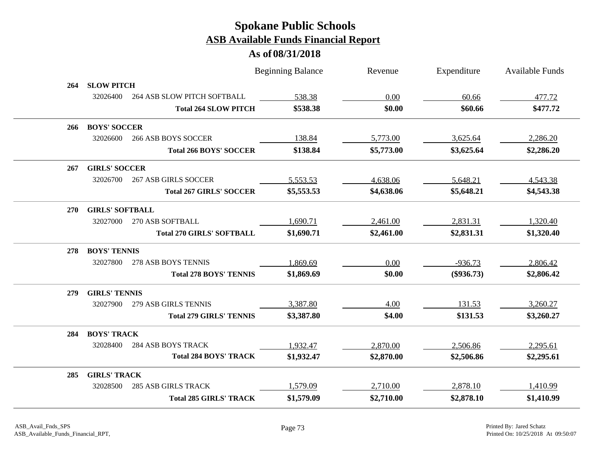|            |                        |                                  | <b>Beginning Balance</b> | Revenue    | Expenditure  | Available Funds |
|------------|------------------------|----------------------------------|--------------------------|------------|--------------|-----------------|
| 264        | <b>SLOW PITCH</b>      |                                  |                          |            |              |                 |
|            | 32026400               | 264 ASB SLOW PITCH SOFTBALL      | 538.38                   | 0.00       | 60.66        | 477.72          |
|            |                        | <b>Total 264 SLOW PITCH</b>      | \$538.38                 | \$0.00     | \$60.66      | \$477.72        |
| 266        | <b>BOYS' SOCCER</b>    |                                  |                          |            |              |                 |
|            | 32026600               | <b>266 ASB BOYS SOCCER</b>       | 138.84                   | 5,773.00   | 3,625.64     | 2,286.20        |
|            |                        | <b>Total 266 BOYS' SOCCER</b>    | \$138.84                 | \$5,773.00 | \$3,625.64   | \$2,286.20      |
| 267        | <b>GIRLS' SOCCER</b>   |                                  |                          |            |              |                 |
|            | 32026700               | <b>267 ASB GIRLS SOCCER</b>      | 5,553.53                 | 4,638.06   | 5,648.21     | 4,543.38        |
|            |                        | <b>Total 267 GIRLS' SOCCER</b>   | \$5,553.53               | \$4,638.06 | \$5,648.21   | \$4,543.38      |
| <b>270</b> | <b>GIRLS' SOFTBALL</b> |                                  |                          |            |              |                 |
|            | 32027000               | 270 ASB SOFTBALL                 | 1,690.71                 | 2,461.00   | 2,831.31     | 1,320.40        |
|            |                        | <b>Total 270 GIRLS' SOFTBALL</b> | \$1,690.71               | \$2,461.00 | \$2,831.31   | \$1,320.40      |
| 278        | <b>BOYS' TENNIS</b>    |                                  |                          |            |              |                 |
|            | 32027800               | 278 ASB BOYS TENNIS              | 1,869.69                 | 0.00       | $-936.73$    | 2,806.42        |
|            |                        | <b>Total 278 BOYS' TENNIS</b>    | \$1,869.69               | \$0.00     | $(\$936.73)$ | \$2,806.42      |
| 279        | <b>GIRLS' TENNIS</b>   |                                  |                          |            |              |                 |
|            | 32027900               | 279 ASB GIRLS TENNIS             | 3,387.80                 | 4.00       | 131.53       | 3,260.27        |
|            |                        | <b>Total 279 GIRLS' TENNIS</b>   | \$3,387.80               | \$4.00     | \$131.53     | \$3,260.27      |
| 284        | <b>BOYS' TRACK</b>     |                                  |                          |            |              |                 |
|            | 32028400               | <b>284 ASB BOYS TRACK</b>        | 1,932.47                 | 2,870.00   | 2,506.86     | 2,295.61        |
|            |                        | <b>Total 284 BOYS' TRACK</b>     | \$1,932.47               | \$2,870.00 | \$2,506.86   | \$2,295.61      |
| 285        | <b>GIRLS' TRACK</b>    |                                  |                          |            |              |                 |
|            | 32028500               | <b>285 ASB GIRLS TRACK</b>       | 1,579.09                 | 2,710.00   | 2,878.10     | 1,410.99        |
|            |                        | <b>Total 285 GIRLS' TRACK</b>    | \$1,579.09               | \$2,710.00 | \$2,878.10   | \$1,410.99      |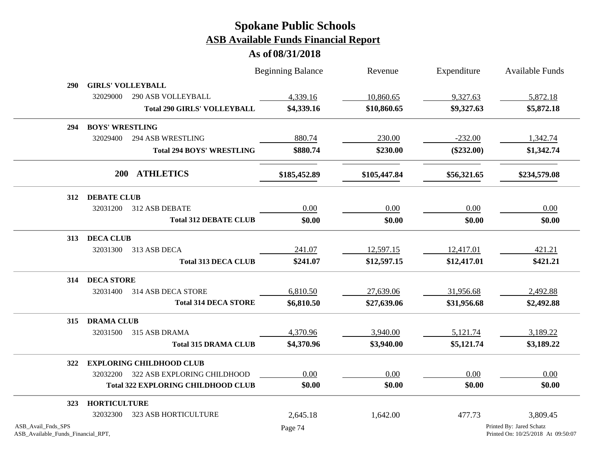|                                                          |                          |                                           | <b>Beginning Balance</b> | Revenue      | Expenditure  | <b>Available Funds</b>                                         |
|----------------------------------------------------------|--------------------------|-------------------------------------------|--------------------------|--------------|--------------|----------------------------------------------------------------|
| <b>290</b>                                               | <b>GIRLS' VOLLEYBALL</b> |                                           |                          |              |              |                                                                |
|                                                          | 32029000                 | <b>290 ASB VOLLEYBALL</b>                 | 4,339.16                 | 10,860.65    | 9,327.63     | 5,872.18                                                       |
|                                                          |                          | <b>Total 290 GIRLS' VOLLEYBALL</b>        | \$4,339.16               | \$10,860.65  | \$9,327.63   | \$5,872.18                                                     |
| 294                                                      | <b>BOYS' WRESTLING</b>   |                                           |                          |              |              |                                                                |
|                                                          | 32029400                 | <b>294 ASB WRESTLING</b>                  | 880.74                   | 230.00       | $-232.00$    | 1,342.74                                                       |
|                                                          |                          | <b>Total 294 BOYS' WRESTLING</b>          | \$880.74                 | \$230.00     | $(\$232.00)$ | \$1,342.74                                                     |
|                                                          |                          | 200 ATHLETICS                             | \$185,452.89             | \$105,447.84 | \$56,321.65  | \$234,579.08                                                   |
| 312                                                      | <b>DEBATE CLUB</b>       |                                           |                          |              |              |                                                                |
|                                                          | 32031200                 | 312 ASB DEBATE                            | 0.00                     | 0.00         | 0.00         | 0.00                                                           |
|                                                          |                          | <b>Total 312 DEBATE CLUB</b>              | \$0.00                   | \$0.00       | \$0.00       | \$0.00                                                         |
| 313                                                      | <b>DECA CLUB</b>         |                                           |                          |              |              |                                                                |
|                                                          | 32031300                 | 313 ASB DECA                              | 241.07                   | 12,597.15    | 12,417.01    | 421.21                                                         |
|                                                          |                          | <b>Total 313 DECA CLUB</b>                | \$241.07                 | \$12,597.15  | \$12,417.01  | \$421.21                                                       |
| 314                                                      | <b>DECA STORE</b>        |                                           |                          |              |              |                                                                |
|                                                          | 32031400                 | 314 ASB DECA STORE                        | 6,810.50                 | 27,639.06    | 31,956.68    | 2,492.88                                                       |
|                                                          |                          | <b>Total 314 DECA STORE</b>               | \$6,810.50               | \$27,639.06  | \$31,956.68  | \$2,492.88                                                     |
| 315                                                      | <b>DRAMA CLUB</b>        |                                           |                          |              |              |                                                                |
|                                                          | 32031500                 | 315 ASB DRAMA                             | 4,370.96                 | 3,940.00     | 5,121.74     | 3,189.22                                                       |
|                                                          |                          | <b>Total 315 DRAMA CLUB</b>               | \$4,370.96               | \$3,940.00   | \$5,121.74   | \$3,189.22                                                     |
| 322                                                      |                          | <b>EXPLORING CHILDHOOD CLUB</b>           |                          |              |              |                                                                |
|                                                          | 32032200                 | 322 ASB EXPLORING CHILDHOOD               | 0.00                     | 0.00         | 0.00         | 0.00                                                           |
|                                                          |                          | <b>Total 322 EXPLORING CHILDHOOD CLUB</b> | \$0.00                   | \$0.00       | \$0.00       | \$0.00                                                         |
| <b>323</b>                                               | <b>HORTICULTURE</b>      |                                           |                          |              |              |                                                                |
|                                                          | 32032300                 | <b>323 ASB HORTICULTURE</b>               | 2,645.18                 | 1,642.00     | 477.73       | 3,809.45                                                       |
| ASB_Avail_Fnds_SPS<br>ASB_Available_Funds_Financial_RPT, |                          |                                           | Page 74                  |              |              | Printed By: Jared Schatz<br>Printed On: 10/25/2018 At 09:50:07 |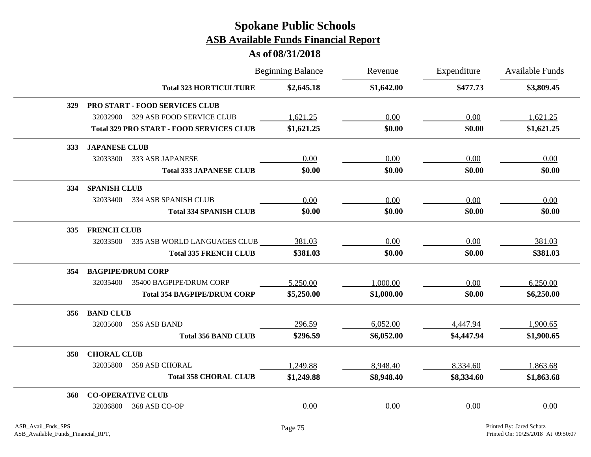|            |                          |                                                 | <b>Beginning Balance</b> | Revenue    | Expenditure | <b>Available Funds</b> |
|------------|--------------------------|-------------------------------------------------|--------------------------|------------|-------------|------------------------|
|            |                          | <b>Total 323 HORTICULTURE</b>                   | \$2,645.18               | \$1,642.00 | \$477.73    | \$3,809.45             |
|            |                          | 329 PRO START - FOOD SERVICES CLUB              |                          |            |             |                        |
|            | 32032900                 | 329 ASB FOOD SERVICE CLUB                       | 1,621.25                 | 0.00       | 0.00        | 1,621.25               |
|            |                          | <b>Total 329 PRO START - FOOD SERVICES CLUB</b> | \$1,621.25               | \$0.00     | \$0.00      | \$1,621.25             |
| <b>333</b> | <b>JAPANESE CLUB</b>     |                                                 |                          |            |             |                        |
|            | 32033300                 | 333 ASB JAPANESE                                | 0.00                     | 0.00       | 0.00        | 0.00                   |
|            |                          | <b>Total 333 JAPANESE CLUB</b>                  | \$0.00                   | \$0.00     | \$0.00      | \$0.00                 |
| 334        | <b>SPANISH CLUB</b>      |                                                 |                          |            |             |                        |
|            | 32033400                 | 334 ASB SPANISH CLUB                            | 0.00                     | 0.00       | 0.00        | 0.00                   |
|            |                          | <b>Total 334 SPANISH CLUB</b>                   | \$0.00                   | \$0.00     | \$0.00      | \$0.00                 |
| <b>335</b> | <b>FRENCH CLUB</b>       |                                                 |                          |            |             |                        |
|            | 32033500                 | 335 ASB WORLD LANGUAGES CLUB                    | 381.03                   | 0.00       | 0.00        | 381.03                 |
|            |                          | <b>Total 335 FRENCH CLUB</b>                    | \$381.03                 | \$0.00     | \$0.00      | \$381.03               |
| 354        | <b>BAGPIPE/DRUM CORP</b> |                                                 |                          |            |             |                        |
|            | 32035400                 | 35400 BAGPIPE/DRUM CORP                         | 5,250.00                 | 1,000.00   | 0.00        | 6,250.00               |
|            |                          | <b>Total 354 BAGPIPE/DRUM CORP</b>              | \$5,250.00               | \$1,000.00 | \$0.00      | \$6,250.00             |
| 356        | <b>BAND CLUB</b>         |                                                 |                          |            |             |                        |
|            | 32035600                 | 356 ASB BAND                                    | 296.59                   | 6,052.00   | 4,447.94    | 1,900.65               |
|            |                          | <b>Total 356 BAND CLUB</b>                      | \$296.59                 | \$6,052.00 | \$4,447.94  | \$1,900.65             |
| 358        | <b>CHORAL CLUB</b>       |                                                 |                          |            |             |                        |
|            | 32035800                 | 358 ASB CHORAL                                  | 1,249.88                 | 8,948.40   | 8,334.60    | 1,863.68               |
|            |                          | <b>Total 358 CHORAL CLUB</b>                    | \$1,249.88               | \$8,948.40 | \$8,334.60  | \$1,863.68             |
| 368        | <b>CO-OPERATIVE CLUB</b> |                                                 |                          |            |             |                        |
|            | 32036800                 | 368 ASB CO-OP                                   | 0.00                     | 0.00       | 0.00        | 0.00                   |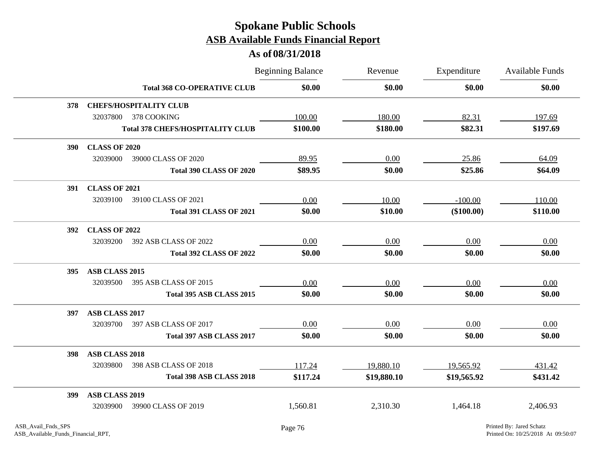|            |                       |                                         | <b>Beginning Balance</b> | Revenue     | Expenditure  | <b>Available Funds</b> |
|------------|-----------------------|-----------------------------------------|--------------------------|-------------|--------------|------------------------|
|            |                       | <b>Total 368 CO-OPERATIVE CLUB</b>      | \$0.00                   | \$0.00      | \$0.00       | \$0.00                 |
| 378        |                       | <b>CHEFS/HOSPITALITY CLUB</b>           |                          |             |              |                        |
|            | 32037800              | 378 COOKING                             | 100.00                   | 180.00      | 82.31        | 197.69                 |
|            |                       | <b>Total 378 CHEFS/HOSPITALITY CLUB</b> | \$100.00                 | \$180.00    | \$82.31      | \$197.69               |
| <b>390</b> | <b>CLASS OF 2020</b>  |                                         |                          |             |              |                        |
|            | 32039000              | 39000 CLASS OF 2020                     | 89.95                    | 0.00        | 25.86        | 64.09                  |
|            |                       | <b>Total 390 CLASS OF 2020</b>          | \$89.95                  | \$0.00      | \$25.86      | \$64.09                |
| <b>391</b> | <b>CLASS OF 2021</b>  |                                         |                          |             |              |                        |
|            | 32039100              | 39100 CLASS OF 2021                     | 0.00                     | 10.00       | $-100.00$    | 110.00                 |
|            |                       | <b>Total 391 CLASS OF 2021</b>          | \$0.00                   | \$10.00     | $(\$100.00)$ | \$110.00               |
| <b>392</b> | <b>CLASS OF 2022</b>  |                                         |                          |             |              |                        |
|            | 32039200              | 392 ASB CLASS OF 2022                   | 0.00                     | 0.00        | 0.00         | 0.00                   |
|            |                       | <b>Total 392 CLASS OF 2022</b>          | \$0.00                   | \$0.00      | \$0.00       | \$0.00                 |
| <b>395</b> | ASB CLASS 2015        |                                         |                          |             |              |                        |
|            | 32039500              | 395 ASB CLASS OF 2015                   | 0.00                     | 0.00        | 0.00         | 0.00                   |
|            |                       | Total 395 ASB CLASS 2015                | \$0.00                   | \$0.00      | \$0.00       | \$0.00                 |
| 397        | ASB CLASS 2017        |                                         |                          |             |              |                        |
|            | 32039700              | 397 ASB CLASS OF 2017                   | 0.00                     | 0.00        | 0.00         | 0.00                   |
|            |                       | Total 397 ASB CLASS 2017                | \$0.00                   | \$0.00      | \$0.00       | \$0.00                 |
| 398        | <b>ASB CLASS 2018</b> |                                         |                          |             |              |                        |
|            | 32039800              | 398 ASB CLASS OF 2018                   | 117.24                   | 19,880.10   | 19,565.92    | 431.42                 |
|            |                       | Total 398 ASB CLASS 2018                | \$117.24                 | \$19,880.10 | \$19,565.92  | \$431.42               |
| 399        | <b>ASB CLASS 2019</b> |                                         |                          |             |              |                        |
|            | 32039900              | 39900 CLASS OF 2019                     | 1,560.81                 | 2,310.30    | 1,464.18     | 2,406.93               |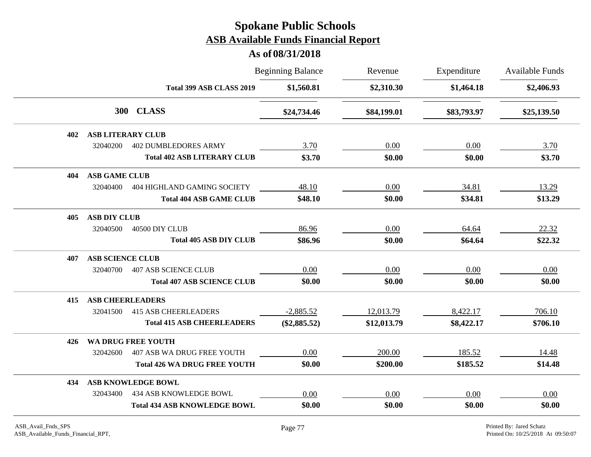|     |                          |                                     | <b>Beginning Balance</b> | Revenue<br>\$2,310.30 | Expenditure<br>\$1,464.18 | <b>Available Funds</b><br>\$2,406.93 |
|-----|--------------------------|-------------------------------------|--------------------------|-----------------------|---------------------------|--------------------------------------|
|     |                          | Total 399 ASB CLASS 2019            | \$1,560.81               |                       |                           |                                      |
|     | <b>300</b>               | <b>CLASS</b>                        | \$24,734.46              | \$84,199.01           | \$83,793.97               | \$25,139.50                          |
| 402 | <b>ASB LITERARY CLUB</b> |                                     |                          |                       |                           |                                      |
|     | 32040200                 | <b>402 DUMBLEDORES ARMY</b>         | 3.70                     | 0.00                  | 0.00                      | 3.70                                 |
|     |                          | <b>Total 402 ASB LITERARY CLUB</b>  | \$3.70                   | \$0.00                | \$0.00                    | \$3.70                               |
| 404 | <b>ASB GAME CLUB</b>     |                                     |                          |                       |                           |                                      |
|     | 32040400                 | 404 HIGHLAND GAMING SOCIETY         | 48.10                    | 0.00                  | 34.81                     | 13.29                                |
|     |                          | <b>Total 404 ASB GAME CLUB</b>      | \$48.10                  | \$0.00                | \$34.81                   | \$13.29                              |
| 405 | <b>ASB DIY CLUB</b>      |                                     |                          |                       |                           |                                      |
|     | 32040500                 | 40500 DIY CLUB                      | 86.96                    | 0.00                  | 64.64                     | 22.32                                |
|     |                          | <b>Total 405 ASB DIY CLUB</b>       | \$86.96                  | \$0.00                | \$64.64                   | \$22.32                              |
| 407 | <b>ASB SCIENCE CLUB</b>  |                                     |                          |                       |                           |                                      |
|     | 32040700                 | <b>407 ASB SCIENCE CLUB</b>         | 0.00                     | 0.00                  | 0.00                      | 0.00                                 |
|     |                          | <b>Total 407 ASB SCIENCE CLUB</b>   | \$0.00                   | \$0.00                | \$0.00                    | \$0.00                               |
| 415 | <b>ASB CHEERLEADERS</b>  |                                     |                          |                       |                           |                                      |
|     | 32041500                 | <b>415 ASB CHEERLEADERS</b>         | $-2,885.52$              | 12,013.79             | 8,422.17                  | 706.10                               |
|     |                          | <b>Total 415 ASB CHEERLEADERS</b>   | $(\$2,885.52)$           | \$12,013.79           | \$8,422.17                | \$706.10                             |
| 426 |                          | WA DRUG FREE YOUTH                  |                          |                       |                           |                                      |
|     | 32042600                 | 407 ASB WA DRUG FREE YOUTH          | 0.00                     | 200.00                | 185.52                    | 14.48                                |
|     |                          | <b>Total 426 WA DRUG FREE YOUTH</b> | \$0.00                   | \$200.00              | \$185.52                  | \$14.48                              |
| 434 |                          | <b>ASB KNOWLEDGE BOWL</b>           |                          |                       |                           |                                      |
|     | 32043400                 | <b>434 ASB KNOWLEDGE BOWL</b>       | 0.00                     | 0.00                  | 0.00                      | 0.00                                 |
|     |                          | <b>Total 434 ASB KNOWLEDGE BOWL</b> | \$0.00                   | \$0.00                | \$0.00                    | \$0.00                               |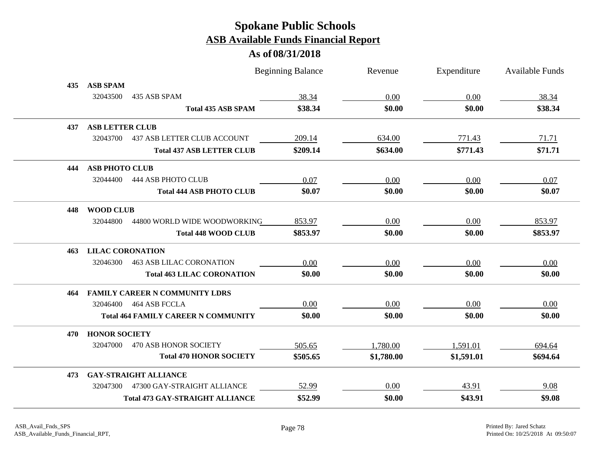|     |                         | <b>Beginning Balance</b>                   |          | Revenue    | Expenditure | Available Funds |
|-----|-------------------------|--------------------------------------------|----------|------------|-------------|-----------------|
| 435 | <b>ASB SPAM</b>         |                                            |          |            |             |                 |
|     | 32043500                | 435 ASB SPAM                               | 38.34    | 0.00       | 0.00        | 38.34           |
|     |                         | <b>Total 435 ASB SPAM</b>                  | \$38.34  | \$0.00     | \$0.00      | \$38.34         |
| 437 | <b>ASB LETTER CLUB</b>  |                                            |          |            |             |                 |
|     | 32043700                | <b>437 ASB LETTER CLUB ACCOUNT</b>         | 209.14   | 634.00     | 771.43      | 71.71           |
|     |                         | <b>Total 437 ASB LETTER CLUB</b>           | \$209.14 | \$634.00   | \$771.43    | \$71.71         |
| 444 | <b>ASB PHOTO CLUB</b>   |                                            |          |            |             |                 |
|     | 32044400                | 444 ASB PHOTO CLUB                         | 0.07     | 0.00       | 0.00        | 0.07            |
|     |                         | <b>Total 444 ASB PHOTO CLUB</b>            | \$0.07   | \$0.00     | \$0.00      | \$0.07          |
| 448 | <b>WOOD CLUB</b>        |                                            |          |            |             |                 |
|     | 32044800                | 44800 WORLD WIDE WOODWORKING               | 853.97   | 0.00       | 0.00        | 853.97          |
|     |                         | <b>Total 448 WOOD CLUB</b>                 | \$853.97 | \$0.00     | \$0.00      | \$853.97        |
| 463 | <b>LILAC CORONATION</b> |                                            |          |            |             |                 |
|     | 32046300                | <b>463 ASB LILAC CORONATION</b>            | 0.00     | 0.00       | 0.00        | 0.00            |
|     |                         | <b>Total 463 LILAC CORONATION</b>          | \$0.00   | \$0.00     | \$0.00      | \$0.00          |
| 464 |                         | <b>FAMILY CAREER N COMMUNITY LDRS</b>      |          |            |             |                 |
|     | 32046400                | 464 ASB FCCLA                              | 0.00     | 0.00       | 0.00        | 0.00            |
|     |                         | <b>Total 464 FAMILY CAREER N COMMUNITY</b> | \$0.00   | \$0.00     | \$0.00      | \$0.00          |
| 470 | <b>HONOR SOCIETY</b>    |                                            |          |            |             |                 |
|     | 32047000                | 470 ASB HONOR SOCIETY                      | 505.65   | 1,780.00   | 1,591.01    | 694.64          |
|     |                         | <b>Total 470 HONOR SOCIETY</b>             | \$505.65 | \$1,780.00 | \$1,591.01  | \$694.64        |
| 473 |                         | <b>GAY-STRAIGHT ALLIANCE</b>               |          |            |             |                 |
|     | 32047300                | 47300 GAY-STRAIGHT ALLIANCE                | 52.99    | 0.00       | 43.91       | 9.08            |
|     |                         | <b>Total 473 GAY-STRAIGHT ALLIANCE</b>     | \$52.99  | \$0.00     | \$43.91     | \$9.08          |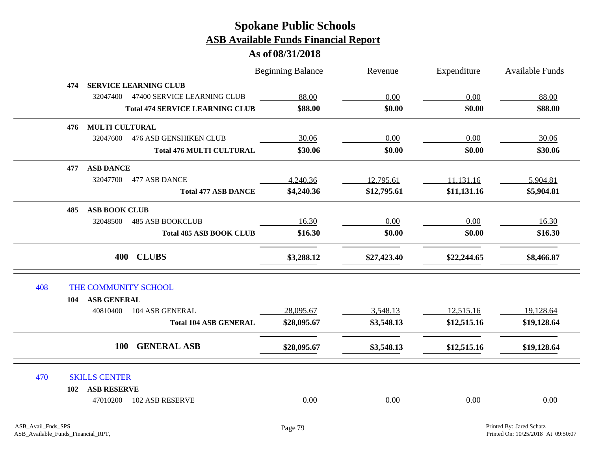|     |     |                                           | <b>Beginning Balance</b> | Revenue     | Expenditure | Available Funds |
|-----|-----|-------------------------------------------|--------------------------|-------------|-------------|-----------------|
|     | 474 | <b>SERVICE LEARNING CLUB</b>              |                          |             |             |                 |
|     |     | 32047400 47400 SERVICE LEARNING CLUB      | 88.00                    | 0.00        | 0.00        | 88.00           |
|     |     | <b>Total 474 SERVICE LEARNING CLUB</b>    | \$88.00                  | \$0.00      | \$0.00      | \$88.00         |
|     | 476 | <b>MULTI CULTURAL</b>                     |                          |             |             |                 |
|     |     | 32047600<br><b>476 ASB GENSHIKEN CLUB</b> | 30.06                    | 0.00        | 0.00        | 30.06           |
|     |     | <b>Total 476 MULTI CULTURAL</b>           | \$30.06                  | \$0.00      | \$0.00      | \$30.06         |
|     | 477 | <b>ASB DANCE</b>                          |                          |             |             |                 |
|     |     | 32047700 477 ASB DANCE                    | 4,240.36                 | 12,795.61   | 11,131.16   | 5,904.81        |
|     |     | <b>Total 477 ASB DANCE</b>                | \$4,240.36               | \$12,795.61 | \$11,131.16 | \$5,904.81      |
|     | 485 | <b>ASB BOOK CLUB</b>                      |                          |             |             |                 |
|     |     | 32048500<br><b>485 ASB BOOKCLUB</b>       | 16.30                    | 0.00        | 0.00        | 16.30           |
|     |     | <b>Total 485 ASB BOOK CLUB</b>            | \$16.30                  | \$0.00      | \$0.00      | \$16.30         |
|     |     | 400 CLUBS                                 | \$3,288.12               | \$27,423.40 | \$22,244.65 | \$8,466.87      |
| 408 |     | THE COMMUNITY SCHOOL                      |                          |             |             |                 |
|     | 104 | <b>ASB GENERAL</b>                        |                          |             |             |                 |
|     |     | 104 ASB GENERAL<br>40810400               | 28,095.67                | 3,548.13    | 12,515.16   | 19,128.64       |
|     |     | <b>Total 104 ASB GENERAL</b>              | \$28,095.67              | \$3,548.13  | \$12,515.16 | \$19,128.64     |
|     |     | <b>GENERAL ASB</b><br><b>100</b>          | \$28,095.67              | \$3,548.13  | \$12,515.16 | \$19,128.64     |
| 470 |     | <b>SKILLS CENTER</b>                      |                          |             |             |                 |
|     | 102 | <b>ASB RESERVE</b>                        |                          |             |             |                 |
|     |     | 47010200<br>102 ASB RESERVE               | 0.00                     | 0.00        | 0.00        | 0.00            |
|     |     |                                           |                          |             |             |                 |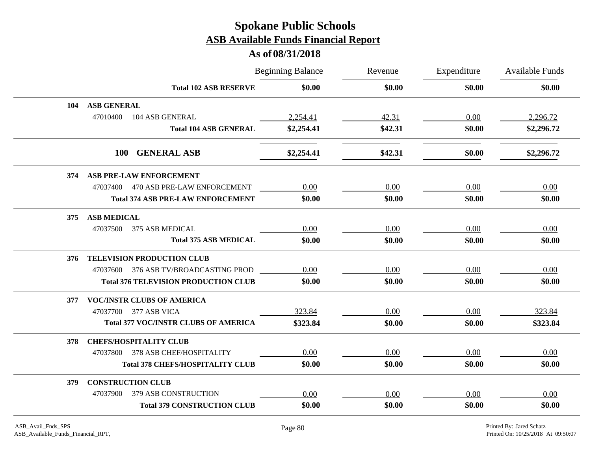|     |                                             | <b>Beginning Balance</b> | Revenue<br>\$0.00 | Expenditure<br>\$0.00 | <b>Available Funds</b><br>\$0.00 |
|-----|---------------------------------------------|--------------------------|-------------------|-----------------------|----------------------------------|
|     | <b>Total 102 ASB RESERVE</b>                | \$0.00                   |                   |                       |                                  |
| 104 | <b>ASB GENERAL</b>                          |                          |                   |                       |                                  |
|     | 104 ASB GENERAL<br>47010400                 | 2,254.41                 | 42.31             | 0.00                  | 2,296.72                         |
|     | <b>Total 104 ASB GENERAL</b>                | \$2,254.41               | \$42.31           | \$0.00                | \$2,296.72                       |
|     | 100 GENERAL ASB                             | \$2,254.41               | \$42.31           | \$0.00                | \$2,296.72                       |
| 374 | <b>ASB PRE-LAW ENFORCEMENT</b>              |                          |                   |                       |                                  |
|     | 47037400 470 ASB PRE-LAW ENFORCEMENT        | 0.00                     | 0.00              | 0.00                  | 0.00                             |
|     | <b>Total 374 ASB PRE-LAW ENFORCEMENT</b>    | \$0.00                   | \$0.00            | \$0.00                | \$0.00                           |
| 375 | <b>ASB MEDICAL</b>                          |                          |                   |                       |                                  |
|     | 47037500<br>375 ASB MEDICAL                 | 0.00                     | 0.00              | 0.00                  | 0.00                             |
|     | <b>Total 375 ASB MEDICAL</b>                | \$0.00                   | \$0.00            | \$0.00                | \$0.00                           |
| 376 | TELEVISION PRODUCTION CLUB                  |                          |                   |                       |                                  |
|     | 47037600 376 ASB TV/BROADCASTING PROD       | 0.00                     | 0.00              | 0.00                  | 0.00                             |
|     | <b>Total 376 TELEVISION PRODUCTION CLUB</b> | \$0.00                   | \$0.00            | \$0.00                | \$0.00                           |
| 377 | <b>VOC/INSTR CLUBS OF AMERICA</b>           |                          |                   |                       |                                  |
|     | 47037700 377 ASB VICA                       | 323.84                   | 0.00              | 0.00                  | 323.84                           |
|     | <b>Total 377 VOC/INSTR CLUBS OF AMERICA</b> | \$323.84                 | \$0.00            | \$0.00                | \$323.84                         |
| 378 | <b>CHEFS/HOSPITALITY CLUB</b>               |                          |                   |                       |                                  |
|     | 378 ASB CHEF/HOSPITALITY<br>47037800        | 0.00                     | 0.00              | 0.00                  | 0.00                             |
|     | <b>Total 378 CHEFS/HOSPITALITY CLUB</b>     | \$0.00                   | \$0.00            | \$0.00                | \$0.00                           |
| 379 | <b>CONSTRUCTION CLUB</b>                    |                          |                   |                       |                                  |
|     | 379 ASB CONSTRUCTION<br>47037900            | 0.00                     | 0.00              | 0.00                  | 0.00                             |
|     | <b>Total 379 CONSTRUCTION CLUB</b>          | \$0.00                   | \$0.00            | \$0.00                | \$0.00                           |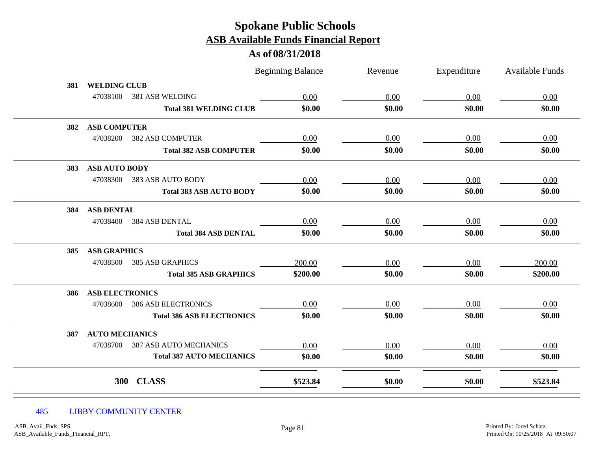### **As of 08/31/2018**

|     |                        |                                  | <b>Beginning Balance</b> | Revenue | Expenditure | <b>Available Funds</b> |
|-----|------------------------|----------------------------------|--------------------------|---------|-------------|------------------------|
| 381 | <b>WELDING CLUB</b>    |                                  |                          |         |             |                        |
|     | 47038100               | 381 ASB WELDING                  | 0.00                     | 0.00    | 0.00        | 0.00                   |
|     |                        | <b>Total 381 WELDING CLUB</b>    | \$0.00                   | \$0.00  | \$0.00      | \$0.00                 |
| 382 | <b>ASB COMPUTER</b>    |                                  |                          |         |             |                        |
|     | 47038200               | <b>382 ASB COMPUTER</b>          | 0.00                     | 0.00    | 0.00        | 0.00                   |
|     |                        | <b>Total 382 ASB COMPUTER</b>    | \$0.00                   | \$0.00  | \$0.00      | \$0.00                 |
| 383 | <b>ASB AUTO BODY</b>   |                                  |                          |         |             |                        |
|     | 47038300               | 383 ASB AUTO BODY                | 0.00                     | 0.00    | 0.00        | 0.00                   |
|     |                        | <b>Total 383 ASB AUTO BODY</b>   | \$0.00                   | \$0.00  | \$0.00      | \$0.00                 |
| 384 | <b>ASB DENTAL</b>      |                                  |                          |         |             |                        |
|     | 47038400               | <b>384 ASB DENTAL</b>            | 0.00                     | 0.00    | 0.00        | 0.00                   |
|     |                        | <b>Total 384 ASB DENTAL</b>      | \$0.00                   | \$0.00  | \$0.00      | \$0.00                 |
| 385 | <b>ASB GRAPHICS</b>    |                                  |                          |         |             |                        |
|     | 47038500               | <b>385 ASB GRAPHICS</b>          | 200.00                   | 0.00    | 0.00        | 200.00                 |
|     |                        | <b>Total 385 ASB GRAPHICS</b>    | \$200.00                 | \$0.00  | \$0.00      | \$200.00               |
| 386 | <b>ASB ELECTRONICS</b> |                                  |                          |         |             |                        |
|     | 47038600               | <b>386 ASB ELECTRONICS</b>       | 0.00                     | 0.00    | 0.00        | 0.00                   |
|     |                        | <b>Total 386 ASB ELECTRONICS</b> | \$0.00                   | \$0.00  | \$0.00      | \$0.00                 |
| 387 | <b>AUTO MECHANICS</b>  |                                  |                          |         |             |                        |
|     | 47038700               | <b>387 ASB AUTO MECHANICS</b>    | 0.00                     | 0.00    | 0.00        | 0.00                   |
|     |                        | <b>Total 387 AUTO MECHANICS</b>  | \$0.00                   | \$0.00  | \$0.00      | \$0.00                 |
|     | <b>300</b>             | <b>CLASS</b>                     |                          |         |             |                        |
|     |                        |                                  | \$523.84                 | \$0.00  | \$0.00      | \$523.84               |

#### 485 LIBBY COMMUNITY CENTER